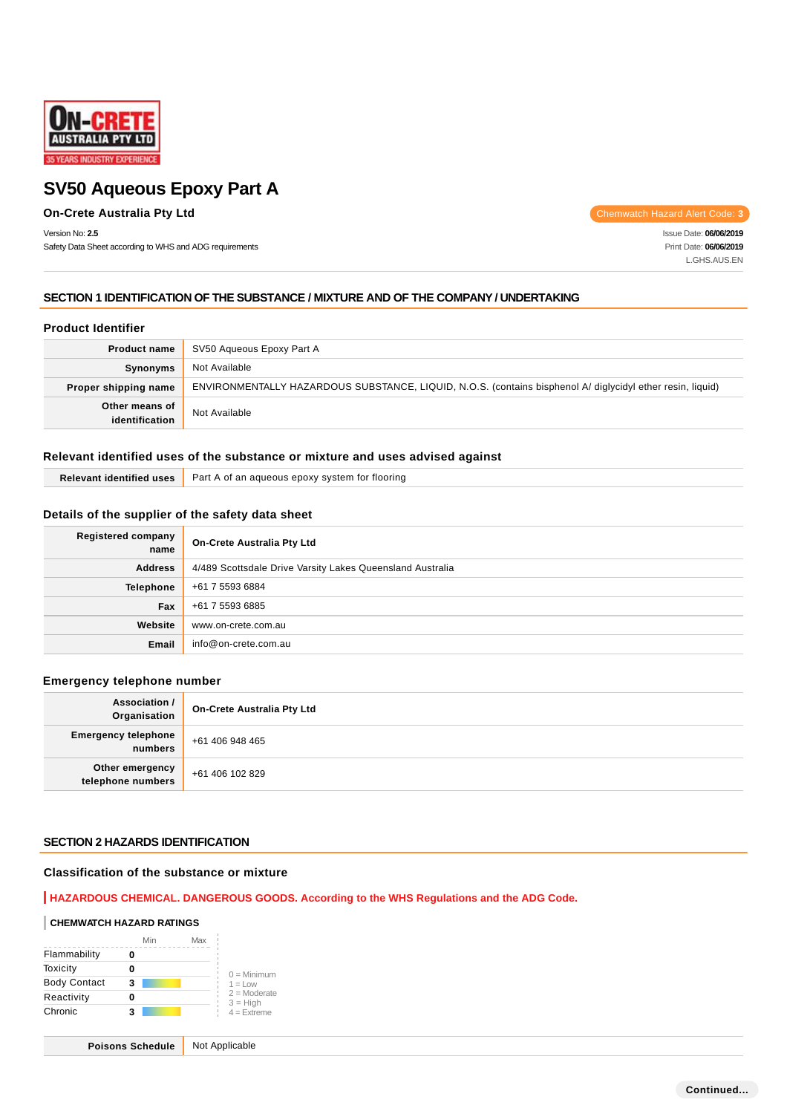

## **On-Crete Australia Pty Ltd** Chemwatch Hazard Alert Code: **3**

Version No: **2.5**

Safety Data Sheet according to WHS and ADG requirements

Issue Date: **06/06/2019** Print Date: **06/06/2019** L.GHS.AUS.EN

## **SECTION 1 IDENTIFICATION OF THE SUBSTANCE / MIXTURE AND OF THE COMPANY / UNDERTAKING**

#### **Product Identifier**

| <b>Product name</b>              | SV50 Aqueous Epoxy Part A                                                                                  |  |
|----------------------------------|------------------------------------------------------------------------------------------------------------|--|
| <b>Synonyms</b>                  | Not Available                                                                                              |  |
| Proper shipping name             | ENVIRONMENTALLY HAZARDOUS SUBSTANCE, LIQUID, N.O.S. (contains bisphenol A/ diglycidyl ether resin, liquid) |  |
| Other means of<br>identification | Not Available                                                                                              |  |

## **Relevant identified uses of the substance or mixture and uses advised against**

| $   -$<br>uses<br><b>Taentified</b> | Part<br>tlooring<br>tor<br>∖ of an aqueous epoxy .<br>svstem |
|-------------------------------------|--------------------------------------------------------------|
|-------------------------------------|--------------------------------------------------------------|

## **Details of the supplier of the safety data sheet**

| Registered company<br>name | <b>On-Crete Australia Pty Ltd</b>                         |  |
|----------------------------|-----------------------------------------------------------|--|
| <b>Address</b>             | 4/489 Scottsdale Drive Varsity Lakes Queensland Australia |  |
| <b>Telephone</b>           | +61 7 5593 6884                                           |  |
| Fax                        | +61 7 5593 6885                                           |  |
| Website                    | www.on-crete.com.au                                       |  |
| Email                      | info@on-crete.com.au                                      |  |

## **Emergency telephone number**

| Association /<br>Organisation         | <b>On-Crete Australia Pty Ltd</b> |  |
|---------------------------------------|-----------------------------------|--|
| <b>Emergency telephone</b><br>numbers | +61 406 948 465                   |  |
| Other emergency<br>telephone numbers  | +61 406 102 829                   |  |

#### **SECTION 2 HAZARDS IDENTIFICATION**

## **Classification of the substance or mixture**

#### **HAZARDOUS CHEMICAL. DANGEROUS GOODS. According to the WHS Regulations and the ADG Code.**

#### **CHEMWATCH HAZARD RATINGS**

|                     | Min | Max |                              |
|---------------------|-----|-----|------------------------------|
| Flammability        |     |     |                              |
| Toxicity            |     |     | $0 =$ Minimum                |
| <b>Body Contact</b> | 3   |     | $1 = 1$ $\Omega$             |
| Reactivity          |     |     | $2 =$ Moderate<br>$3 = High$ |
| Chronic             | з   |     | $4 =$ Extreme                |

**Poisons Schedule** Not Applicable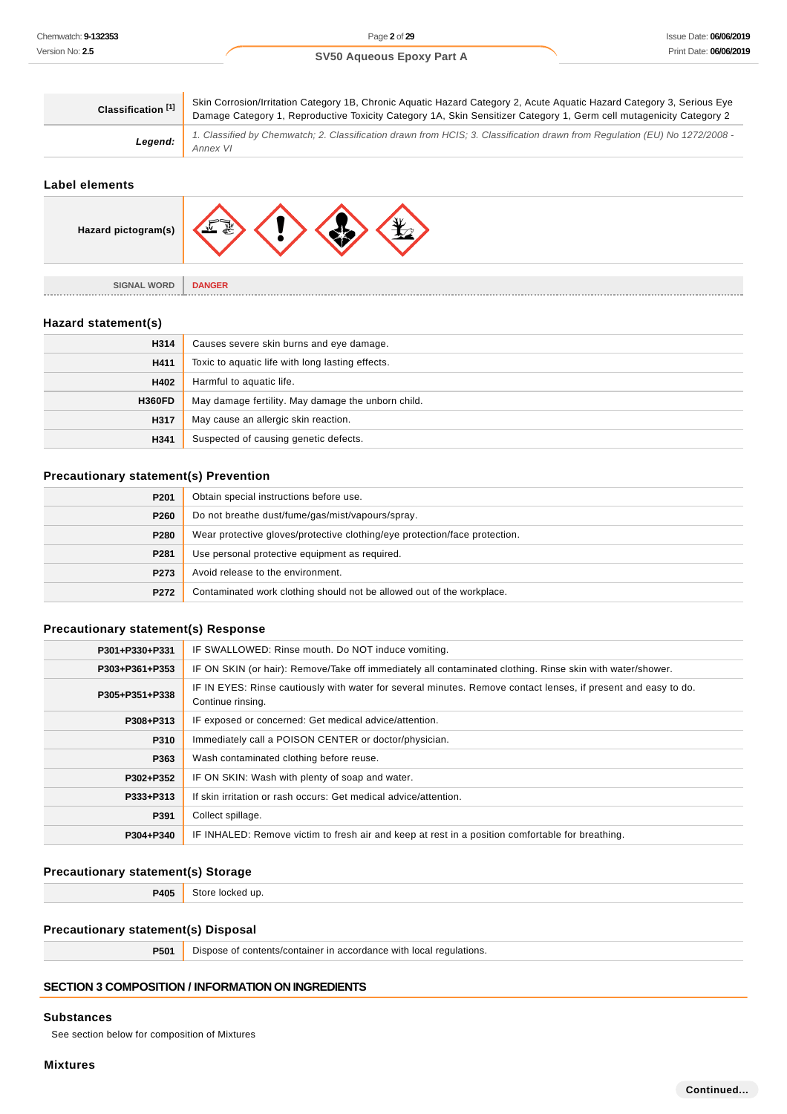| Classification <sup>[1]</sup> | Skin Corrosion/Irritation Category 1B, Chronic Aquatic Hazard Category 2, Acute Aquatic Hazard Category 3, Serious Eye<br>Damage Category 1, Reproductive Toxicity Category 1A, Skin Sensitizer Category 1, Germ cell mutagenicity Category 2 |  |
|-------------------------------|-----------------------------------------------------------------------------------------------------------------------------------------------------------------------------------------------------------------------------------------------|--|
| Legend:                       | 1. Classified by Chemwatch; 2. Classification drawn from HCIS; 3. Classification drawn from Regulation (EU) No 1272/2008 -<br>Annex VI                                                                                                        |  |

## **Label elements**

| Hazard pictogram(s) |               |
|---------------------|---------------|
| <b>SIGNAL WORD</b>  | <b>DANGER</b> |
| --------            | .             |

#### **Hazard statement(s)**

| H314          | Causes severe skin burns and eye damage.           |  |
|---------------|----------------------------------------------------|--|
| H411          | Toxic to aquatic life with long lasting effects.   |  |
| H402          | Harmful to aquatic life.                           |  |
| <b>H360FD</b> | May damage fertility. May damage the unborn child. |  |
| H317          | May cause an allergic skin reaction.               |  |
| H341          | Suspected of causing genetic defects.              |  |

## **Precautionary statement(s) Prevention**

| P201 | Obtain special instructions before use.                                    |  |  |
|------|----------------------------------------------------------------------------|--|--|
| P260 | Do not breathe dust/fume/gas/mist/vapours/spray.                           |  |  |
| P280 | Wear protective gloves/protective clothing/eye protection/face protection. |  |  |
| P281 | Use personal protective equipment as required.                             |  |  |
| P273 | Avoid release to the environment.                                          |  |  |
| P272 | Contaminated work clothing should not be allowed out of the workplace.     |  |  |

## **Precautionary statement(s) Response**

| P301+P330+P331 | IF SWALLOWED: Rinse mouth. Do NOT induce vomiting.                                                                                  |  |  |
|----------------|-------------------------------------------------------------------------------------------------------------------------------------|--|--|
| P303+P361+P353 | IF ON SKIN (or hair): Remove/Take off immediately all contaminated clothing. Rinse skin with water/shower.                          |  |  |
| P305+P351+P338 | IF IN EYES: Rinse cautiously with water for several minutes. Remove contact lenses, if present and easy to do.<br>Continue rinsing. |  |  |
| P308+P313      | IF exposed or concerned: Get medical advice/attention.                                                                              |  |  |
| P310           | Immediately call a POISON CENTER or doctor/physician.                                                                               |  |  |
| P363           | Wash contaminated clothing before reuse.                                                                                            |  |  |
| P302+P352      | IF ON SKIN: Wash with plenty of soap and water.                                                                                     |  |  |
| P333+P313      | If skin irritation or rash occurs: Get medical advice/attention.                                                                    |  |  |
| P391           | Collect spillage.                                                                                                                   |  |  |
| P304+P340      | IF INHALED: Remove victim to fresh air and keep at rest in a position comfortable for breathing.                                    |  |  |

## **Precautionary statement(s) Storage**

**P405** Store locked up.

## **Precautionary statement(s) Disposal**

**P501** Dispose of contents/container in accordance with local regulations.

## **SECTION 3 COMPOSITION / INFORMATION ON INGREDIENTS**

#### **Substances**

See section below for composition of Mixtures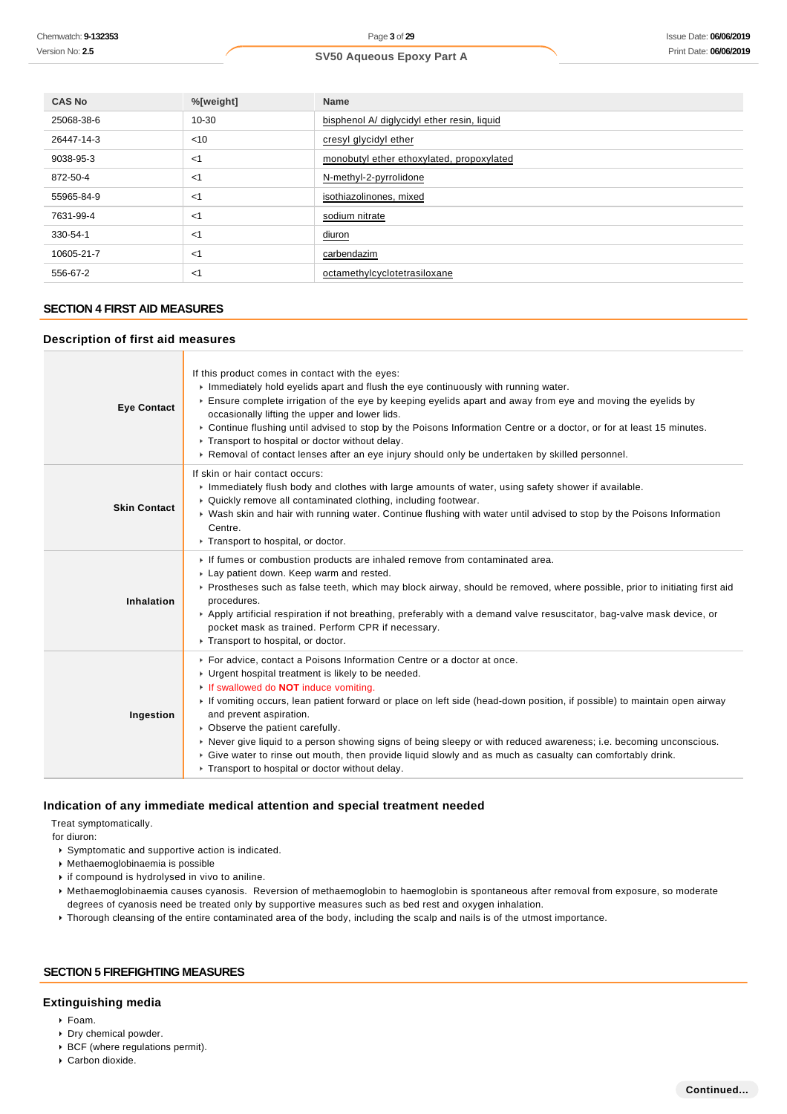| <b>CAS No</b> | %[weight] | <b>Name</b>                                 |
|---------------|-----------|---------------------------------------------|
| 25068-38-6    | 10-30     | bisphenol A/ diglycidyl ether resin, liquid |
| 26447-14-3    | < 10      | cresyl glycidyl ether                       |
| 9038-95-3     | $<$ 1     | monobutyl ether ethoxylated, propoxylated   |
| 872-50-4      | $<$ 1     | N-methyl-2-pyrrolidone                      |
| 55965-84-9    | $<$ 1     | isothiazolinones, mixed                     |
| 7631-99-4     | $<$ 1     | sodium nitrate                              |
| 330-54-1      | $<$ 1     | diuron                                      |
| 10605-21-7    | $<$ 1     | carbendazim                                 |
| 556-67-2      | $<$ 1     | octamethylcyclotetrasiloxane                |

## **SECTION 4 FIRST AID MEASURES**

## **Description of first aid measures**

| <b>Eye Contact</b>  | If this product comes in contact with the eyes:<br>$\triangleright$ Immediately hold eyelids apart and flush the eye continuously with running water.<br>Ensure complete irrigation of the eye by keeping eyelids apart and away from eye and moving the eyelids by<br>occasionally lifting the upper and lower lids.<br>▶ Continue flushing until advised to stop by the Poisons Information Centre or a doctor, or for at least 15 minutes.<br>Transport to hospital or doctor without delay.<br>► Removal of contact lenses after an eye injury should only be undertaken by skilled personnel.                                                                           |
|---------------------|------------------------------------------------------------------------------------------------------------------------------------------------------------------------------------------------------------------------------------------------------------------------------------------------------------------------------------------------------------------------------------------------------------------------------------------------------------------------------------------------------------------------------------------------------------------------------------------------------------------------------------------------------------------------------|
| <b>Skin Contact</b> | If skin or hair contact occurs:<br>In mediately flush body and clothes with large amounts of water, using safety shower if available.<br>▶ Quickly remove all contaminated clothing, including footwear.<br>▶ Wash skin and hair with running water. Continue flushing with water until advised to stop by the Poisons Information<br>Centre.<br>Transport to hospital, or doctor.                                                                                                                                                                                                                                                                                           |
| Inhalation          | If fumes or combustion products are inhaled remove from contaminated area.<br>Lay patient down. Keep warm and rested.<br>▶ Prostheses such as false teeth, which may block airway, should be removed, where possible, prior to initiating first aid<br>procedures.<br>▶ Apply artificial respiration if not breathing, preferably with a demand valve resuscitator, bag-valve mask device, or<br>pocket mask as trained. Perform CPR if necessary.<br>Transport to hospital, or doctor.                                                                                                                                                                                      |
| Ingestion           | For advice, contact a Poisons Information Centre or a doctor at once.<br>• Urgent hospital treatment is likely to be needed.<br>If swallowed do <b>NOT</b> induce vomiting.<br>If vomiting occurs, lean patient forward or place on left side (head-down position, if possible) to maintain open airway<br>and prevent aspiration.<br>• Observe the patient carefully.<br>► Never give liquid to a person showing signs of being sleepy or with reduced awareness; i.e. becoming unconscious.<br>$\triangleright$ Give water to rinse out mouth, then provide liquid slowly and as much as casualty can comfortably drink.<br>Transport to hospital or doctor without delay. |

## **Indication of any immediate medical attention and special treatment needed**

Treat symptomatically.

for diuron:

- Symptomatic and supportive action is indicated.
- Methaemoglobinaemia is possible
- **i** if compound is hydrolysed in vivo to aniline.
- Methaemoglobinaemia causes cyanosis. Reversion of methaemoglobin to haemoglobin is spontaneous after removal from exposure, so moderate degrees of cyanosis need be treated only by supportive measures such as bed rest and oxygen inhalation.
- Thorough cleansing of the entire contaminated area of the body, including the scalp and nails is of the utmost importance.

#### **SECTION 5 FIREFIGHTING MEASURES**

## **Extinguishing media**

- Foam.
- Dry chemical powder.
- BCF (where regulations permit).
- Carbon dioxide.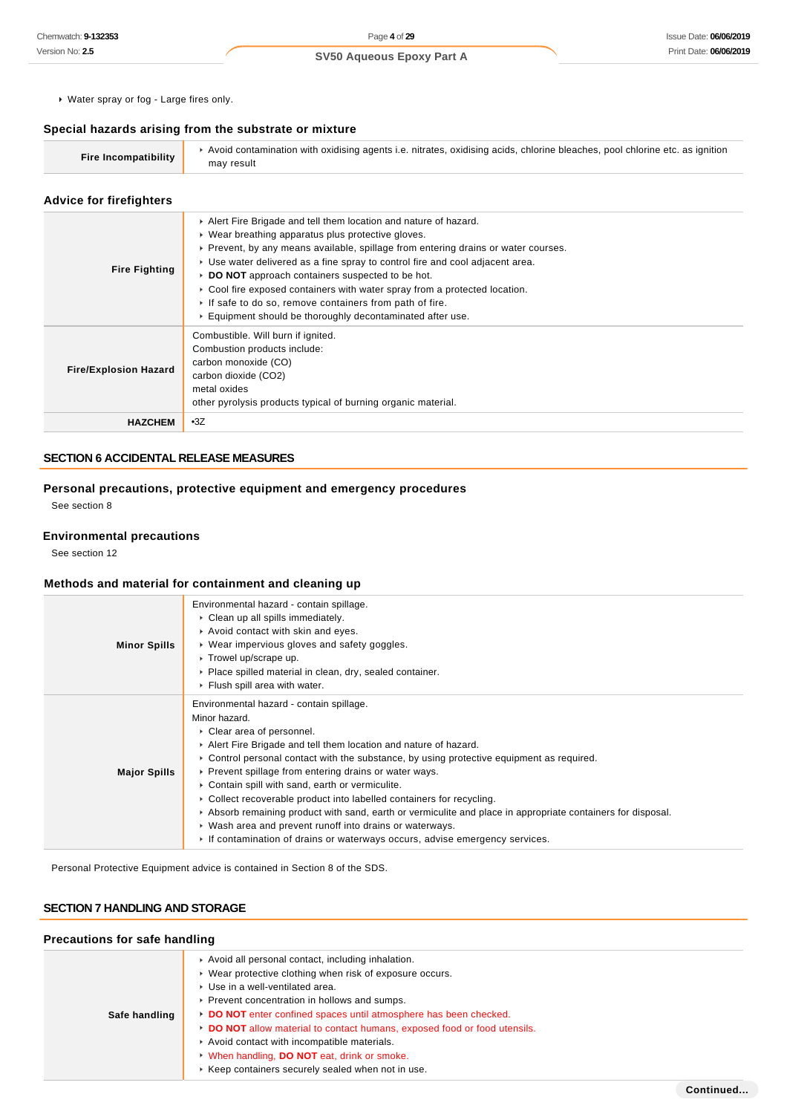Water spray or fog - Large fires only.

#### **Special hazards arising from the substrate or mixture**

| Avoid contamination with oxidising agents i.e. nitrates, oxidising acids, chlorine bleaches, pool chlorine etc. as ignition<br><b>Fire Incompatibility</b><br>may result |
|--------------------------------------------------------------------------------------------------------------------------------------------------------------------------|
|--------------------------------------------------------------------------------------------------------------------------------------------------------------------------|

#### **Advice for firefighters**

| <b>Fire Fighting</b>         | Alert Fire Brigade and tell them location and nature of hazard.<br>• Wear breathing apparatus plus protective gloves.<br>► Prevent, by any means available, spillage from entering drains or water courses.<br>► Use water delivered as a fine spray to control fire and cool adjacent area.<br>DO NOT approach containers suspected to be hot.<br>► Cool fire exposed containers with water spray from a protected location.<br>If safe to do so, remove containers from path of fire.<br>Equipment should be thoroughly decontaminated after use. |
|------------------------------|-----------------------------------------------------------------------------------------------------------------------------------------------------------------------------------------------------------------------------------------------------------------------------------------------------------------------------------------------------------------------------------------------------------------------------------------------------------------------------------------------------------------------------------------------------|
| <b>Fire/Explosion Hazard</b> | Combustible. Will burn if ignited.<br>Combustion products include:<br>carbon monoxide (CO)<br>carbon dioxide (CO2)<br>metal oxides<br>other pyrolysis products typical of burning organic material.                                                                                                                                                                                                                                                                                                                                                 |
| <b>HAZCHEM</b>               | $-3Z$                                                                                                                                                                                                                                                                                                                                                                                                                                                                                                                                               |

## **SECTION 6 ACCIDENTAL RELEASE MEASURES**

**Personal precautions, protective equipment and emergency procedures** See section 8

## **Environmental precautions**

See section 12

## **Methods and material for containment and cleaning up**

| <b>Minor Spills</b> | Environmental hazard - contain spillage.<br>$\triangleright$ Clean up all spills immediately.<br>Avoid contact with skin and eyes.<br>• Wear impervious gloves and safety goggles.<br>▶ Trowel up/scrape up.<br>• Place spilled material in clean, dry, sealed container.<br>$\triangleright$ Flush spill area with water.                                                                                                                                                                                                                                                                                                                                                                                                             |
|---------------------|----------------------------------------------------------------------------------------------------------------------------------------------------------------------------------------------------------------------------------------------------------------------------------------------------------------------------------------------------------------------------------------------------------------------------------------------------------------------------------------------------------------------------------------------------------------------------------------------------------------------------------------------------------------------------------------------------------------------------------------|
| <b>Major Spills</b> | Environmental hazard - contain spillage.<br>Minor hazard.<br>▶ Clear area of personnel.<br>Alert Fire Brigade and tell them location and nature of hazard.<br>$\triangleright$ Control personal contact with the substance, by using protective equipment as required.<br>▶ Prevent spillage from entering drains or water ways.<br>• Contain spill with sand, earth or vermiculite.<br>• Collect recoverable product into labelled containers for recycling.<br>$\triangleright$ Absorb remaining product with sand, earth or vermiculite and place in appropriate containers for disposal.<br>• Wash area and prevent runoff into drains or waterways.<br>If contamination of drains or waterways occurs, advise emergency services. |

Personal Protective Equipment advice is contained in Section 8 of the SDS.

## **SECTION 7 HANDLING AND STORAGE**

#### **Precautions for safe handling**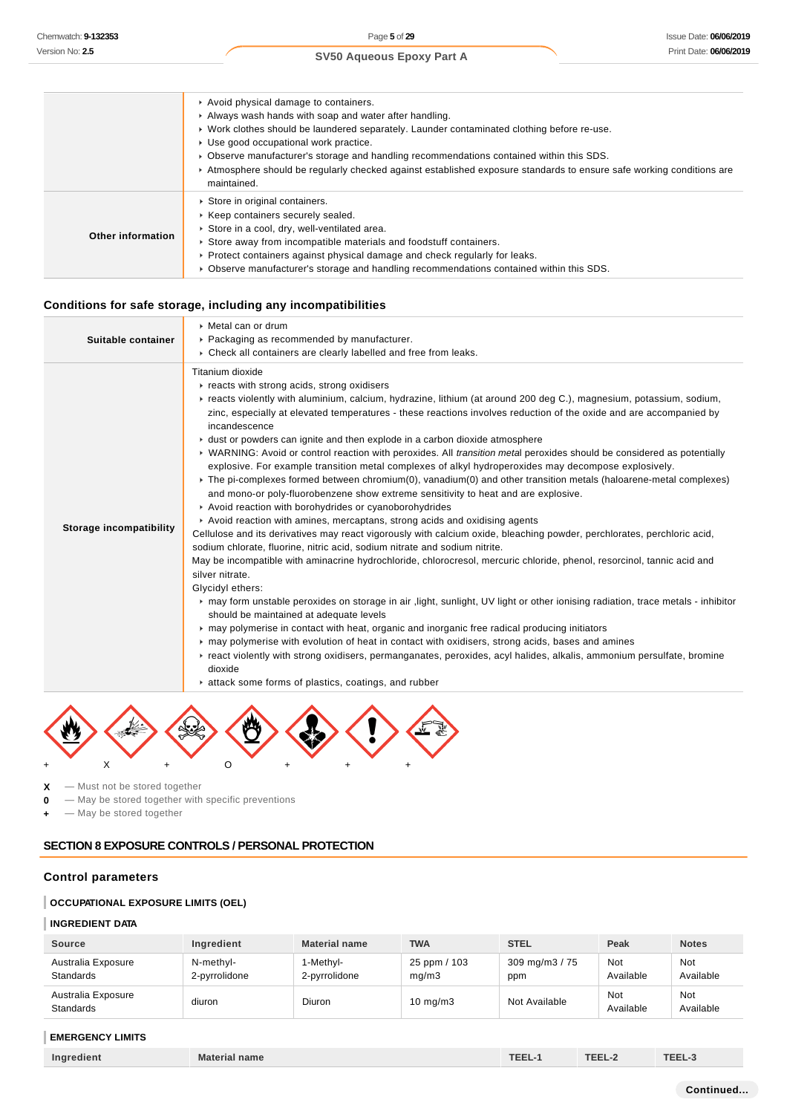|                   | Avoid physical damage to containers.                                                                                                 |
|-------------------|--------------------------------------------------------------------------------------------------------------------------------------|
|                   | Always wash hands with soap and water after handling.                                                                                |
|                   | ► Work clothes should be laundered separately. Launder contaminated clothing before re-use.                                          |
|                   | Use good occupational work practice.                                                                                                 |
|                   | ► Observe manufacturer's storage and handling recommendations contained within this SDS.                                             |
|                   | ▶ Atmosphere should be regularly checked against established exposure standards to ensure safe working conditions are<br>maintained. |
|                   | Store in original containers.                                                                                                        |
|                   | ▶ Keep containers securely sealed.                                                                                                   |
| Other information | Store in a cool, dry, well-ventilated area.                                                                                          |
|                   | Store away from incompatible materials and foodstuff containers.                                                                     |
|                   | ► Protect containers against physical damage and check regularly for leaks.                                                          |
|                   | ▶ Observe manufacturer's storage and handling recommendations contained within this SDS.                                             |

## **Conditions for safe storage, including any incompatibilities**

|                                | ▶ Metal can or drum                                                                                                                                                                                                                                                                                                                                                                                                                                                                                                                                                                                                                                                                                                                                                                                                                                                                                                                                                                                                                                                                                                                                                                                                                                                                                                                                                                                                                                                                                                                                                                                                                                                                                                                                                                                                                                                                                                                                        |
|--------------------------------|------------------------------------------------------------------------------------------------------------------------------------------------------------------------------------------------------------------------------------------------------------------------------------------------------------------------------------------------------------------------------------------------------------------------------------------------------------------------------------------------------------------------------------------------------------------------------------------------------------------------------------------------------------------------------------------------------------------------------------------------------------------------------------------------------------------------------------------------------------------------------------------------------------------------------------------------------------------------------------------------------------------------------------------------------------------------------------------------------------------------------------------------------------------------------------------------------------------------------------------------------------------------------------------------------------------------------------------------------------------------------------------------------------------------------------------------------------------------------------------------------------------------------------------------------------------------------------------------------------------------------------------------------------------------------------------------------------------------------------------------------------------------------------------------------------------------------------------------------------------------------------------------------------------------------------------------------------|
| Suitable container             | ▶ Packaging as recommended by manufacturer.                                                                                                                                                                                                                                                                                                                                                                                                                                                                                                                                                                                                                                                                                                                                                                                                                                                                                                                                                                                                                                                                                                                                                                                                                                                                                                                                                                                                                                                                                                                                                                                                                                                                                                                                                                                                                                                                                                                |
|                                | ▶ Check all containers are clearly labelled and free from leaks.                                                                                                                                                                                                                                                                                                                                                                                                                                                                                                                                                                                                                                                                                                                                                                                                                                                                                                                                                                                                                                                                                                                                                                                                                                                                                                                                                                                                                                                                                                                                                                                                                                                                                                                                                                                                                                                                                           |
| <b>Storage incompatibility</b> | Titanium dioxide<br>reacts with strong acids, strong oxidisers<br>Freacts violently with aluminium, calcium, hydrazine, lithium (at around 200 deg C.), magnesium, potassium, sodium,<br>zinc, especially at elevated temperatures - these reactions involves reduction of the oxide and are accompanied by<br>incandescence<br>► dust or powders can ignite and then explode in a carbon dioxide atmosphere<br>▶ WARNING: Avoid or control reaction with peroxides. All transition metal peroxides should be considered as potentially<br>explosive. For example transition metal complexes of alkyl hydroperoxides may decompose explosively.<br>► The pi-complexes formed between chromium(0), vanadium(0) and other transition metals (haloarene-metal complexes)<br>and mono-or poly-fluorobenzene show extreme sensitivity to heat and are explosive.<br>Avoid reaction with borohydrides or cyanoborohydrides<br>Avoid reaction with amines, mercaptans, strong acids and oxidising agents<br>Cellulose and its derivatives may react vigorously with calcium oxide, bleaching powder, perchlorates, perchloric acid,<br>sodium chlorate, fluorine, nitric acid, sodium nitrate and sodium nitrite.<br>May be incompatible with aminacrine hydrochloride, chlorocresol, mercuric chloride, phenol, resorcinol, tannic acid and<br>silver nitrate.<br>Glycidyl ethers:<br>► may form unstable peroxides on storage in air , light, sunlight, UV light or other ionising radiation, trace metals - inhibitor<br>should be maintained at adequate levels<br>may polymerise in contact with heat, organic and inorganic free radical producing initiators<br>may polymerise with evolution of heat in contact with oxidisers, strong acids, bases and amines<br>Freact violently with strong oxidisers, permanganates, peroxides, acyl halides, alkalis, ammonium persulfate, bromine<br>dioxide<br>attack some forms of plastics, coatings, and rubber |
|                                |                                                                                                                                                                                                                                                                                                                                                                                                                                                                                                                                                                                                                                                                                                                                                                                                                                                                                                                                                                                                                                                                                                                                                                                                                                                                                                                                                                                                                                                                                                                                                                                                                                                                                                                                                                                                                                                                                                                                                            |
|                                |                                                                                                                                                                                                                                                                                                                                                                                                                                                                                                                                                                                                                                                                                                                                                                                                                                                                                                                                                                                                                                                                                                                                                                                                                                                                                                                                                                                                                                                                                                                                                                                                                                                                                                                                                                                                                                                                                                                                                            |

マク J + X + O + + +

**X** — Must not be stored together

**0** — May be stored together with specific preventions

**+** — May be stored together

## **SECTION 8 EXPOSURE CONTROLS / PERSONAL PROTECTION**

## **Control parameters**

#### **OCCUPATIONAL EXPOSURE LIMITS (OEL)**

#### **INGREDIENT DATA**

| <b>Source</b>                          | Ingredient                 | <b>Material name</b>       | <b>TWA</b>            | <b>STEL</b>            | Peak                    | <b>Notes</b>            |
|----------------------------------------|----------------------------|----------------------------|-----------------------|------------------------|-------------------------|-------------------------|
| Australia Exposure<br><b>Standards</b> | N-methyl-<br>2-pyrrolidone | 1-Methvl-<br>2-pyrrolidone | 25 ppm / 103<br>mq/m3 | 309 mg/m $3/75$<br>ppm | <b>Not</b><br>Available | <b>Not</b><br>Available |
| Australia Exposure<br><b>Standards</b> | diuron                     | Diuron                     | $10 \text{ mg/m}$ 3   | Not Available          | <b>Not</b><br>Available | <b>Not</b><br>Available |

## **EMERGENCY LIMITS**

| Ingredient | <b>Material name</b> | <b>TEL.</b> | ---- | ---- |
|------------|----------------------|-------------|------|------|
|            |                      |             |      |      |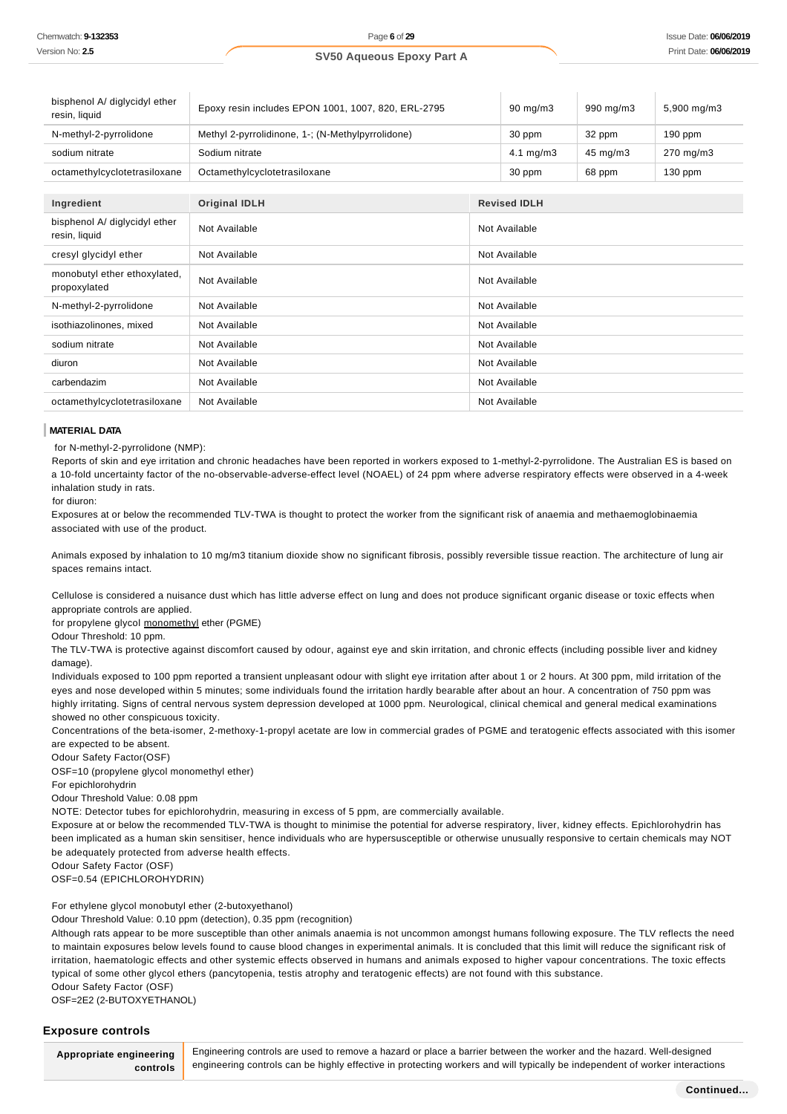| bisphenol A/ diglycidyl ether<br>resin, liquid | Epoxy resin includes EPON 1001, 1007, 820, ERL-2795 |               | $90 \text{ mg/m}$    | 990 mg/m3 | 5,900 mg/m3 |
|------------------------------------------------|-----------------------------------------------------|---------------|----------------------|-----------|-------------|
| N-methyl-2-pyrrolidone                         | Methyl 2-pyrrolidinone, 1-; (N-Methylpyrrolidone)   |               | 30 ppm               | 32 ppm    | $190$ ppm   |
| sodium nitrate                                 | Sodium nitrate                                      |               | $4.1 \text{ mg/m}$ 3 | 45 mg/m3  | 270 mg/m3   |
| octamethylcyclotetrasiloxane                   | Octamethylcyclotetrasiloxane                        |               | 30 ppm               | 68 ppm    | 130 ppm     |
|                                                |                                                     |               |                      |           |             |
| Ingredient                                     | <b>Original IDLH</b>                                |               | <b>Revised IDLH</b>  |           |             |
| bisphenol A/ diglycidyl ether<br>resin, liquid | Not Available                                       |               | Not Available        |           |             |
| cresyl glycidyl ether                          | Not Available                                       | Not Available |                      |           |             |
| monobutyl ether ethoxylated,<br>propoxylated   | Not Available                                       | Not Available |                      |           |             |
| N-methyl-2-pyrrolidone                         | Not Available                                       |               | Not Available        |           |             |
| isothiazolinones, mixed                        | Not Available                                       |               | Not Available        |           |             |
| sodium nitrate                                 | Not Available                                       |               | Not Available        |           |             |
| diuron                                         | Not Available                                       |               | Not Available        |           |             |
| carbendazim                                    | Not Available                                       |               | Not Available        |           |             |
| octamethylcyclotetrasiloxane                   | Not Available                                       |               | Not Available        |           |             |

#### **MATERIAL DATA**

for N-methyl-2-pyrrolidone (NMP):

Reports of skin and eye irritation and chronic headaches have been reported in workers exposed to 1-methyl-2-pyrrolidone. The Australian ES is based on a 10-fold uncertainty factor of the no-observable-adverse-effect level (NOAEL) of 24 ppm where adverse respiratory effects were observed in a 4-week inhalation study in rats.

for diuron:

Exposures at or below the recommended TLV-TWA is thought to protect the worker from the significant risk of anaemia and methaemoglobinaemia associated with use of the product.

Animals exposed by inhalation to 10 mg/m3 titanium dioxide show no significant fibrosis, possibly reversible tissue reaction. The architecture of lung air spaces remains intact.

Cellulose is considered a nuisance dust which has little adverse effect on lung and does not produce significant organic disease or toxic effects when appropriate controls are applied.

for propylene glycol monomethyl ether (PGME)

Odour Threshold: 10 ppm.

The TLV-TWA is protective against discomfort caused by odour, against eye and skin irritation, and chronic effects (including possible liver and kidney damage).

Individuals exposed to 100 ppm reported a transient unpleasant odour with slight eye irritation after about 1 or 2 hours. At 300 ppm, mild irritation of the eyes and nose developed within 5 minutes; some individuals found the irritation hardly bearable after about an hour. A concentration of 750 ppm was highly irritating. Signs of central nervous system depression developed at 1000 ppm. Neurological, clinical chemical and general medical examinations showed no other conspicuous toxicity.

Concentrations of the beta-isomer, 2-methoxy-1-propyl acetate are low in commercial grades of PGME and teratogenic effects associated with this isomer are expected to be absent.

Odour Safety Factor(OSF)

OSF=10 (propylene glycol monomethyl ether)

For epichlorohydrin

Odour Threshold Value: 0.08 ppm

NOTE: Detector tubes for epichlorohydrin, measuring in excess of 5 ppm, are commercially available.

Exposure at or below the recommended TLV-TWA is thought to minimise the potential for adverse respiratory, liver, kidney effects. Epichlorohydrin has been implicated as a human skin sensitiser, hence individuals who are hypersusceptible or otherwise unusually responsive to certain chemicals may NOT be adequately protected from adverse health effects.

Odour Safety Factor (OSF)

OSF=0.54 (EPICHLOROHYDRIN)

For ethylene glycol monobutyl ether (2-butoxyethanol)

Odour Threshold Value: 0.10 ppm (detection), 0.35 ppm (recognition)

Although rats appear to be more susceptible than other animals anaemia is not uncommon amongst humans following exposure. The TLV reflects the need to maintain exposures below levels found to cause blood changes in experimental animals. It is concluded that this limit will reduce the significant risk of irritation, haematologic effects and other systemic effects observed in humans and animals exposed to higher vapour concentrations. The toxic effects typical of some other glycol ethers (pancytopenia, testis atrophy and teratogenic effects) are not found with this substance. Odour Safety Factor (OSF)

OSF=2E2 (2-BUTOXYETHANOL)

#### **Exposure controls**

**Appropriate engineering controls** Engineering controls are used to remove a hazard or place a barrier between the worker and the hazard. Well-designed engineering controls can be highly effective in protecting workers and will typically be independent of worker interactions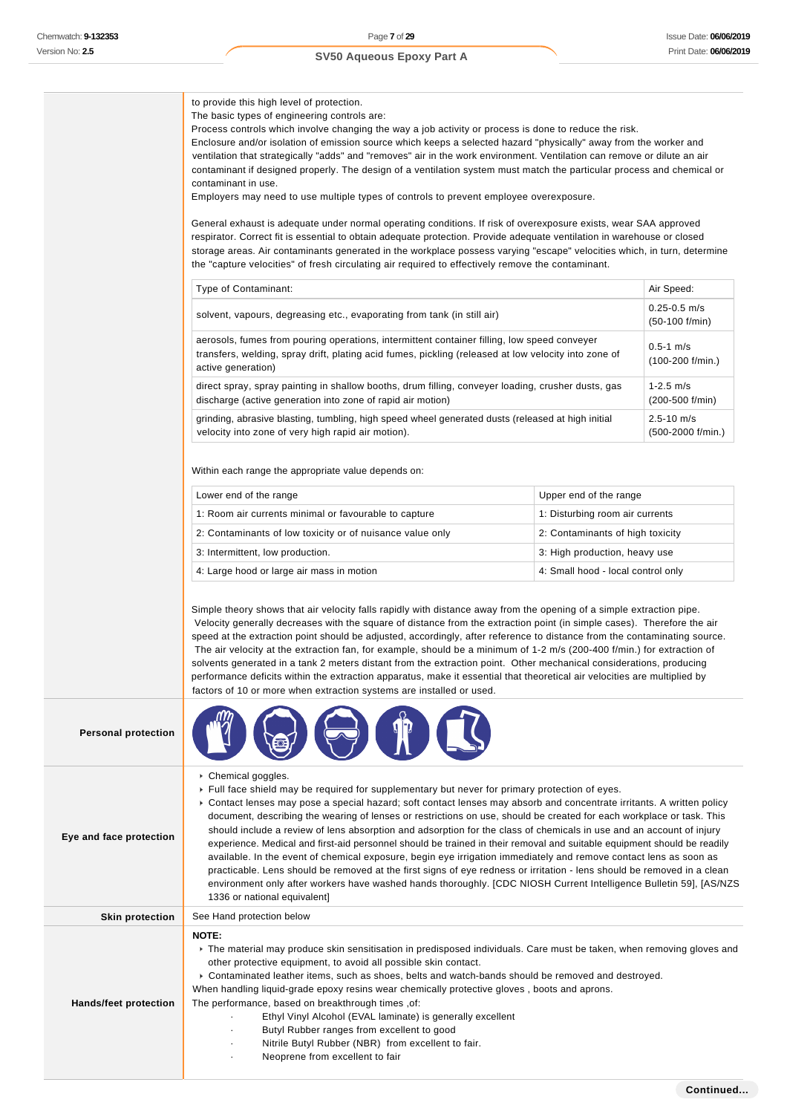to provide this high level of protection. The basic types of engineering controls are: Process controls which involve changing the way a job activity or process is done to reduce the risk. Enclosure and/or isolation of emission source which keeps a selected hazard "physically" away from the worker and ventilation that strategically "adds" and "removes" air in the work environment. Ventilation can remove or dilute an air contaminant if designed properly. The design of a ventilation system must match the particular process and chemical or contaminant in use. Employers may need to use multiple types of controls to prevent employee overexposure. General exhaust is adequate under normal operating conditions. If risk of overexposure exists, wear SAA approved respirator. Correct fit is essential to obtain adequate protection. Provide adequate ventilation in warehouse or closed storage areas. Air contaminants generated in the workplace possess varying "escape" velocities which, in turn, determine the "capture velocities" of fresh circulating air required to effectively remove the contaminant. Type of Contaminant: Air Speed: Air Speed: Air Speed: Air Speed: Air Speed: Air Speed: Air Speed: Air Speed: Air Speed: Air Speed: Air Speed: Air Speed: Air Speed: Air Speed: Air Speed: Air Speed: Air Speed: Air Speed: Air solvent, vapours, degreasing etc., evaporating from tank (in still air) 0.25-0.5 m/s (50-100 f/min) aerosols, fumes from pouring operations, intermittent container filling, low speed conveyer transfers, welding, spray drift, plating acid fumes, pickling (released at low velocity into zone of active generation)  $0.5 - 1 m/s$ (100-200 f/min.) direct spray, spray painting in shallow booths, drum filling, conveyer loading, crusher dusts, gas discharge (active generation into zone of rapid air motion) 1-2.5 m/s (200-500 f/min) grinding, abrasive blasting, tumbling, high speed wheel generated dusts (released at high initial velocity into zone of very high rapid air motion). 2.5-10 m/s (500-2000 f/min.) Within each range the appropriate value depends on: Lower end of the range Upper end of the range 1: Room air currents minimal or favourable to capture 1: Disturbing room air currents 2: Contaminants of low toxicity or of nuisance value only 2: Contaminants of high toxicity 3: Intermittent, low production. 3: High production, heavy use 4: Large hood or large air mass in motion 4: Small hood - local control only Simple theory shows that air velocity falls rapidly with distance away from the opening of a simple extraction pipe. Velocity generally decreases with the square of distance from the extraction point (in simple cases). Therefore the air speed at the extraction point should be adjusted, accordingly, after reference to distance from the contaminating source. The air velocity at the extraction fan, for example, should be a minimum of 1-2 m/s (200-400 f/min.) for extraction of solvents generated in a tank 2 meters distant from the extraction point. Other mechanical considerations, producing performance deficits within the extraction apparatus, make it essential that theoretical air velocities are multiplied by factors of 10 or more when extraction systems are installed or used. **Personal protection Eye and face protection** ▶ Chemical goggles. Full face shield may be required for supplementary but never for primary protection of eyes. Contact lenses may pose a special hazard; soft contact lenses may absorb and concentrate irritants. A written policy document, describing the wearing of lenses or restrictions on use, should be created for each workplace or task. This should include a review of lens absorption and adsorption for the class of chemicals in use and an account of injury experience. Medical and first-aid personnel should be trained in their removal and suitable equipment should be readily available. In the event of chemical exposure, begin eye irrigation immediately and remove contact lens as soon as practicable. Lens should be removed at the first signs of eye redness or irritation - lens should be removed in a clean environment only after workers have washed hands thoroughly. [CDC NIOSH Current Intelligence Bulletin 59], [AS/NZS 1336 or national equivalent] **Skin protection** See Hand protection below **Hands/feet protection NOTE:** The material may produce skin sensitisation in predisposed individuals. Care must be taken, when removing gloves and other protective equipment, to avoid all possible skin contact. Contaminated leather items, such as shoes, belts and watch-bands should be removed and destroyed. When handling liquid-grade epoxy resins wear chemically protective gloves , boots and aprons. The performance, based on breakthrough times ,of:

Ethyl Vinyl Alcohol (EVAL laminate) is generally excellent

Butyl Rubber ranges from excellent to good Nitrile Butyl Rubber (NBR) from excellent to fair.

Neoprene from excellent to fair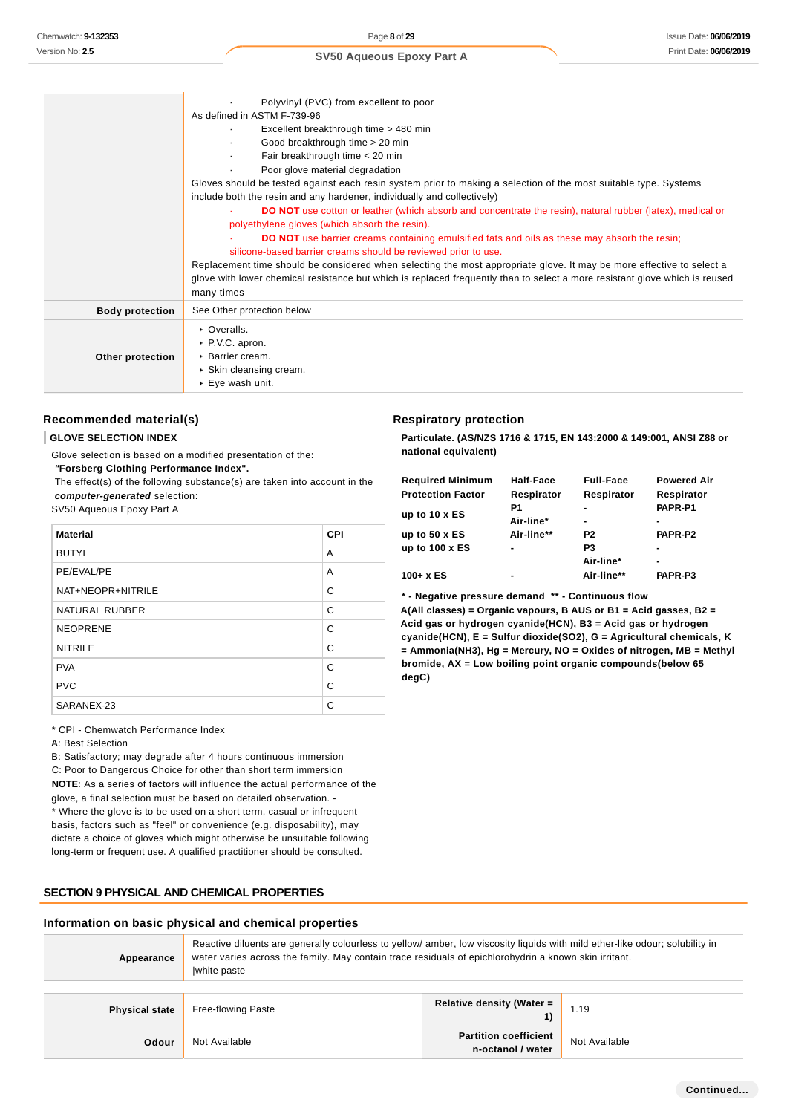| SV50 Aqueous Epoxy Part A |  |
|---------------------------|--|
|                           |  |
|                           |  |

|                        | Polyvinyl (PVC) from excellent to poor<br>As defined in ASTM F-739-96                                                                                                                                                                                                                                                                                                                                                                                                                                                                                                                                                                                                                                                                                                                                                                                                                                                                                             |
|------------------------|-------------------------------------------------------------------------------------------------------------------------------------------------------------------------------------------------------------------------------------------------------------------------------------------------------------------------------------------------------------------------------------------------------------------------------------------------------------------------------------------------------------------------------------------------------------------------------------------------------------------------------------------------------------------------------------------------------------------------------------------------------------------------------------------------------------------------------------------------------------------------------------------------------------------------------------------------------------------|
|                        | Excellent breakthrough time > 480 min<br>Good breakthrough time > 20 min<br>Fair breakthrough time < 20 min<br>Poor glove material degradation<br>Gloves should be tested against each resin system prior to making a selection of the most suitable type. Systems<br>include both the resin and any hardener, individually and collectively)<br><b>DO NOT</b> use cotton or leather (which absorb and concentrate the resin), natural rubber (latex), medical or<br>polyethylene gloves (which absorb the resin).<br><b>DO NOT</b> use barrier creams containing emulsified fats and oils as these may absorb the resin;<br>silicone-based barrier creams should be reviewed prior to use.<br>Replacement time should be considered when selecting the most appropriate glove. It may be more effective to select a<br>glove with lower chemical resistance but which is replaced frequently than to select a more resistant glove which is reused<br>many times |
| <b>Body protection</b> | See Other protection below                                                                                                                                                                                                                                                                                                                                                                                                                                                                                                                                                                                                                                                                                                                                                                                                                                                                                                                                        |
| Other protection       | • Overalls.<br>▶ P.V.C. apron.<br>▶ Barrier cream.<br>$\triangleright$ Skin cleansing cream.<br>$\triangleright$ Eye wash unit.                                                                                                                                                                                                                                                                                                                                                                                                                                                                                                                                                                                                                                                                                                                                                                                                                                   |

## **Recommended material(s)**

#### **GLOVE SELECTION INDEX**

Glove selection is based on a modified presentation of the:

 **"Forsberg Clothing Performance Index".**

 The effect(s) of the following substance(s) are taken into account in the **computer-generated** selection:

SV50 Aqueous Epoxy Part A

| <b>Material</b>       | <b>CPI</b> |
|-----------------------|------------|
| <b>BUTYL</b>          | A          |
| PE/EVAL/PE            | A          |
| NAT+NEOPR+NITRILE     | C          |
| <b>NATURAL RUBBER</b> | C          |
| <b>NEOPRENE</b>       | C          |
| <b>NITRILE</b>        | C          |
| <b>PVA</b>            | C          |
| <b>PVC</b>            | C          |
| SARANEX-23            | C          |

#### \* CPI - Chemwatch Performance Index

A: Best Selection

B: Satisfactory; may degrade after 4 hours continuous immersion C: Poor to Dangerous Choice for other than short term immersion **NOTE**: As a series of factors will influence the actual performance of the glove, a final selection must be based on detailed observation. - \* Where the glove is to be used on a short term, casual or infrequent basis, factors such as "feel" or convenience (e.g. disposability), may dictate a choice of gloves which might otherwise be unsuitable following

long-term or frequent use. A qualified practitioner should be consulted.

#### **SECTION 9 PHYSICAL AND CHEMICAL PROPERTIES**

#### **Information on basic physical and chemical properties**

| Appearance            | Reactive diluents are generally colourless to yellow/ amber, low viscosity liquids with mild ether-like odour; solubility in<br>water varies across the family. May contain trace residuals of epichlorohydrin a known skin irritant.<br>white paste |                                                   |               |
|-----------------------|------------------------------------------------------------------------------------------------------------------------------------------------------------------------------------------------------------------------------------------------------|---------------------------------------------------|---------------|
| <b>Physical state</b> | <b>Free-flowing Paste</b>                                                                                                                                                                                                                            | <b>Relative density (Water =</b>                  | 1.19          |
| Odour                 | Not Available                                                                                                                                                                                                                                        | <b>Partition coefficient</b><br>n-octanol / water | Not Available |

#### **Respiratory protection**

**Particulate. (AS/NZS 1716 & 1715, EN 143:2000 & 149:001, ANSI Z88 or national equivalent)**

| <b>Required Minimum</b><br><b>Protection Factor</b> | Half-Face<br>Respirator | <b>Full-Face</b><br>Respirator | <b>Powered Air</b><br>Respirator |
|-----------------------------------------------------|-------------------------|--------------------------------|----------------------------------|
| up to $10 \times ES$                                | P1<br>Air-line*         |                                | PAPR-P1                          |
| up to $50 \times ES$                                | Air-line**              | P <sub>2</sub>                 | PAPR-P2                          |
| up to $100 \times ES$                               | ۰                       | P <sub>3</sub>                 |                                  |
|                                                     |                         | Air-line*                      | ۰                                |
| $100 + x ES$                                        | ۰                       | Air-line**                     | PAPR-P3                          |

#### **\* - Negative pressure demand \*\* - Continuous flow**

**A(All classes) = Organic vapours, B AUS or B1 = Acid gasses, B2 = Acid gas or hydrogen cyanide(HCN), B3 = Acid gas or hydrogen cyanide(HCN), E = Sulfur dioxide(SO2), G = Agricultural chemicals, K = Ammonia(NH3), Hg = Mercury, NO = Oxides of nitrogen, MB = Methyl bromide, AX = Low boiling point organic compounds(below 65 degC)**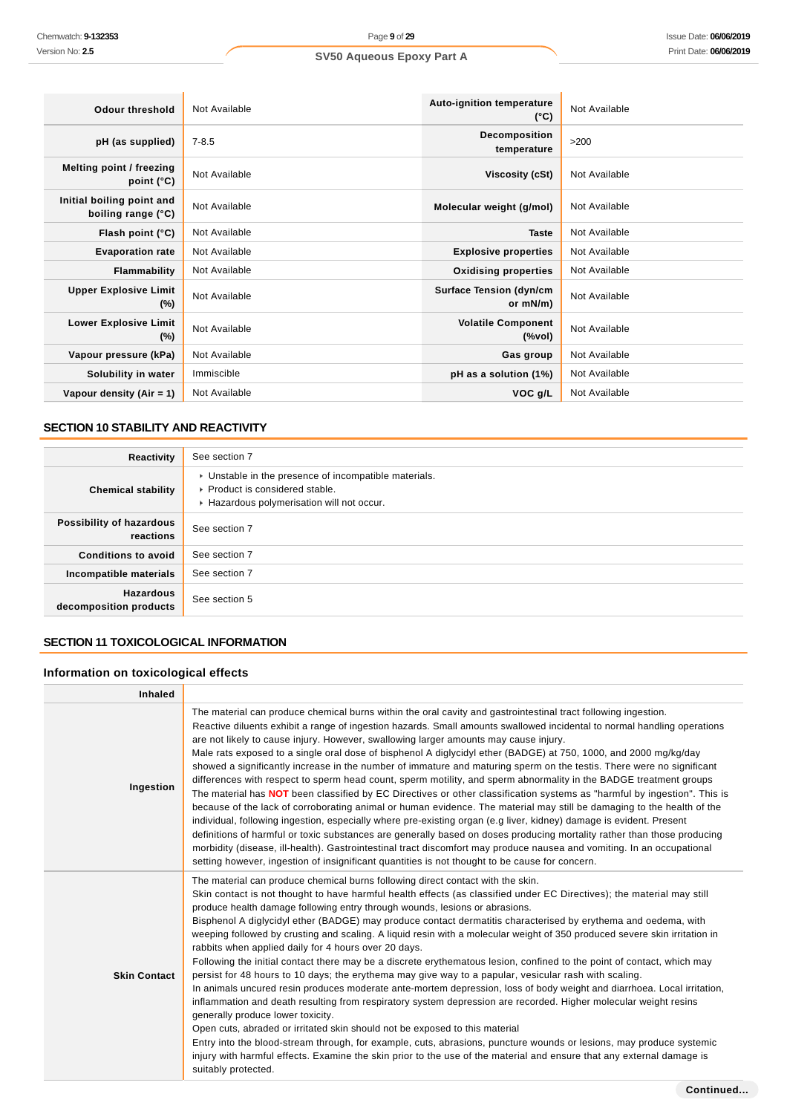| Odour threshold                                 | Not Available | Auto-ignition temperature<br>$(^{\circ}C)$ | Not Available |
|-------------------------------------------------|---------------|--------------------------------------------|---------------|
| pH (as supplied)                                | $7 - 8.5$     | Decomposition<br>temperature               | >200          |
| Melting point / freezing<br>point $(^{\circ}C)$ | Not Available | Viscosity (cSt)                            | Not Available |
| Initial boiling point and<br>boiling range (°C) | Not Available | Molecular weight (g/mol)                   | Not Available |
| Flash point (°C)                                | Not Available | <b>Taste</b>                               | Not Available |
| <b>Evaporation rate</b>                         | Not Available | <b>Explosive properties</b>                | Not Available |
| <b>Flammability</b>                             | Not Available | <b>Oxidising properties</b>                | Not Available |
| <b>Upper Explosive Limit</b><br>$(\%)$          | Not Available | <b>Surface Tension (dyn/cm</b><br>or mN/m) | Not Available |
| <b>Lower Explosive Limit</b><br>$(\%)$          | Not Available | <b>Volatile Component</b><br>$(\%$ vol)    | Not Available |
| Vapour pressure (kPa)                           | Not Available | Gas group                                  | Not Available |
| Solubility in water                             | Immiscible    | pH as a solution (1%)                      | Not Available |
| Vapour density $(Air = 1)$                      | Not Available | VOC <sub>g</sub> /L                        | Not Available |

## **SECTION 10 STABILITY AND REACTIVITY**

| Reactivity                                 | See section 7                                                                                                                        |
|--------------------------------------------|--------------------------------------------------------------------------------------------------------------------------------------|
| <b>Chemical stability</b>                  | • Unstable in the presence of incompatible materials.<br>▶ Product is considered stable.<br>Hazardous polymerisation will not occur. |
| Possibility of hazardous<br>reactions      | See section 7                                                                                                                        |
| <b>Conditions to avoid</b>                 | See section 7                                                                                                                        |
| Incompatible materials                     | See section 7                                                                                                                        |
| <b>Hazardous</b><br>decomposition products | See section 5                                                                                                                        |

## **SECTION 11 TOXICOLOGICAL INFORMATION**

## **Information on toxicological effects**

| <b>Inhaled</b>      |                                                                                                                                                                                                                                                                                                                                                                                                                                                                                                                                                                                                                                                                                                                                                                                                                                                                                                                                                                                                                                                                                                                                                                                                                                                                                                                                                                                                                                                                               |
|---------------------|-------------------------------------------------------------------------------------------------------------------------------------------------------------------------------------------------------------------------------------------------------------------------------------------------------------------------------------------------------------------------------------------------------------------------------------------------------------------------------------------------------------------------------------------------------------------------------------------------------------------------------------------------------------------------------------------------------------------------------------------------------------------------------------------------------------------------------------------------------------------------------------------------------------------------------------------------------------------------------------------------------------------------------------------------------------------------------------------------------------------------------------------------------------------------------------------------------------------------------------------------------------------------------------------------------------------------------------------------------------------------------------------------------------------------------------------------------------------------------|
| Ingestion           | The material can produce chemical burns within the oral cavity and gastrointestinal tract following ingestion.<br>Reactive diluents exhibit a range of ingestion hazards. Small amounts swallowed incidental to normal handling operations<br>are not likely to cause injury. However, swallowing larger amounts may cause injury.<br>Male rats exposed to a single oral dose of bisphenol A diglycidyl ether (BADGE) at 750, 1000, and 2000 mg/kg/day<br>showed a significantly increase in the number of immature and maturing sperm on the testis. There were no significant<br>differences with respect to sperm head count, sperm motility, and sperm abnormality in the BADGE treatment groups<br>The material has NOT been classified by EC Directives or other classification systems as "harmful by ingestion". This is<br>because of the lack of corroborating animal or human evidence. The material may still be damaging to the health of the<br>individual, following ingestion, especially where pre-existing organ (e.g liver, kidney) damage is evident. Present<br>definitions of harmful or toxic substances are generally based on doses producing mortality rather than those producing<br>morbidity (disease, ill-health). Gastrointestinal tract discomfort may produce nausea and vomiting. In an occupational<br>setting however, ingestion of insignificant quantities is not thought to be cause for concern.                                      |
| <b>Skin Contact</b> | The material can produce chemical burns following direct contact with the skin.<br>Skin contact is not thought to have harmful health effects (as classified under EC Directives); the material may still<br>produce health damage following entry through wounds, lesions or abrasions.<br>Bisphenol A diglycidyl ether (BADGE) may produce contact dermatitis characterised by erythema and oedema, with<br>weeping followed by crusting and scaling. A liquid resin with a molecular weight of 350 produced severe skin irritation in<br>rabbits when applied daily for 4 hours over 20 days.<br>Following the initial contact there may be a discrete erythematous lesion, confined to the point of contact, which may<br>persist for 48 hours to 10 days; the erythema may give way to a papular, vesicular rash with scaling.<br>In animals uncured resin produces moderate ante-mortem depression, loss of body weight and diarrhoea. Local irritation,<br>inflammation and death resulting from respiratory system depression are recorded. Higher molecular weight resins<br>generally produce lower toxicity.<br>Open cuts, abraded or irritated skin should not be exposed to this material<br>Entry into the blood-stream through, for example, cuts, abrasions, puncture wounds or lesions, may produce systemic<br>injury with harmful effects. Examine the skin prior to the use of the material and ensure that any external damage is<br>suitably protected. |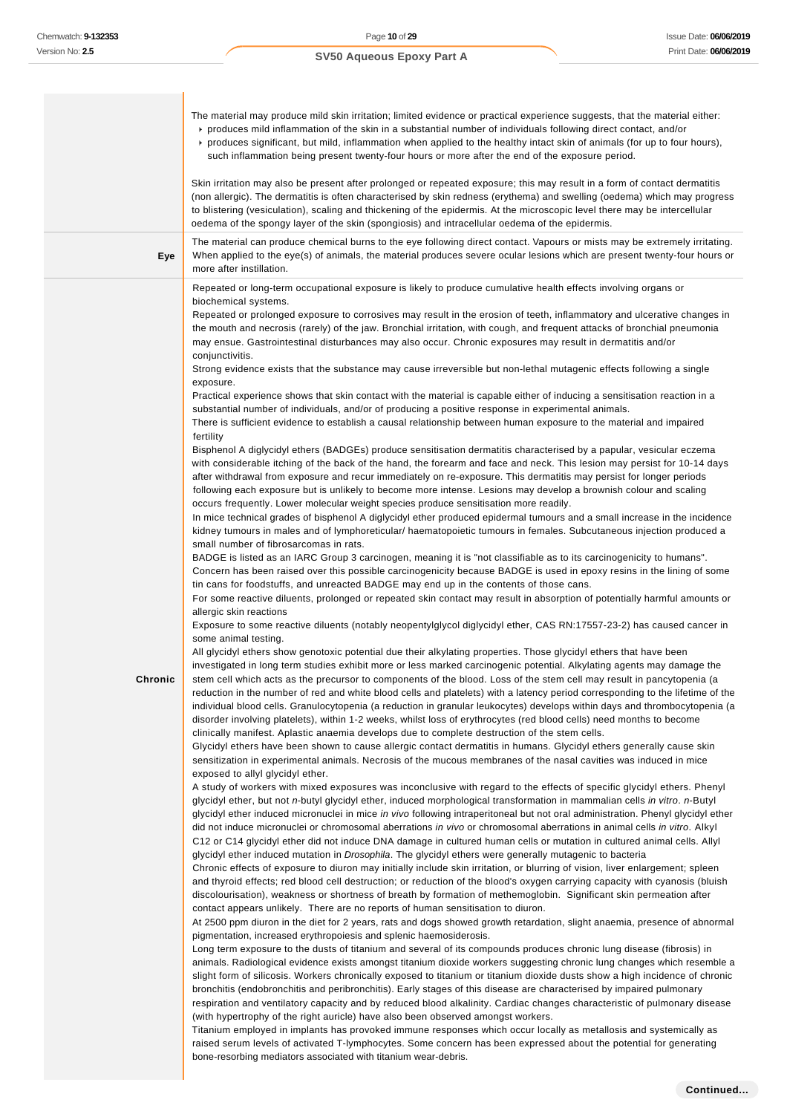|         | The material may produce mild skin irritation; limited evidence or practical experience suggests, that the material either:<br>produces mild inflammation of the skin in a substantial number of individuals following direct contact, and/or<br>► produces significant, but mild, inflammation when applied to the healthy intact skin of animals (for up to four hours),<br>such inflammation being present twenty-four hours or more after the end of the exposure period.<br>Skin irritation may also be present after prolonged or repeated exposure; this may result in a form of contact dermatitis<br>(non allergic). The dermatitis is often characterised by skin redness (erythema) and swelling (oedema) which may progress<br>to blistering (vesiculation), scaling and thickening of the epidermis. At the microscopic level there may be intercellular                                                                                                                                                                                                                                                                                                                                                                                                                                                                                                                                                                                                                                                                                                                                                                                                                                                                                                                                                                                                                                                                                                                                                                                                                                                                                                                                                                                                                                                                                                                                                                                                                                                                                                                                                                                                                                                                                                                                                                                                                                                                                                                                                                                                                                                                                                                                                                                                                                                                                                                                                                                                                                                                                                                                                                                                                                                                                                                                                                                                                                                                                                                                                                                                                                                                                                                                                                                                                                                                                                                                                                                                                                                                                                                                                                                                                                                                                                                                                                                                                                                                                                                                                                                                                                                                                                                                                                                                                                                                                                                                                                                                                                                                                                                                                                                                                                                                                                                                                                                                                                                                                                                                                                                                                                           |
|---------|-----------------------------------------------------------------------------------------------------------------------------------------------------------------------------------------------------------------------------------------------------------------------------------------------------------------------------------------------------------------------------------------------------------------------------------------------------------------------------------------------------------------------------------------------------------------------------------------------------------------------------------------------------------------------------------------------------------------------------------------------------------------------------------------------------------------------------------------------------------------------------------------------------------------------------------------------------------------------------------------------------------------------------------------------------------------------------------------------------------------------------------------------------------------------------------------------------------------------------------------------------------------------------------------------------------------------------------------------------------------------------------------------------------------------------------------------------------------------------------------------------------------------------------------------------------------------------------------------------------------------------------------------------------------------------------------------------------------------------------------------------------------------------------------------------------------------------------------------------------------------------------------------------------------------------------------------------------------------------------------------------------------------------------------------------------------------------------------------------------------------------------------------------------------------------------------------------------------------------------------------------------------------------------------------------------------------------------------------------------------------------------------------------------------------------------------------------------------------------------------------------------------------------------------------------------------------------------------------------------------------------------------------------------------------------------------------------------------------------------------------------------------------------------------------------------------------------------------------------------------------------------------------------------------------------------------------------------------------------------------------------------------------------------------------------------------------------------------------------------------------------------------------------------------------------------------------------------------------------------------------------------------------------------------------------------------------------------------------------------------------------------------------------------------------------------------------------------------------------------------------------------------------------------------------------------------------------------------------------------------------------------------------------------------------------------------------------------------------------------------------------------------------------------------------------------------------------------------------------------------------------------------------------------------------------------------------------------------------------------------------------------------------------------------------------------------------------------------------------------------------------------------------------------------------------------------------------------------------------------------------------------------------------------------------------------------------------------------------------------------------------------------------------------------------------------------------------------------------------------------------------------------------------------------------------------------------------------------------------------------------------------------------------------------------------------------------------------------------------------------------------------------------------------------------------------------------------------------------------------------------------------------------------------------------------------------------------------------------------------------------------------------------------------------------------------------------------------------------------------------------------------------------------------------------------------------------------------------------------------------------------------------------------------------------------------------------------------------------------------------------------------------------------------------------------------------------------------------------------------------------------------------------------------------------------------------------------------------------------------------------------------------------------------------------------------------------------------------------------------------------------------------------------------------------------------------------------------------------------------------------------------------------------------------------------------------------------------------------------------------------------------------------------------------------------------------------------------------------------------------|
|         | oedema of the spongy layer of the skin (spongiosis) and intracellular oedema of the epidermis.                                                                                                                                                                                                                                                                                                                                                                                                                                                                                                                                                                                                                                                                                                                                                                                                                                                                                                                                                                                                                                                                                                                                                                                                                                                                                                                                                                                                                                                                                                                                                                                                                                                                                                                                                                                                                                                                                                                                                                                                                                                                                                                                                                                                                                                                                                                                                                                                                                                                                                                                                                                                                                                                                                                                                                                                                                                                                                                                                                                                                                                                                                                                                                                                                                                                                                                                                                                                                                                                                                                                                                                                                                                                                                                                                                                                                                                                                                                                                                                                                                                                                                                                                                                                                                                                                                                                                                                                                                                                                                                                                                                                                                                                                                                                                                                                                                                                                                                                                                                                                                                                                                                                                                                                                                                                                                                                                                                                                                                                                                                                                                                                                                                                                                                                                                                                                                                                                                                                                                                                                  |
| Eye     | The material can produce chemical burns to the eye following direct contact. Vapours or mists may be extremely irritating.<br>When applied to the eye(s) of animals, the material produces severe ocular lesions which are present twenty-four hours or<br>more after instillation.                                                                                                                                                                                                                                                                                                                                                                                                                                                                                                                                                                                                                                                                                                                                                                                                                                                                                                                                                                                                                                                                                                                                                                                                                                                                                                                                                                                                                                                                                                                                                                                                                                                                                                                                                                                                                                                                                                                                                                                                                                                                                                                                                                                                                                                                                                                                                                                                                                                                                                                                                                                                                                                                                                                                                                                                                                                                                                                                                                                                                                                                                                                                                                                                                                                                                                                                                                                                                                                                                                                                                                                                                                                                                                                                                                                                                                                                                                                                                                                                                                                                                                                                                                                                                                                                                                                                                                                                                                                                                                                                                                                                                                                                                                                                                                                                                                                                                                                                                                                                                                                                                                                                                                                                                                                                                                                                                                                                                                                                                                                                                                                                                                                                                                                                                                                                                             |
| Chronic | biochemical systems.<br>Repeated or prolonged exposure to corrosives may result in the erosion of teeth, inflammatory and ulcerative changes in<br>the mouth and necrosis (rarely) of the jaw. Bronchial irritation, with cough, and frequent attacks of bronchial pneumonia<br>may ensue. Gastrointestinal disturbances may also occur. Chronic exposures may result in dermatitis and/or<br>conjunctivitis.<br>Strong evidence exists that the substance may cause irreversible but non-lethal mutagenic effects following a single<br>exposure.<br>Practical experience shows that skin contact with the material is capable either of inducing a sensitisation reaction in a<br>substantial number of individuals, and/or of producing a positive response in experimental animals.<br>There is sufficient evidence to establish a causal relationship between human exposure to the material and impaired<br>fertility<br>Bisphenol A diglycidyl ethers (BADGEs) produce sensitisation dermatitis characterised by a papular, vesicular eczema<br>with considerable itching of the back of the hand, the forearm and face and neck. This lesion may persist for 10-14 days<br>after withdrawal from exposure and recur immediately on re-exposure. This dermatitis may persist for longer periods<br>following each exposure but is unlikely to become more intense. Lesions may develop a brownish colour and scaling<br>occurs frequently. Lower molecular weight species produce sensitisation more readily.<br>In mice technical grades of bisphenol A diglycidyl ether produced epidermal tumours and a small increase in the incidence<br>kidney tumours in males and of lymphoreticular/ haematopoietic tumours in females. Subcutaneous injection produced a<br>small number of fibrosarcomas in rats.<br>BADGE is listed as an IARC Group 3 carcinogen, meaning it is "not classifiable as to its carcinogenicity to humans".<br>Concern has been raised over this possible carcinogenicity because BADGE is used in epoxy resins in the lining of some<br>tin cans for foodstuffs, and unreacted BADGE may end up in the contents of those cans.<br>For some reactive diluents, prolonged or repeated skin contact may result in absorption of potentially harmful amounts or<br>allergic skin reactions<br>Exposure to some reactive diluents (notably neopentylglycol diglycidyl ether, CAS RN:17557-23-2) has caused cancer in<br>some animal testing.<br>All glycidyl ethers show genotoxic potential due their alkylating properties. Those glycidyl ethers that have been<br>investigated in long term studies exhibit more or less marked carcinogenic potential. Alkylating agents may damage the<br>stem cell which acts as the precursor to components of the blood. Loss of the stem cell may result in pancytopenia (a<br>reduction in the number of red and white blood cells and platelets) with a latency period corresponding to the lifetime of the<br>individual blood cells. Granulocytopenia (a reduction in granular leukocytes) develops within days and thrombocytopenia (a<br>disorder involving platelets), within 1-2 weeks, whilst loss of erythrocytes (red blood cells) need months to become<br>clinically manifest. Aplastic anaemia develops due to complete destruction of the stem cells.<br>Glycidyl ethers have been shown to cause allergic contact dermatitis in humans. Glycidyl ethers generally cause skin<br>sensitization in experimental animals. Necrosis of the mucous membranes of the nasal cavities was induced in mice<br>exposed to allyl glycidyl ether.<br>A study of workers with mixed exposures was inconclusive with regard to the effects of specific glycidyl ethers. Phenyl<br>glycidyl ether, but not n-butyl glycidyl ether, induced morphological transformation in mammalian cells in vitro. n-Butyl<br>glycidyl ether induced micronuclei in mice in vivo following intraperitoneal but not oral administration. Phenyl glycidyl ether<br>did not induce micronuclei or chromosomal aberrations in vivo or chromosomal aberrations in animal cells in vitro. Alkyl<br>C12 or C14 glycidyl ether did not induce DNA damage in cultured human cells or mutation in cultured animal cells. Allyl<br>glycidyl ether induced mutation in Drosophila. The glycidyl ethers were generally mutagenic to bacteria<br>Chronic effects of exposure to diuron may initially include skin irritation, or blurring of vision, liver enlargement; spleen<br>and thyroid effects; red blood cell destruction; or reduction of the blood's oxygen carrying capacity with cyanosis (bluish<br>discolourisation), weakness or shortness of breath by formation of methemoglobin. Significant skin permeation after<br>contact appears unlikely. There are no reports of human sensitisation to diuron.<br>At 2500 ppm diuron in the diet for 2 years, rats and dogs showed growth retardation, slight anaemia, presence of abnormal<br>pigmentation, increased erythropoiesis and splenic haemosiderosis.<br>Long term exposure to the dusts of titanium and several of its compounds produces chronic lung disease (fibrosis) in<br>animals. Radiological evidence exists amongst titanium dioxide workers suggesting chronic lung changes which resemble a<br>slight form of silicosis. Workers chronically exposed to titanium or titanium dioxide dusts show a high incidence of chronic<br>bronchitis (endobronchitis and peribronchitis). Early stages of this disease are characterised by impaired pulmonary<br>respiration and ventilatory capacity and by reduced blood alkalinity. Cardiac changes characteristic of pulmonary disease<br>(with hypertrophy of the right auricle) have also been observed amongst workers.<br>Titanium employed in implants has provoked immune responses which occur locally as metallosis and systemically as<br>raised serum levels of activated T-lymphocytes. Some concern has been expressed about the potential for generating<br>bone-resorbing mediators associated with titanium wear-debris. |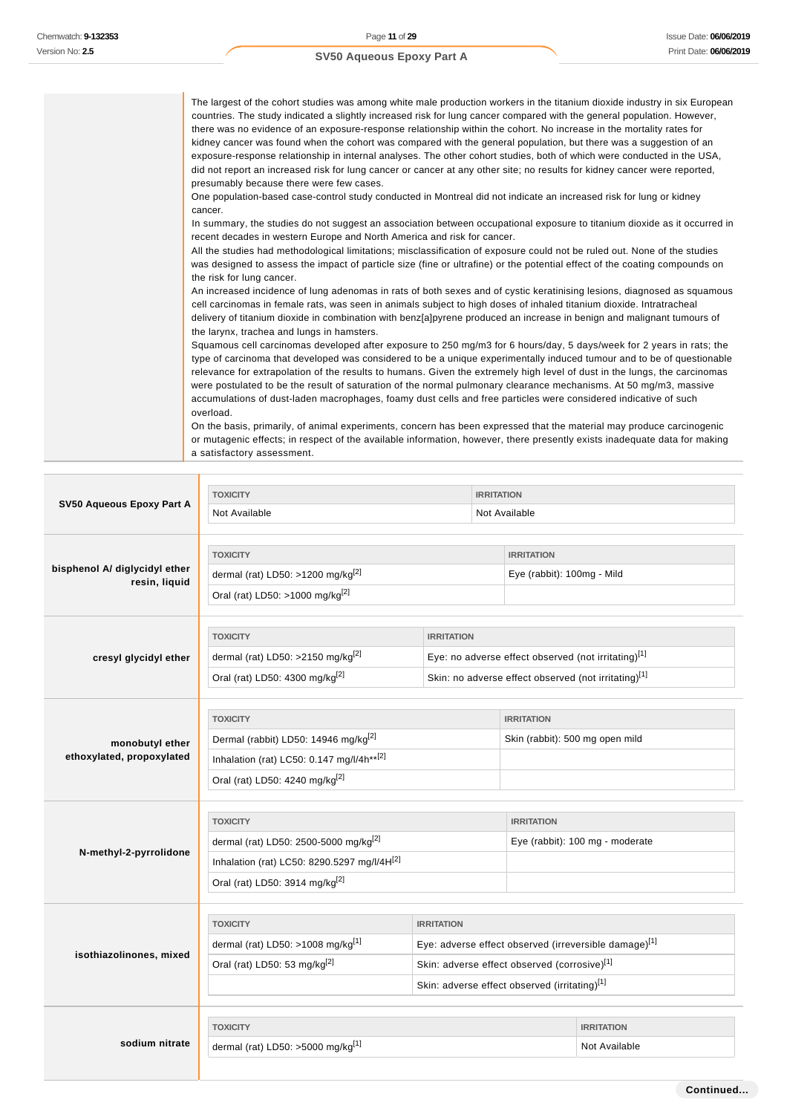The largest of the cohort studies was among white male production workers in the titanium dioxide industry in six European countries. The study indicated a slightly increased risk for lung cancer compared with the general population. However, there was no evidence of an exposure-response relationship within the cohort. No increase in the mortality rates for kidney cancer was found when the cohort was compared with the general population, but there was a suggestion of an exposure-response relationship in internal analyses. The other cohort studies, both of which were conducted in the USA, did not report an increased risk for lung cancer or cancer at any other site; no results for kidney cancer were reported, presumably because there were few cases. One population-based case-control study conducted in Montreal did not indicate an increased risk for lung or kidney cancer. In summary, the studies do not suggest an association between occupational exposure to titanium dioxide as it occurred in recent decades in western Europe and North America and risk for cancer. All the studies had methodological limitations; misclassification of exposure could not be ruled out. None of the studies was designed to assess the impact of particle size (fine or ultrafine) or the potential effect of the coating compounds on the risk for lung cancer. An increased incidence of lung adenomas in rats of both sexes and of cystic keratinising lesions, diagnosed as squamous cell carcinomas in female rats, was seen in animals subject to high doses of inhaled titanium dioxide. Intratracheal delivery of titanium dioxide in combination with benz[a]pyrene produced an increase in benign and malignant tumours of the larynx, trachea and lungs in hamsters. Squamous cell carcinomas developed after exposure to 250 mg/m3 for 6 hours/day, 5 days/week for 2 years in rats; the type of carcinoma that developed was considered to be a unique experimentally induced tumour and to be of questionable relevance for extrapolation of the results to humans. Given the extremely high level of dust in the lungs, the carcinomas were postulated to be the result of saturation of the normal pulmonary clearance mechanisms. At 50 mg/m3, massive accumulations of dust-laden macrophages, foamy dust cells and free particles were considered indicative of such overload. On the basis, primarily, of animal experiments, concern has been expressed that the material may produce carcinogenic or mutagenic effects; in respect of the available information, however, there presently exists inadequate data for making a satisfactory assessment.

|                                                | <b>TOXICITY</b>                                         |                   | <b>IRRITATION</b>                                     |                                 |                                                      |
|------------------------------------------------|---------------------------------------------------------|-------------------|-------------------------------------------------------|---------------------------------|------------------------------------------------------|
| SV50 Aqueous Epoxy Part A                      | Not Available<br>Not Available                          |                   |                                                       |                                 |                                                      |
|                                                |                                                         |                   |                                                       |                                 |                                                      |
|                                                | <b>TOXICITY</b>                                         |                   |                                                       | <b>IRRITATION</b>               |                                                      |
| bisphenol A/ diglycidyl ether<br>resin, liquid | dermal (rat) LD50: >1200 mg/kg <sup>[2]</sup>           |                   |                                                       | Eye (rabbit): 100mg - Mild      |                                                      |
|                                                | Oral (rat) LD50: >1000 mg/kg <sup>[2]</sup>             |                   |                                                       |                                 |                                                      |
|                                                |                                                         |                   |                                                       |                                 |                                                      |
|                                                | <b>TOXICITY</b>                                         | <b>IRRITATION</b> |                                                       |                                 |                                                      |
| cresyl glycidyl ether                          | dermal (rat) LD50: >2150 mg/kg $^{[2]}$                 |                   |                                                       |                                 | Eye: no adverse effect observed (not irritating)[1]  |
|                                                | Oral (rat) LD50: 4300 mg/kg <sup>[2]</sup>              |                   |                                                       |                                 | Skin: no adverse effect observed (not irritating)[1] |
|                                                |                                                         |                   |                                                       |                                 |                                                      |
|                                                | <b>TOXICITY</b>                                         |                   |                                                       | <b>IRRITATION</b>               |                                                      |
| monobutyl ether                                | Dermal (rabbit) LD50: 14946 mg/kg <sup>[2]</sup>        |                   |                                                       | Skin (rabbit): 500 mg open mild |                                                      |
| ethoxylated, propoxylated                      | Inhalation (rat) LC50: 0.147 mg/l/4h** <sup>[2]</sup>   |                   |                                                       |                                 |                                                      |
|                                                | Oral (rat) LD50: 4240 mg/kg <sup>[2]</sup>              |                   |                                                       |                                 |                                                      |
|                                                |                                                         |                   |                                                       |                                 |                                                      |
|                                                | <b>TOXICITY</b>                                         |                   |                                                       | <b>IRRITATION</b>               |                                                      |
| N-methyl-2-pyrrolidone                         | dermal (rat) LD50: 2500-5000 mg/kg <sup>[2]</sup>       |                   |                                                       | Eye (rabbit): 100 mg - moderate |                                                      |
|                                                | Inhalation (rat) LC50: 8290.5297 mg/l/4H <sup>[2]</sup> |                   |                                                       |                                 |                                                      |
|                                                | Oral (rat) LD50: 3914 mg/kg <sup>[2]</sup>              |                   |                                                       |                                 |                                                      |
|                                                |                                                         |                   |                                                       |                                 |                                                      |
|                                                | <b>TOXICITY</b>                                         | <b>IRRITATION</b> |                                                       |                                 |                                                      |
| isothiazolinones, mixed                        | dermal (rat) LD50: >1008 mg/kg $[1]$                    |                   | Eye: adverse effect observed (irreversible damage)[1] |                                 |                                                      |
|                                                | Oral (rat) LD50: 53 mg/kg <sup>[2]</sup>                |                   | Skin: adverse effect observed (corrosive)[1]          |                                 |                                                      |
|                                                | Skin: adverse effect observed (irritating)[1]           |                   |                                                       |                                 |                                                      |
|                                                |                                                         |                   |                                                       |                                 |                                                      |
|                                                | <b>TOXICITY</b>                                         |                   |                                                       |                                 | <b>IRRITATION</b>                                    |
| sodium nitrate                                 | dermal (rat) LD50: >5000 mg/kg[1]                       |                   |                                                       | Not Available                   |                                                      |
|                                                |                                                         |                   |                                                       |                                 |                                                      |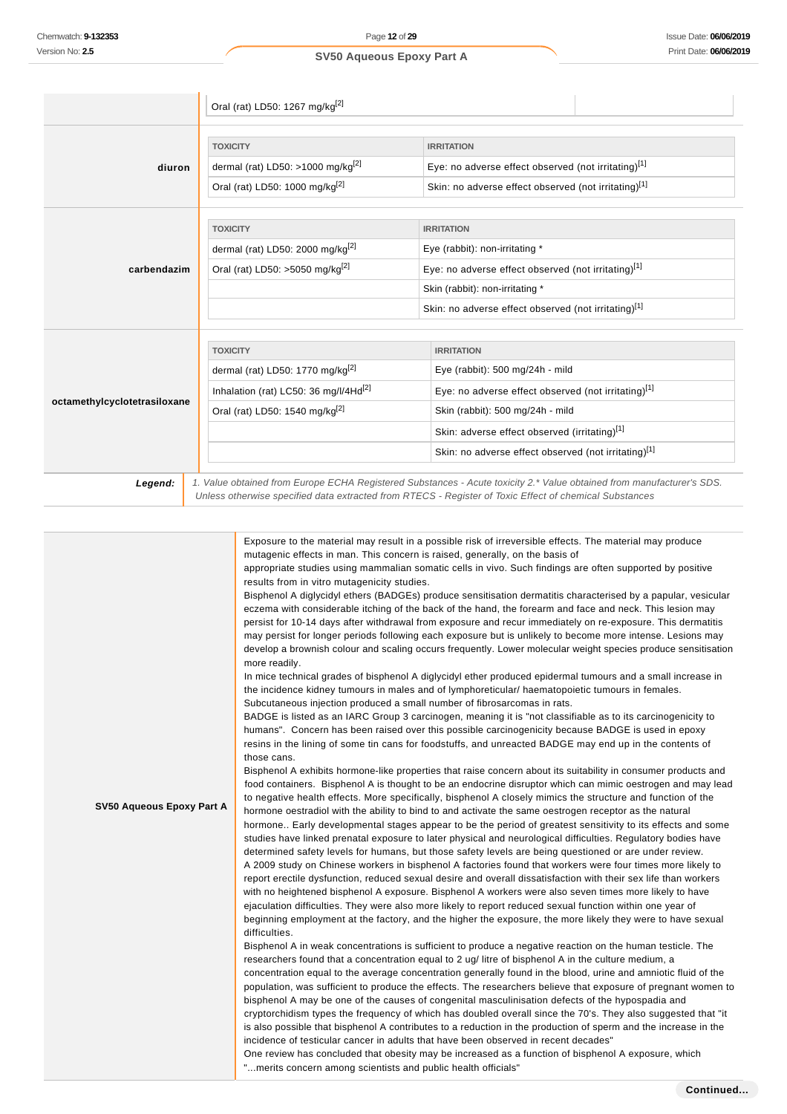|                              | Oral (rat) LD50: 1267 mg/kg <sup>[2]</sup>        |                                                                                                                                                                                                                                 |  |
|------------------------------|---------------------------------------------------|---------------------------------------------------------------------------------------------------------------------------------------------------------------------------------------------------------------------------------|--|
|                              |                                                   |                                                                                                                                                                                                                                 |  |
|                              | <b>TOXICITY</b>                                   | <b>IRRITATION</b>                                                                                                                                                                                                               |  |
| diuron                       | dermal (rat) LD50: >1000 mg/kg $^{[2]}$           | Eye: no adverse effect observed (not irritating)[1]                                                                                                                                                                             |  |
|                              | Oral (rat) LD50: 1000 mg/kg <sup>[2]</sup>        | Skin: no adverse effect observed (not irritating)[1]                                                                                                                                                                            |  |
|                              |                                                   |                                                                                                                                                                                                                                 |  |
|                              | <b>TOXICITY</b>                                   | <b>IRRITATION</b>                                                                                                                                                                                                               |  |
|                              | dermal (rat) LD50: 2000 mg/kg <sup>[2]</sup>      | Eye (rabbit): non-irritating *                                                                                                                                                                                                  |  |
| carbendazim                  | Oral (rat) LD50: >5050 mg/kg <sup>[2]</sup>       | Eye: no adverse effect observed (not irritating)[1]                                                                                                                                                                             |  |
|                              |                                                   | Skin (rabbit): non-irritating *                                                                                                                                                                                                 |  |
|                              |                                                   | Skin: no adverse effect observed (not irritating)[1]                                                                                                                                                                            |  |
|                              |                                                   |                                                                                                                                                                                                                                 |  |
|                              | <b>TOXICITY</b>                                   | <b>IRRITATION</b>                                                                                                                                                                                                               |  |
|                              | dermal (rat) LD50: 1770 mg/kg <sup>[2]</sup>      | Eye (rabbit): 500 mg/24h - mild                                                                                                                                                                                                 |  |
|                              | Inhalation (rat) LC50: 36 mg/l/4Hd <sup>[2]</sup> | Eye: no adverse effect observed (not irritating)[1]                                                                                                                                                                             |  |
| octamethylcyclotetrasiloxane | Oral (rat) LD50: 1540 mg/kg <sup>[2]</sup>        | Skin (rabbit): 500 mg/24h - mild                                                                                                                                                                                                |  |
|                              |                                                   | Skin: adverse effect observed (irritating)[1]                                                                                                                                                                                   |  |
|                              |                                                   | Skin: no adverse effect observed (not irritating)[1]                                                                                                                                                                            |  |
|                              |                                                   |                                                                                                                                                                                                                                 |  |
| Legend:                      |                                                   | 1. Value obtained from Europe ECHA Registered Substances - Acute toxicity 2.* Value obtained from manufacturer's SDS.<br>Unless otherwise specified data extracted from RTECS - Register of Toxic Effect of chemical Substances |  |

| SV50 Aqueous Epoxy Part A | Exposure to the material may result in a possible risk of irreversible effects. The material may produce<br>mutagenic effects in man. This concern is raised, generally, on the basis of<br>appropriate studies using mammalian somatic cells in vivo. Such findings are often supported by positive<br>results from in vitro mutagenicity studies.<br>Bisphenol A diglycidyl ethers (BADGEs) produce sensitisation dermatitis characterised by a papular, vesicular<br>eczema with considerable itching of the back of the hand, the forearm and face and neck. This lesion may<br>persist for 10-14 days after withdrawal from exposure and recur immediately on re-exposure. This dermatitis<br>may persist for longer periods following each exposure but is unlikely to become more intense. Lesions may<br>develop a brownish colour and scaling occurs frequently. Lower molecular weight species produce sensitisation<br>more readily.<br>In mice technical grades of bisphenol A diglycidyl ether produced epidermal tumours and a small increase in<br>the incidence kidney tumours in males and of lymphoreticular/ haematopoietic tumours in females.<br>Subcutaneous injection produced a small number of fibrosarcomas in rats.<br>BADGE is listed as an IARC Group 3 carcinogen, meaning it is "not classifiable as to its carcinogenicity to<br>humans". Concern has been raised over this possible carcinogenicity because BADGE is used in epoxy<br>resins in the lining of some tin cans for foodstuffs, and unreacted BADGE may end up in the contents of<br>those cans.<br>Bisphenol A exhibits hormone-like properties that raise concern about its suitability in consumer products and<br>food containers. Bisphenol A is thought to be an endocrine disruptor which can mimic oestrogen and may lead<br>to negative health effects. More specifically, bisphenol A closely mimics the structure and function of the<br>hormone oestradiol with the ability to bind to and activate the same oestrogen receptor as the natural<br>hormone Early developmental stages appear to be the period of greatest sensitivity to its effects and some<br>studies have linked prenatal exposure to later physical and neurological difficulties. Regulatory bodies have<br>determined safety levels for humans, but those safety levels are being questioned or are under review.<br>A 2009 study on Chinese workers in bisphenol A factories found that workers were four times more likely to<br>report erectile dysfunction, reduced sexual desire and overall dissatisfaction with their sex life than workers<br>with no heightened bisphenol A exposure. Bisphenol A workers were also seven times more likely to have<br>ejaculation difficulties. They were also more likely to report reduced sexual function within one year of<br>beginning employment at the factory, and the higher the exposure, the more likely they were to have sexual<br>difficulties.<br>Bisphenol A in weak concentrations is sufficient to produce a negative reaction on the human testicle. The<br>researchers found that a concentration equal to 2 ug/ litre of bisphenol A in the culture medium, a<br>concentration equal to the average concentration generally found in the blood, urine and amniotic fluid of the<br>population, was sufficient to produce the effects. The researchers believe that exposure of pregnant women to<br>bisphenol A may be one of the causes of congenital masculinisation defects of the hypospadia and<br>cryptorchidism types the frequency of which has doubled overall since the 70's. They also suggested that "it<br>is also possible that bisphenol A contributes to a reduction in the production of sperm and the increase in the<br>incidence of testicular cancer in adults that have been observed in recent decades"<br>One review has concluded that obesity may be increased as a function of bisphenol A exposure, which<br>"merits concern among scientists and public health officials" |
|---------------------------|-------------------------------------------------------------------------------------------------------------------------------------------------------------------------------------------------------------------------------------------------------------------------------------------------------------------------------------------------------------------------------------------------------------------------------------------------------------------------------------------------------------------------------------------------------------------------------------------------------------------------------------------------------------------------------------------------------------------------------------------------------------------------------------------------------------------------------------------------------------------------------------------------------------------------------------------------------------------------------------------------------------------------------------------------------------------------------------------------------------------------------------------------------------------------------------------------------------------------------------------------------------------------------------------------------------------------------------------------------------------------------------------------------------------------------------------------------------------------------------------------------------------------------------------------------------------------------------------------------------------------------------------------------------------------------------------------------------------------------------------------------------------------------------------------------------------------------------------------------------------------------------------------------------------------------------------------------------------------------------------------------------------------------------------------------------------------------------------------------------------------------------------------------------------------------------------------------------------------------------------------------------------------------------------------------------------------------------------------------------------------------------------------------------------------------------------------------------------------------------------------------------------------------------------------------------------------------------------------------------------------------------------------------------------------------------------------------------------------------------------------------------------------------------------------------------------------------------------------------------------------------------------------------------------------------------------------------------------------------------------------------------------------------------------------------------------------------------------------------------------------------------------------------------------------------------------------------------------------------------------------------------------------------------------------------------------------------------------------------------------------------------------------------------------------------------------------------------------------------------------------------------------------------------------------------------------------------------------------------------------------------------------------------------------------------------------------------------------------------------------------------------------------------------------------------------------------------------------------------------------------------------------------------------------------------------------------------------------------------------------------------------------------------------------------------|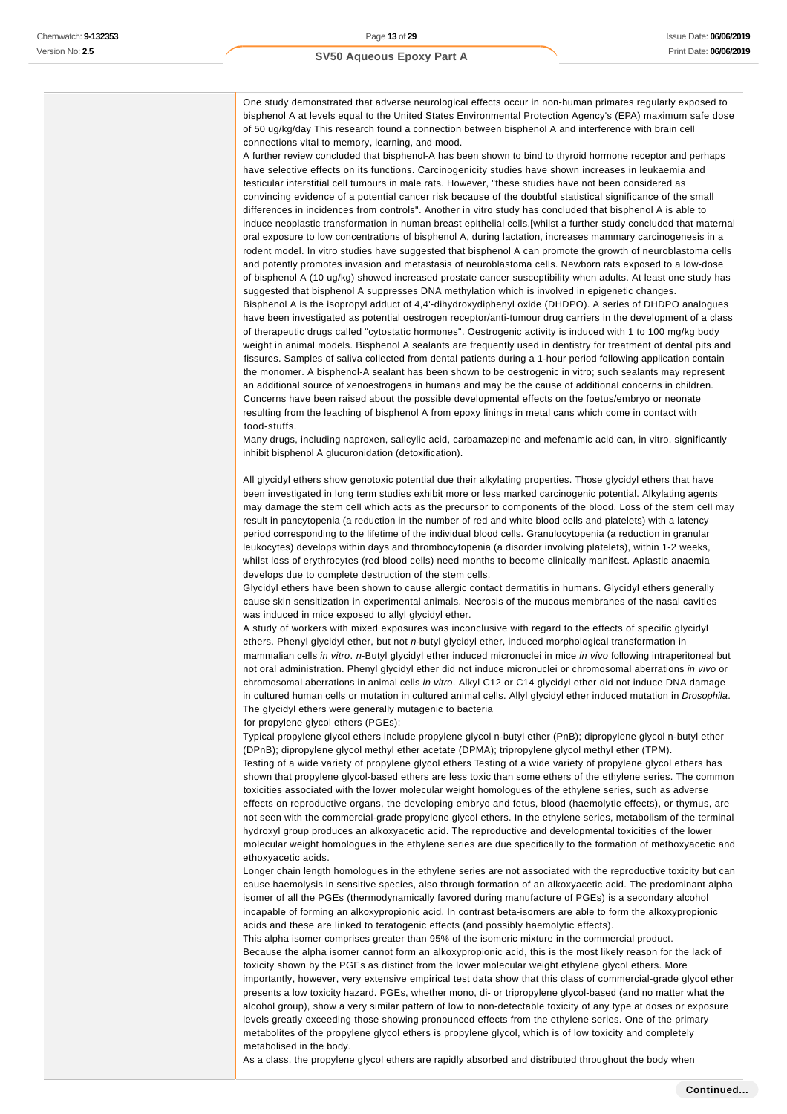One study demonstrated that adverse neurological effects occur in non-human primates regularly exposed to bisphenol A at levels equal to the United States Environmental Protection Agency's (EPA) maximum safe dose of 50 ug/kg/day This research found a connection between bisphenol A and interference with brain cell connections vital to memory, learning, and mood.

A further review concluded that bisphenol-A has been shown to bind to thyroid hormone receptor and perhaps have selective effects on its functions. Carcinogenicity studies have shown increases in leukaemia and testicular interstitial cell tumours in male rats. However, "these studies have not been considered as convincing evidence of a potential cancer risk because of the doubtful statistical significance of the small differences in incidences from controls". Another in vitro study has concluded that bisphenol A is able to induce neoplastic transformation in human breast epithelial cells.[whilst a further study concluded that maternal oral exposure to low concentrations of bisphenol A, during lactation, increases mammary carcinogenesis in a rodent model. In vitro studies have suggested that bisphenol A can promote the growth of neuroblastoma cells and potently promotes invasion and metastasis of neuroblastoma cells. Newborn rats exposed to a low-dose of bisphenol A (10 ug/kg) showed increased prostate cancer susceptibility when adults. At least one study has suggested that bisphenol A suppresses DNA methylation which is involved in epigenetic changes. Bisphenol A is the isopropyl adduct of 4,4'-dihydroxydiphenyl oxide (DHDPO). A series of DHDPO analogues have been investigated as potential oestrogen receptor/anti-tumour drug carriers in the development of a class of therapeutic drugs called "cytostatic hormones". Oestrogenic activity is induced with 1 to 100 mg/kg body weight in animal models. Bisphenol A sealants are frequently used in dentistry for treatment of dental pits and fissures. Samples of saliva collected from dental patients during a 1-hour period following application contain the monomer. A bisphenol-A sealant has been shown to be oestrogenic in vitro; such sealants may represent an additional source of xenoestrogens in humans and may be the cause of additional concerns in children. Concerns have been raised about the possible developmental effects on the foetus/embryo or neonate resulting from the leaching of bisphenol A from epoxy linings in metal cans which come in contact with food-stuffs.

Many drugs, including naproxen, salicylic acid, carbamazepine and mefenamic acid can, in vitro, significantly inhibit bisphenol A glucuronidation (detoxification).

All glycidyl ethers show genotoxic potential due their alkylating properties. Those glycidyl ethers that have been investigated in long term studies exhibit more or less marked carcinogenic potential. Alkylating agents may damage the stem cell which acts as the precursor to components of the blood. Loss of the stem cell may result in pancytopenia (a reduction in the number of red and white blood cells and platelets) with a latency period corresponding to the lifetime of the individual blood cells. Granulocytopenia (a reduction in granular leukocytes) develops within days and thrombocytopenia (a disorder involving platelets), within 1-2 weeks, whilst loss of erythrocytes (red blood cells) need months to become clinically manifest. Aplastic anaemia develops due to complete destruction of the stem cells.

Glycidyl ethers have been shown to cause allergic contact dermatitis in humans. Glycidyl ethers generally cause skin sensitization in experimental animals. Necrosis of the mucous membranes of the nasal cavities was induced in mice exposed to allyl glycidyl ether.

A study of workers with mixed exposures was inconclusive with regard to the effects of specific glycidyl ethers. Phenyl glycidyl ether, but not n-butyl glycidyl ether, induced morphological transformation in mammalian cells in vitro. n-Butyl glycidyl ether induced micronuclei in mice in vivo following intraperitoneal but not oral administration. Phenyl glycidyl ether did not induce micronuclei or chromosomal aberrations in vivo or chromosomal aberrations in animal cells in vitro. Alkyl C12 or C14 glycidyl ether did not induce DNA damage in cultured human cells or mutation in cultured animal cells. Allyl glycidyl ether induced mutation in Drosophila. The glycidyl ethers were generally mutagenic to bacteria

for propylene glycol ethers (PGEs):

Typical propylene glycol ethers include propylene glycol n-butyl ether (PnB); dipropylene glycol n-butyl ether (DPnB); dipropylene glycol methyl ether acetate (DPMA); tripropylene glycol methyl ether (TPM).

Testing of a wide variety of propylene glycol ethers Testing of a wide variety of propylene glycol ethers has shown that propylene glycol-based ethers are less toxic than some ethers of the ethylene series. The common toxicities associated with the lower molecular weight homologues of the ethylene series, such as adverse effects on reproductive organs, the developing embryo and fetus, blood (haemolytic effects), or thymus, are not seen with the commercial-grade propylene glycol ethers. In the ethylene series, metabolism of the terminal hydroxyl group produces an alkoxyacetic acid. The reproductive and developmental toxicities of the lower molecular weight homologues in the ethylene series are due specifically to the formation of methoxyacetic and ethoxyacetic acids.

Longer chain length homologues in the ethylene series are not associated with the reproductive toxicity but can cause haemolysis in sensitive species, also through formation of an alkoxyacetic acid. The predominant alpha isomer of all the PGEs (thermodynamically favored during manufacture of PGEs) is a secondary alcohol incapable of forming an alkoxypropionic acid. In contrast beta-isomers are able to form the alkoxypropionic acids and these are linked to teratogenic effects (and possibly haemolytic effects).

This alpha isomer comprises greater than 95% of the isomeric mixture in the commercial product. Because the alpha isomer cannot form an alkoxypropionic acid, this is the most likely reason for the lack of toxicity shown by the PGEs as distinct from the lower molecular weight ethylene glycol ethers. More importantly, however, very extensive empirical test data show that this class of commercial-grade glycol ether presents a low toxicity hazard. PGEs, whether mono, di- or tripropylene glycol-based (and no matter what the alcohol group), show a very similar pattern of low to non-detectable toxicity of any type at doses or exposure levels greatly exceeding those showing pronounced effects from the ethylene series. One of the primary metabolites of the propylene glycol ethers is propylene glycol, which is of low toxicity and completely metabolised in the body.

As a class, the propylene glycol ethers are rapidly absorbed and distributed throughout the body when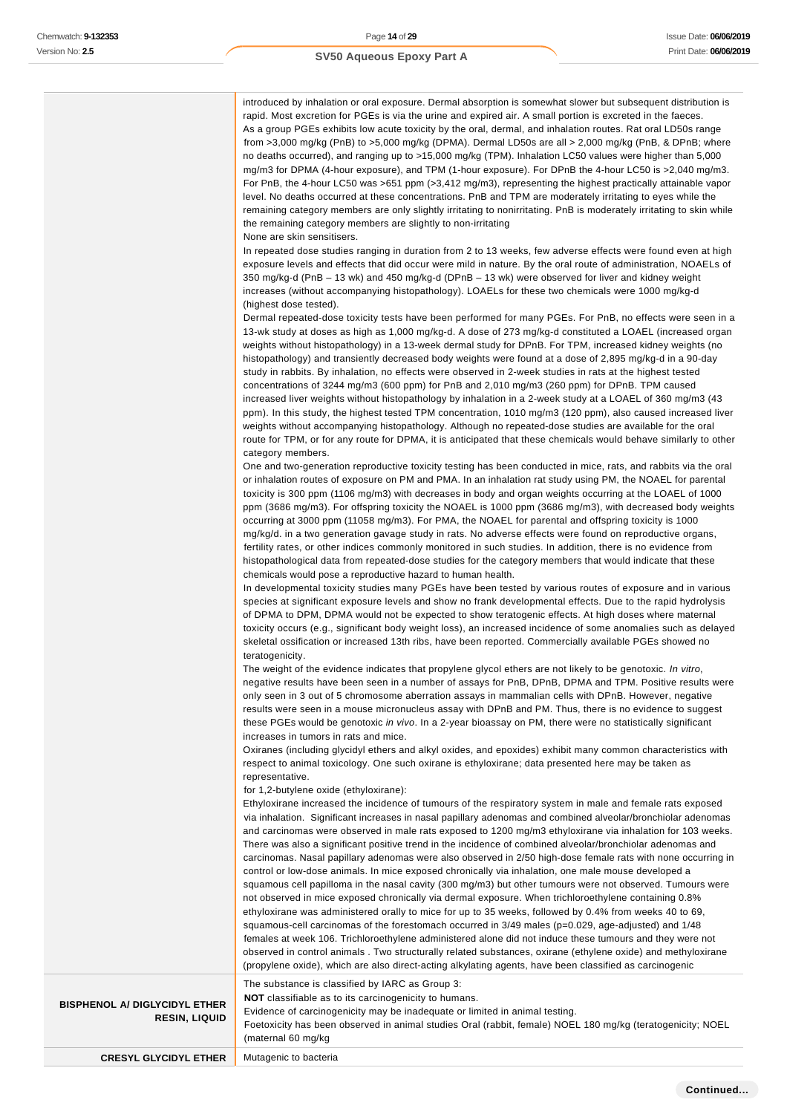introduced by inhalation or oral exposure. Dermal absorption is somewhat slower but subsequent distribution is rapid. Most excretion for PGEs is via the urine and expired air. A small portion is excreted in the faeces. As a group PGEs exhibits low acute toxicity by the oral, dermal, and inhalation routes. Rat oral LD50s range from >3,000 mg/kg (PnB) to >5,000 mg/kg (DPMA). Dermal LD50s are all > 2,000 mg/kg (PnB, & DPnB; where no deaths occurred), and ranging up to >15,000 mg/kg (TPM). Inhalation LC50 values were higher than 5,000 mg/m3 for DPMA (4-hour exposure), and TPM (1-hour exposure). For DPnB the 4-hour LC50 is >2,040 mg/m3. For PnB, the 4-hour LC50 was >651 ppm (>3,412 mg/m3), representing the highest practically attainable vapor level. No deaths occurred at these concentrations. PnB and TPM are moderately irritating to eyes while the remaining category members are only slightly irritating to nonirritating. PnB is moderately irritating to skin while the remaining category members are slightly to non-irritating

#### None are skin sensitisers.

In repeated dose studies ranging in duration from 2 to 13 weeks, few adverse effects were found even at high exposure levels and effects that did occur were mild in nature. By the oral route of administration, NOAELs of 350 mg/kg-d (PnB – 13 wk) and 450 mg/kg-d (DPnB – 13 wk) were observed for liver and kidney weight increases (without accompanying histopathology). LOAELs for these two chemicals were 1000 mg/kg-d (highest dose tested).

Dermal repeated-dose toxicity tests have been performed for many PGEs. For PnB, no effects were seen in a 13-wk study at doses as high as 1,000 mg/kg-d. A dose of 273 mg/kg-d constituted a LOAEL (increased organ weights without histopathology) in a 13-week dermal study for DPnB. For TPM, increased kidney weights (no histopathology) and transiently decreased body weights were found at a dose of 2,895 mg/kg-d in a 90-day study in rabbits. By inhalation, no effects were observed in 2-week studies in rats at the highest tested concentrations of 3244 mg/m3 (600 ppm) for PnB and 2,010 mg/m3 (260 ppm) for DPnB. TPM caused increased liver weights without histopathology by inhalation in a 2-week study at a LOAEL of 360 mg/m3 (43 ppm). In this study, the highest tested TPM concentration, 1010 mg/m3 (120 ppm), also caused increased liver weights without accompanying histopathology. Although no repeated-dose studies are available for the oral route for TPM, or for any route for DPMA, it is anticipated that these chemicals would behave similarly to other category members.

One and two-generation reproductive toxicity testing has been conducted in mice, rats, and rabbits via the oral or inhalation routes of exposure on PM and PMA. In an inhalation rat study using PM, the NOAEL for parental toxicity is 300 ppm (1106 mg/m3) with decreases in body and organ weights occurring at the LOAEL of 1000 ppm (3686 mg/m3). For offspring toxicity the NOAEL is 1000 ppm (3686 mg/m3), with decreased body weights occurring at 3000 ppm (11058 mg/m3). For PMA, the NOAEL for parental and offspring toxicity is 1000 mg/kg/d. in a two generation gavage study in rats. No adverse effects were found on reproductive organs, fertility rates, or other indices commonly monitored in such studies. In addition, there is no evidence from histopathological data from repeated-dose studies for the category members that would indicate that these chemicals would pose a reproductive hazard to human health.

In developmental toxicity studies many PGEs have been tested by various routes of exposure and in various species at significant exposure levels and show no frank developmental effects. Due to the rapid hydrolysis of DPMA to DPM, DPMA would not be expected to show teratogenic effects. At high doses where maternal toxicity occurs (e.g., significant body weight loss), an increased incidence of some anomalies such as delayed skeletal ossification or increased 13th ribs, have been reported. Commercially available PGEs showed no teratogenicity.

The weight of the evidence indicates that propylene glycol ethers are not likely to be genotoxic. In vitro, negative results have been seen in a number of assays for PnB, DPnB, DPMA and TPM. Positive results were only seen in 3 out of 5 chromosome aberration assays in mammalian cells with DPnB. However, negative results were seen in a mouse micronucleus assay with DPnB and PM. Thus, there is no evidence to suggest these PGEs would be genotoxic in vivo. In a 2-year bioassay on PM, there were no statistically significant increases in tumors in rats and mice.

Oxiranes (including glycidyl ethers and alkyl oxides, and epoxides) exhibit many common characteristics with respect to animal toxicology. One such oxirane is ethyloxirane; data presented here may be taken as representative.

for 1,2-butylene oxide (ethyloxirane):

**NOT** classifiable as to its carcinogenicity to humans.

Ethyloxirane increased the incidence of tumours of the respiratory system in male and female rats exposed via inhalation. Significant increases in nasal papillary adenomas and combined alveolar/bronchiolar adenomas and carcinomas were observed in male rats exposed to 1200 mg/m3 ethyloxirane via inhalation for 103 weeks. There was also a significant positive trend in the incidence of combined alveolar/bronchiolar adenomas and carcinomas. Nasal papillary adenomas were also observed in 2/50 high-dose female rats with none occurring in control or low-dose animals. In mice exposed chronically via inhalation, one male mouse developed a squamous cell papilloma in the nasal cavity (300 mg/m3) but other tumours were not observed. Tumours were not observed in mice exposed chronically via dermal exposure. When trichloroethylene containing 0.8% ethyloxirane was administered orally to mice for up to 35 weeks, followed by 0.4% from weeks 40 to 69, squamous-cell carcinomas of the forestomach occurred in 3/49 males (p=0.029, age-adjusted) and 1/48 females at week 106. Trichloroethylene administered alone did not induce these tumours and they were not observed in control animals . Two structurally related substances, oxirane (ethylene oxide) and methyloxirane (propylene oxide), which are also direct-acting alkylating agents, have been classified as carcinogenic The substance is classified by IARC as Group 3:

#### **BISPHENOL A/ DIGLYCIDYL ETHER RESIN, LIQUID**

Evidence of carcinogenicity may be inadequate or limited in animal testing. Foetoxicity has been observed in animal studies Oral (rabbit, female) NOEL 180 mg/kg (teratogenicity; NOEL (maternal 60 mg/kg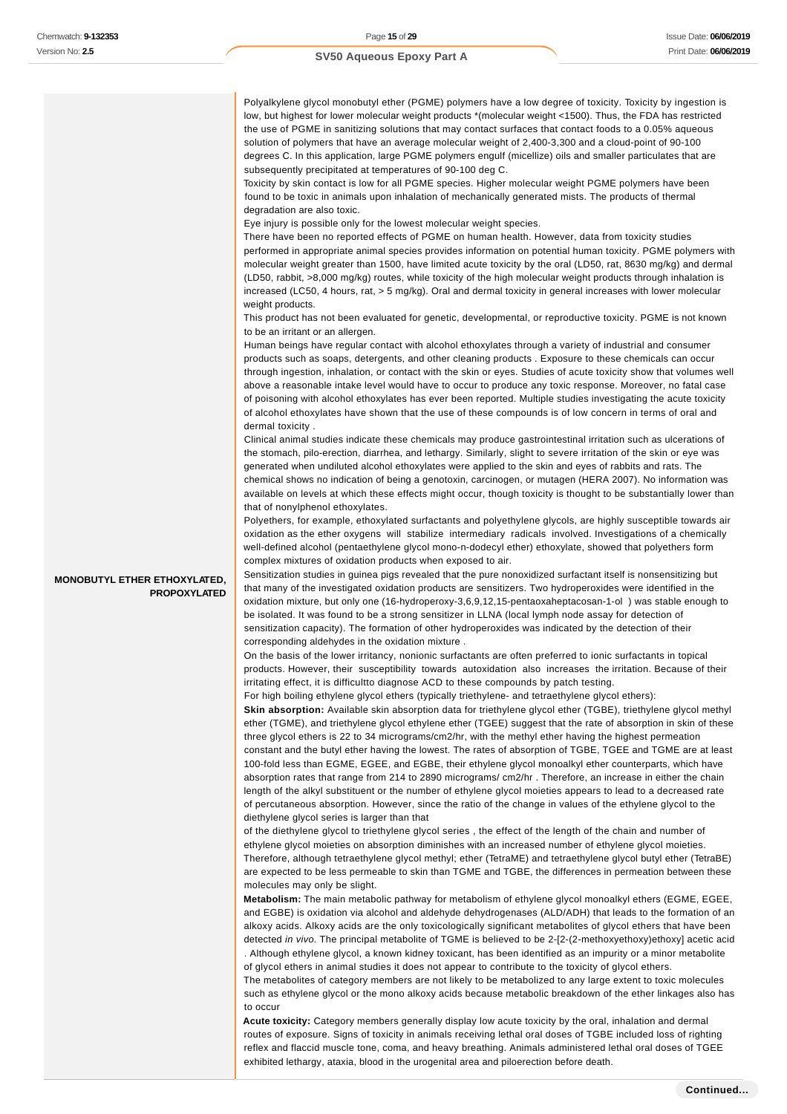Polyalkylene glycol monobutyl ether (PGME) polymers have a low degree of toxicity. Toxicity by ingestion is low, but highest for lower molecular weight products \*(molecular weight <1500). Thus, the FDA has restricted the use of PGME in sanitizing solutions that may contact surfaces that contact foods to a 0.05% aqueous solution of polymers that have an average molecular weight of 2,400-3,300 and a cloud-point of 90-100 degrees C. In this application, large PGME polymers engulf (micellize) oils and smaller particulates that are subsequently precipitated at temperatures of 90-100 deg C.

Toxicity by skin contact is low for all PGME species. Higher molecular weight PGME polymers have been found to be toxic in animals upon inhalation of mechanically generated mists. The products of thermal degradation are also toxic.

Eye injury is possible only for the lowest molecular weight species.

There have been no reported effects of PGME on human health. However, data from toxicity studies performed in appropriate animal species provides information on potential human toxicity. PGME polymers with molecular weight greater than 1500, have limited acute toxicity by the oral (LD50, rat, 8630 mg/kg) and dermal (LD50, rabbit, >8,000 mg/kg) routes, while toxicity of the high molecular weight products through inhalation is increased (LC50, 4 hours, rat, > 5 mg/kg). Oral and dermal toxicity in general increases with lower molecular weight products.

This product has not been evaluated for genetic, developmental, or reproductive toxicity. PGME is not known to be an irritant or an allergen.

Human beings have regular contact with alcohol ethoxylates through a variety of industrial and consumer products such as soaps, detergents, and other cleaning products . Exposure to these chemicals can occur through ingestion, inhalation, or contact with the skin or eyes. Studies of acute toxicity show that volumes well above a reasonable intake level would have to occur to produce any toxic response. Moreover, no fatal case of poisoning with alcohol ethoxylates has ever been reported. Multiple studies investigating the acute toxicity of alcohol ethoxylates have shown that the use of these compounds is of low concern in terms of oral and dermal toxicity .

Clinical animal studies indicate these chemicals may produce gastrointestinal irritation such as ulcerations of the stomach, pilo-erection, diarrhea, and lethargy. Similarly, slight to severe irritation of the skin or eye was generated when undiluted alcohol ethoxylates were applied to the skin and eyes of rabbits and rats. The chemical shows no indication of being a genotoxin, carcinogen, or mutagen (HERA 2007). No information was available on levels at which these effects might occur, though toxicity is thought to be substantially lower than that of nonylphenol ethoxylates.

Polyethers, for example, ethoxylated surfactants and polyethylene glycols, are highly susceptible towards air oxidation as the ether oxygens will stabilize intermediary radicals involved. Investigations of a chemically well-defined alcohol (pentaethylene glycol mono-n-dodecyl ether) ethoxylate, showed that polyethers form complex mixtures of oxidation products when exposed to air.

Sensitization studies in guinea pigs revealed that the pure nonoxidized surfactant itself is nonsensitizing but that many of the investigated oxidation products are sensitizers. Two hydroperoxides were identified in the oxidation mixture, but only one (16-hydroperoxy-3,6,9,12,15-pentaoxaheptacosan-1-ol ) was stable enough to be isolated. It was found to be a strong sensitizer in LLNA (local lymph node assay for detection of sensitization capacity). The formation of other hydroperoxides was indicated by the detection of their corresponding aldehydes in the oxidation mixture .

On the basis of the lower irritancy, nonionic surfactants are often preferred to ionic surfactants in topical products. However, their susceptibility towards autoxidation also increases the irritation. Because of their irritating effect, it is difficultto diagnose ACD to these compounds by patch testing.

For high boiling ethylene glycol ethers (typically triethylene- and tetraethylene glycol ethers):

**Skin absorption:** Available skin absorption data for triethylene glycol ether (TGBE), triethylene glycol methyl ether (TGME), and triethylene glycol ethylene ether (TGEE) suggest that the rate of absorption in skin of these three glycol ethers is 22 to 34 micrograms/cm2/hr, with the methyl ether having the highest permeation constant and the butyl ether having the lowest. The rates of absorption of TGBE, TGEE and TGME are at least 100-fold less than EGME, EGEE, and EGBE, their ethylene glycol monoalkyl ether counterparts, which have absorption rates that range from 214 to 2890 micrograms/ cm2/hr . Therefore, an increase in either the chain length of the alkyl substituent or the number of ethylene glycol moieties appears to lead to a decreased rate of percutaneous absorption. However, since the ratio of the change in values of the ethylene glycol to the diethylene glycol series is larger than that

of the diethylene glycol to triethylene glycol series , the effect of the length of the chain and number of ethylene glycol moieties on absorption diminishes with an increased number of ethylene glycol moieties. Therefore, although tetraethylene glycol methyl; ether (TetraME) and tetraethylene glycol butyl ether (TetraBE) are expected to be less permeable to skin than TGME and TGBE, the differences in permeation between these molecules may only be slight.

**Metabolism:** The main metabolic pathway for metabolism of ethylene glycol monoalkyl ethers (EGME, EGEE, and EGBE) is oxidation via alcohol and aldehyde dehydrogenases (ALD/ADH) that leads to the formation of an alkoxy acids. Alkoxy acids are the only toxicologically significant metabolites of glycol ethers that have been detected in vivo. The principal metabolite of TGME is believed to be 2-[2-(2-methoxyethoxy)ethoxy] acetic acid . Although ethylene glycol, a known kidney toxicant, has been identified as an impurity or a minor metabolite of glycol ethers in animal studies it does not appear to contribute to the toxicity of glycol ethers. The metabolites of category members are not likely to be metabolized to any large extent to toxic molecules

such as ethylene glycol or the mono alkoxy acids because metabolic breakdown of the ether linkages also has to occur

**Acute toxicity:** Category members generally display low acute toxicity by the oral, inhalation and dermal routes of exposure. Signs of toxicity in animals receiving lethal oral doses of TGBE included loss of righting reflex and flaccid muscle tone, coma, and heavy breathing. Animals administered lethal oral doses of TGEE exhibited lethargy, ataxia, blood in the urogenital area and piloerection before death.

**MONOBUTYL ETHER ETHOXYLATED, PROPOXYLATED**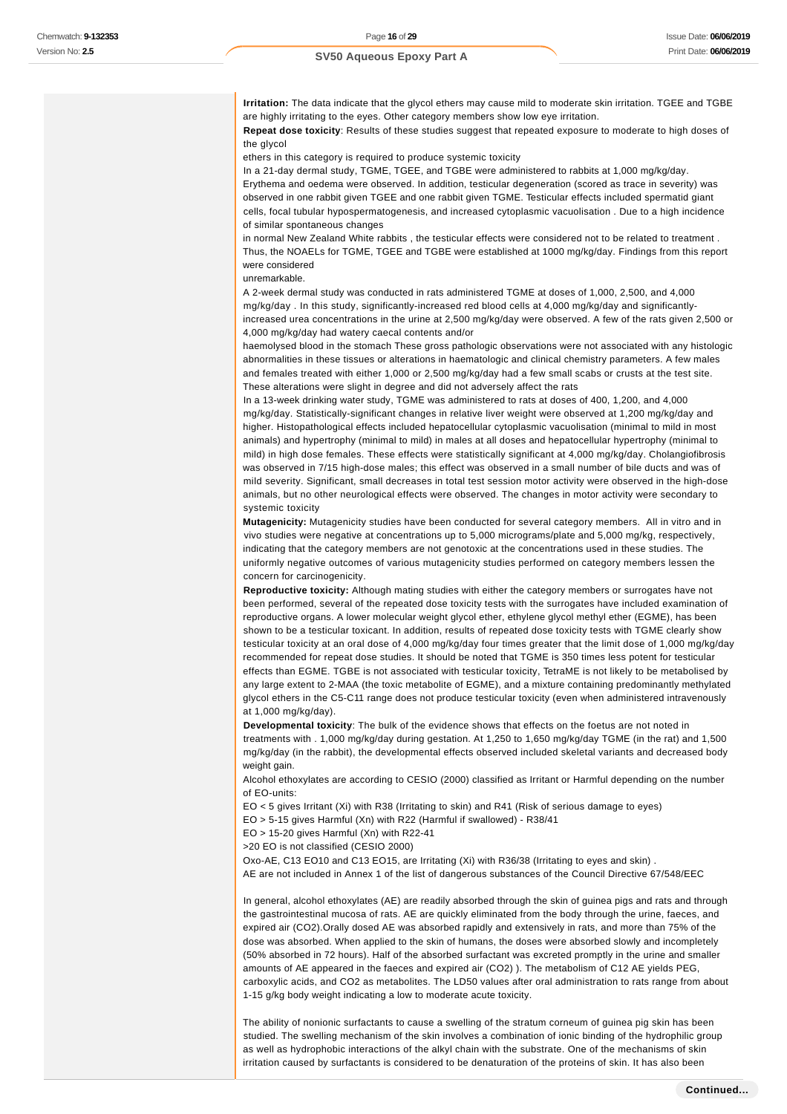**Irritation:** The data indicate that the glycol ethers may cause mild to moderate skin irritation. TGEE and TGBE are highly irritating to the eyes. Other category members show low eye irritation.

**Repeat dose toxicity**: Results of these studies suggest that repeated exposure to moderate to high doses of the glycol

ethers in this category is required to produce systemic toxicity

In a 21-day dermal study, TGME, TGEE, and TGBE were administered to rabbits at 1,000 mg/kg/day. Erythema and oedema were observed. In addition, testicular degeneration (scored as trace in severity) was observed in one rabbit given TGEE and one rabbit given TGME. Testicular effects included spermatid giant cells, focal tubular hypospermatogenesis, and increased cytoplasmic vacuolisation . Due to a high incidence of similar spontaneous changes

in normal New Zealand White rabbits , the testicular effects were considered not to be related to treatment . Thus, the NOAELs for TGME, TGEE and TGBE were established at 1000 mg/kg/day. Findings from this report were considered

unremarkable.

A 2-week dermal study was conducted in rats administered TGME at doses of 1,000, 2,500, and 4,000 mg/kg/day . In this study, significantly-increased red blood cells at 4,000 mg/kg/day and significantlyincreased urea concentrations in the urine at 2,500 mg/kg/day were observed. A few of the rats given 2,500 or 4,000 mg/kg/day had watery caecal contents and/or

haemolysed blood in the stomach These gross pathologic observations were not associated with any histologic abnormalities in these tissues or alterations in haematologic and clinical chemistry parameters. A few males and females treated with either 1,000 or 2,500 mg/kg/day had a few small scabs or crusts at the test site. These alterations were slight in degree and did not adversely affect the rats

In a 13-week drinking water study, TGME was administered to rats at doses of 400, 1,200, and 4,000 mg/kg/day. Statistically-significant changes in relative liver weight were observed at 1,200 mg/kg/day and higher. Histopathological effects included hepatocellular cytoplasmic vacuolisation (minimal to mild in most animals) and hypertrophy (minimal to mild) in males at all doses and hepatocellular hypertrophy (minimal to mild) in high dose females. These effects were statistically significant at 4,000 mg/kg/day. Cholangiofibrosis was observed in 7/15 high-dose males; this effect was observed in a small number of bile ducts and was of mild severity. Significant, small decreases in total test session motor activity were observed in the high-dose animals, but no other neurological effects were observed. The changes in motor activity were secondary to systemic toxicity

**Mutagenicity:** Mutagenicity studies have been conducted for several category members. All in vitro and in vivo studies were negative at concentrations up to 5,000 micrograms/plate and 5,000 mg/kg, respectively, indicating that the category members are not genotoxic at the concentrations used in these studies. The uniformly negative outcomes of various mutagenicity studies performed on category members lessen the concern for carcinogenicity.

**Reproductive toxicity:** Although mating studies with either the category members or surrogates have not been performed, several of the repeated dose toxicity tests with the surrogates have included examination of reproductive organs. A lower molecular weight glycol ether, ethylene glycol methyl ether (EGME), has been shown to be a testicular toxicant. In addition, results of repeated dose toxicity tests with TGME clearly show testicular toxicity at an oral dose of 4,000 mg/kg/day four times greater that the limit dose of 1,000 mg/kg/day recommended for repeat dose studies. It should be noted that TGME is 350 times less potent for testicular effects than EGME. TGBE is not associated with testicular toxicity, TetraME is not likely to be metabolised by any large extent to 2-MAA (the toxic metabolite of EGME), and a mixture containing predominantly methylated glycol ethers in the C5-C11 range does not produce testicular toxicity (even when administered intravenously at 1,000 mg/kg/day).

**Developmental toxicity**: The bulk of the evidence shows that effects on the foetus are not noted in treatments with . 1,000 mg/kg/day during gestation. At 1,250 to 1,650 mg/kg/day TGME (in the rat) and 1,500 mg/kg/day (in the rabbit), the developmental effects observed included skeletal variants and decreased body weight gain.

Alcohol ethoxylates are according to CESIO (2000) classified as Irritant or Harmful depending on the number of EO-units:

EO < 5 gives Irritant (Xi) with R38 (Irritating to skin) and R41 (Risk of serious damage to eyes)

EO > 5-15 gives Harmful (Xn) with R22 (Harmful if swallowed) - R38/41

EO > 15-20 gives Harmful (Xn) with R22-41

>20 EO is not classified (CESIO 2000)

Oxo-AE, C13 EO10 and C13 EO15, are Irritating (Xi) with R36/38 (Irritating to eyes and skin) .

AE are not included in Annex 1 of the list of dangerous substances of the Council Directive 67/548/EEC

In general, alcohol ethoxylates (AE) are readily absorbed through the skin of guinea pigs and rats and through the gastrointestinal mucosa of rats. AE are quickly eliminated from the body through the urine, faeces, and expired air (CO2).Orally dosed AE was absorbed rapidly and extensively in rats, and more than 75% of the dose was absorbed. When applied to the skin of humans, the doses were absorbed slowly and incompletely (50% absorbed in 72 hours). Half of the absorbed surfactant was excreted promptly in the urine and smaller amounts of AE appeared in the faeces and expired air (CO2) ). The metabolism of C12 AE yields PEG, carboxylic acids, and CO2 as metabolites. The LD50 values after oral administration to rats range from about 1-15 g/kg body weight indicating a low to moderate acute toxicity.

The ability of nonionic surfactants to cause a swelling of the stratum corneum of guinea pig skin has been studied. The swelling mechanism of the skin involves a combination of ionic binding of the hydrophilic group as well as hydrophobic interactions of the alkyl chain with the substrate. One of the mechanisms of skin irritation caused by surfactants is considered to be denaturation of the proteins of skin. It has also been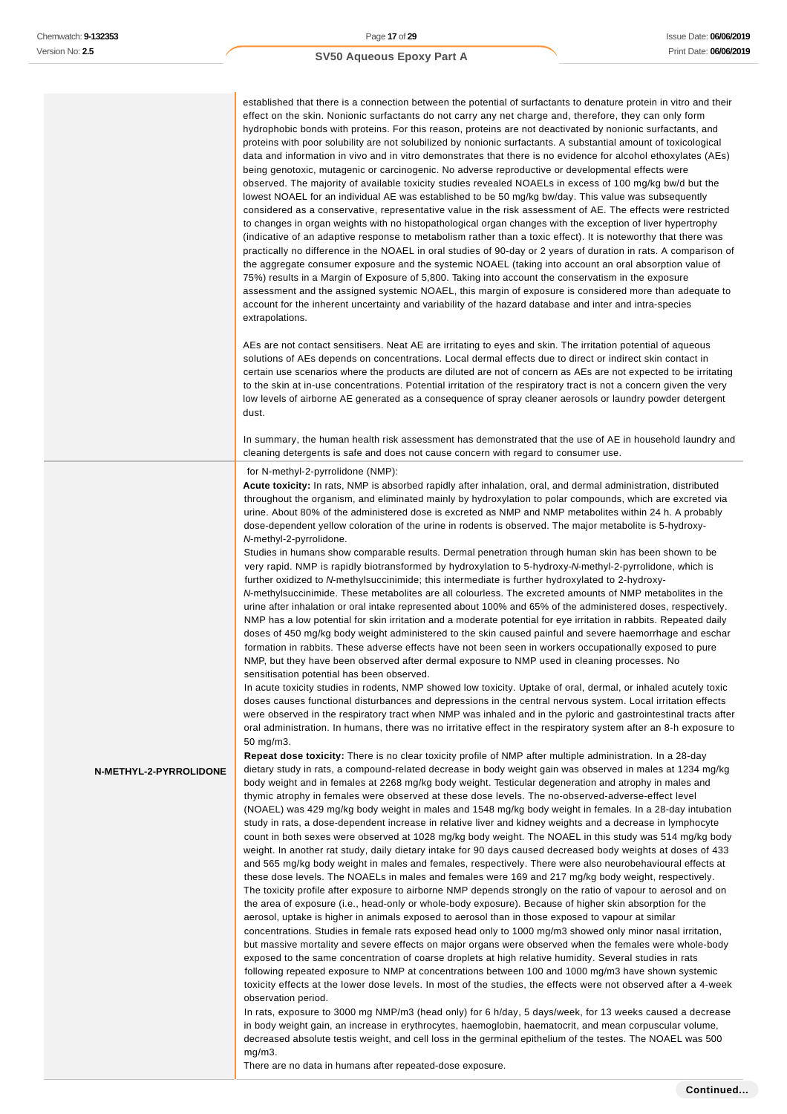established that there is a connection between the potential of surfactants to denature protein in vitro and their effect on the skin. Nonionic surfactants do not carry any net charge and, therefore, they can only form hydrophobic bonds with proteins. For this reason, proteins are not deactivated by nonionic surfactants, and proteins with poor solubility are not solubilized by nonionic surfactants. A substantial amount of toxicological data and information in vivo and in vitro demonstrates that there is no evidence for alcohol ethoxylates (AEs) being genotoxic, mutagenic or carcinogenic. No adverse reproductive or developmental effects were observed. The majority of available toxicity studies revealed NOAELs in excess of 100 mg/kg bw/d but the lowest NOAEL for an individual AE was established to be 50 mg/kg bw/day. This value was subsequently considered as a conservative, representative value in the risk assessment of AE. The effects were restricted to changes in organ weights with no histopathological organ changes with the exception of liver hypertrophy (indicative of an adaptive response to metabolism rather than a toxic effect). It is noteworthy that there was practically no difference in the NOAEL in oral studies of 90-day or 2 years of duration in rats. A comparison of the aggregate consumer exposure and the systemic NOAEL (taking into account an oral absorption value of 75%) results in a Margin of Exposure of 5,800. Taking into account the conservatism in the exposure assessment and the assigned systemic NOAEL, this margin of exposure is considered more than adequate to account for the inherent uncertainty and variability of the hazard database and inter and intra-species extrapolations.

AEs are not contact sensitisers. Neat AE are irritating to eyes and skin. The irritation potential of aqueous solutions of AEs depends on concentrations. Local dermal effects due to direct or indirect skin contact in certain use scenarios where the products are diluted are not of concern as AEs are not expected to be irritating to the skin at in-use concentrations. Potential irritation of the respiratory tract is not a concern given the very low levels of airborne AE generated as a consequence of spray cleaner aerosols or laundry powder detergent dust.

In summary, the human health risk assessment has demonstrated that the use of AE in household laundry and cleaning detergents is safe and does not cause concern with regard to consumer use.

#### for N-methyl-2-pyrrolidone (NMP):

**Acute toxicity:** In rats, NMP is absorbed rapidly after inhalation, oral, and dermal administration, distributed throughout the organism, and eliminated mainly by hydroxylation to polar compounds, which are excreted via urine. About 80% of the administered dose is excreted as NMP and NMP metabolites within 24 h. A probably dose-dependent yellow coloration of the urine in rodents is observed. The major metabolite is 5-hydroxy-N-methyl-2-pyrrolidone.

Studies in humans show comparable results. Dermal penetration through human skin has been shown to be very rapid. NMP is rapidly biotransformed by hydroxylation to 5-hydroxy-N-methyl-2-pyrrolidone, which is further oxidized to N-methylsuccinimide; this intermediate is further hydroxylated to 2-hydroxy-N-methylsuccinimide. These metabolites are all colourless. The excreted amounts of NMP metabolites in the urine after inhalation or oral intake represented about 100% and 65% of the administered doses, respectively. NMP has a low potential for skin irritation and a moderate potential for eye irritation in rabbits. Repeated daily doses of 450 mg/kg body weight administered to the skin caused painful and severe haemorrhage and eschar formation in rabbits. These adverse effects have not been seen in workers occupationally exposed to pure NMP, but they have been observed after dermal exposure to NMP used in cleaning processes. No sensitisation potential has been observed.

In acute toxicity studies in rodents, NMP showed low toxicity. Uptake of oral, dermal, or inhaled acutely toxic doses causes functional disturbances and depressions in the central nervous system. Local irritation effects were observed in the respiratory tract when NMP was inhaled and in the pyloric and gastrointestinal tracts after oral administration. In humans, there was no irritative effect in the respiratory system after an 8-h exposure to 50 mg/m3.

**N-METHYL-2-PYRROLIDONE**

**Repeat dose toxicity:** There is no clear toxicity profile of NMP after multiple administration. In a 28-day dietary study in rats, a compound-related decrease in body weight gain was observed in males at 1234 mg/kg body weight and in females at 2268 mg/kg body weight. Testicular degeneration and atrophy in males and thymic atrophy in females were observed at these dose levels. The no-observed-adverse-effect level (NOAEL) was 429 mg/kg body weight in males and 1548 mg/kg body weight in females. In a 28-day intubation study in rats, a dose-dependent increase in relative liver and kidney weights and a decrease in lymphocyte count in both sexes were observed at 1028 mg/kg body weight. The NOAEL in this study was 514 mg/kg body weight. In another rat study, daily dietary intake for 90 days caused decreased body weights at doses of 433 and 565 mg/kg body weight in males and females, respectively. There were also neurobehavioural effects at these dose levels. The NOAELs in males and females were 169 and 217 mg/kg body weight, respectively. The toxicity profile after exposure to airborne NMP depends strongly on the ratio of vapour to aerosol and on the area of exposure (i.e., head-only or whole-body exposure). Because of higher skin absorption for the aerosol, uptake is higher in animals exposed to aerosol than in those exposed to vapour at similar concentrations. Studies in female rats exposed head only to 1000 mg/m3 showed only minor nasal irritation, but massive mortality and severe effects on major organs were observed when the females were whole-body exposed to the same concentration of coarse droplets at high relative humidity. Several studies in rats following repeated exposure to NMP at concentrations between 100 and 1000 mg/m3 have shown systemic toxicity effects at the lower dose levels. In most of the studies, the effects were not observed after a 4-week observation period.

In rats, exposure to 3000 mg NMP/m3 (head only) for 6 h/day, 5 days/week, for 13 weeks caused a decrease in body weight gain, an increase in erythrocytes, haemoglobin, haematocrit, and mean corpuscular volume, decreased absolute testis weight, and cell loss in the germinal epithelium of the testes. The NOAEL was 500 mg/m3.

There are no data in humans after repeated-dose exposure.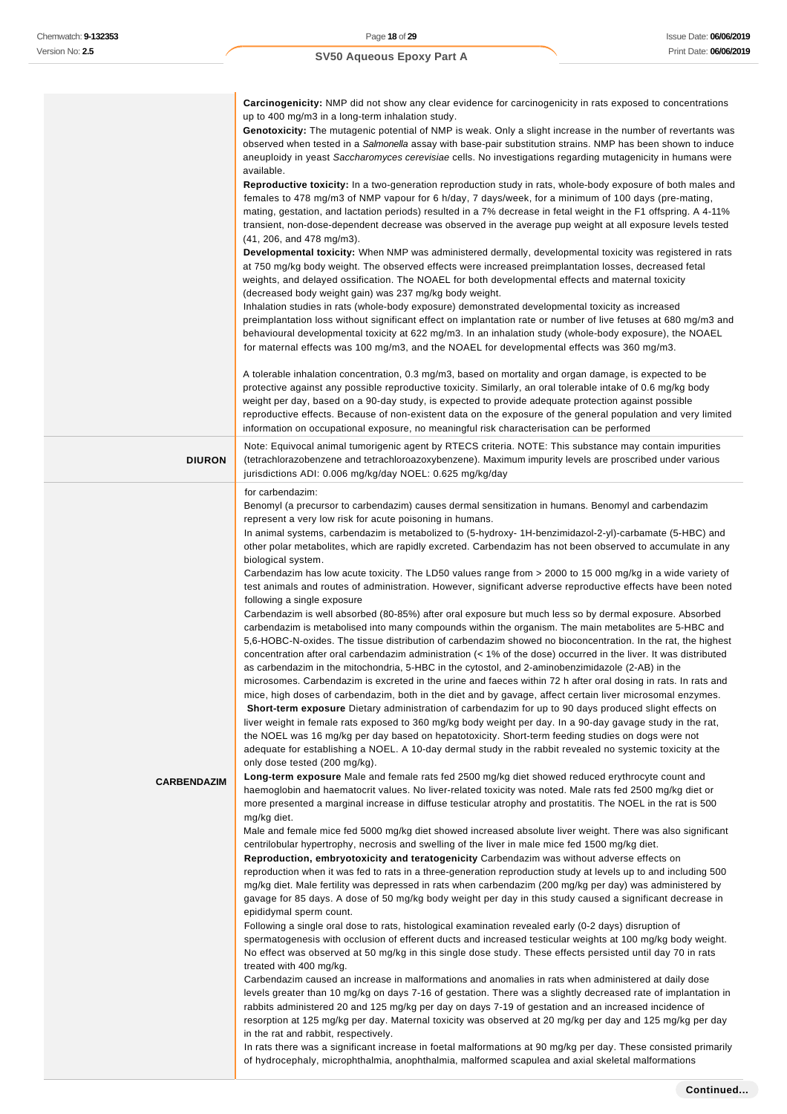| sion No: <b>2.5</b> | Print Date: 06/06/2<br><b>SV50 Aqueous Epoxy Part A</b>                                                                                                                                                                                                                                                                                                                                                                                                                                                                                                                                                                                                                                                                                                                                                                                                                                                                                                                                                                                                                                                                                                                                                                                                                                                                                                                                                                                                                                                                                                                                                                                                                                                                                                                                                                                                                                                                                                                                                                                                                                                                                                                                                                                                                                                                                                                                                                                                                                                                                                                                                                                                                                                                                                                                                                                                                                                                                                                                                                                                                                                                                                                                                                                                                                                                                                                                                                                                                                                                                                                                                                                                                                                                                                                                                                                                                                 |
|---------------------|-----------------------------------------------------------------------------------------------------------------------------------------------------------------------------------------------------------------------------------------------------------------------------------------------------------------------------------------------------------------------------------------------------------------------------------------------------------------------------------------------------------------------------------------------------------------------------------------------------------------------------------------------------------------------------------------------------------------------------------------------------------------------------------------------------------------------------------------------------------------------------------------------------------------------------------------------------------------------------------------------------------------------------------------------------------------------------------------------------------------------------------------------------------------------------------------------------------------------------------------------------------------------------------------------------------------------------------------------------------------------------------------------------------------------------------------------------------------------------------------------------------------------------------------------------------------------------------------------------------------------------------------------------------------------------------------------------------------------------------------------------------------------------------------------------------------------------------------------------------------------------------------------------------------------------------------------------------------------------------------------------------------------------------------------------------------------------------------------------------------------------------------------------------------------------------------------------------------------------------------------------------------------------------------------------------------------------------------------------------------------------------------------------------------------------------------------------------------------------------------------------------------------------------------------------------------------------------------------------------------------------------------------------------------------------------------------------------------------------------------------------------------------------------------------------------------------------------------------------------------------------------------------------------------------------------------------------------------------------------------------------------------------------------------------------------------------------------------------------------------------------------------------------------------------------------------------------------------------------------------------------------------------------------------------------------------------------------------------------------------------------------------------------------------------------------------------------------------------------------------------------------------------------------------------------------------------------------------------------------------------------------------------------------------------------------------------------------------------------------------------------------------------------------------------------------------------------------------------------------------------------------------|
|                     |                                                                                                                                                                                                                                                                                                                                                                                                                                                                                                                                                                                                                                                                                                                                                                                                                                                                                                                                                                                                                                                                                                                                                                                                                                                                                                                                                                                                                                                                                                                                                                                                                                                                                                                                                                                                                                                                                                                                                                                                                                                                                                                                                                                                                                                                                                                                                                                                                                                                                                                                                                                                                                                                                                                                                                                                                                                                                                                                                                                                                                                                                                                                                                                                                                                                                                                                                                                                                                                                                                                                                                                                                                                                                                                                                                                                                                                                                         |
|                     | <b>Carcinogenicity:</b> NMP did not show any clear evidence for carcinogenicity in rats exposed to concentrations<br>up to 400 mg/m3 in a long-term inhalation study.<br>Genotoxicity: The mutagenic potential of NMP is weak. Only a slight increase in the number of revertants was<br>observed when tested in a Salmonella assay with base-pair substitution strains. NMP has been shown to induce<br>aneuploidy in yeast Saccharomyces cerevisiae cells. No investigations regarding mutagenicity in humans were                                                                                                                                                                                                                                                                                                                                                                                                                                                                                                                                                                                                                                                                                                                                                                                                                                                                                                                                                                                                                                                                                                                                                                                                                                                                                                                                                                                                                                                                                                                                                                                                                                                                                                                                                                                                                                                                                                                                                                                                                                                                                                                                                                                                                                                                                                                                                                                                                                                                                                                                                                                                                                                                                                                                                                                                                                                                                                                                                                                                                                                                                                                                                                                                                                                                                                                                                                    |
|                     | available.<br>Reproductive toxicity: In a two-generation reproduction study in rats, whole-body exposure of both males and<br>females to 478 mg/m3 of NMP vapour for 6 h/day, 7 days/week, for a minimum of 100 days (pre-mating,<br>mating, gestation, and lactation periods) resulted in a 7% decrease in fetal weight in the F1 offspring. A 4-11%<br>transient, non-dose-dependent decrease was observed in the average pup weight at all exposure levels tested<br>(41, 206, and 478 mg/m3).<br>Developmental toxicity: When NMP was administered dermally, developmental toxicity was registered in rats<br>at 750 mg/kg body weight. The observed effects were increased preimplantation losses, decreased fetal<br>weights, and delayed ossification. The NOAEL for both developmental effects and maternal toxicity<br>(decreased body weight gain) was 237 mg/kg body weight.<br>Inhalation studies in rats (whole-body exposure) demonstrated developmental toxicity as increased<br>preimplantation loss without significant effect on implantation rate or number of live fetuses at 680 mg/m3 and<br>behavioural developmental toxicity at 622 mg/m3. In an inhalation study (whole-body exposure), the NOAEL<br>for maternal effects was 100 mg/m3, and the NOAEL for developmental effects was 360 mg/m3.                                                                                                                                                                                                                                                                                                                                                                                                                                                                                                                                                                                                                                                                                                                                                                                                                                                                                                                                                                                                                                                                                                                                                                                                                                                                                                                                                                                                                                                                                                                                                                                                                                                                                                                                                                                                                                                                                                                                                                                                                                                                                                                                                                                                                                                                                                                                                                                                                                                                                                                                                               |
|                     | A tolerable inhalation concentration, 0.3 mg/m3, based on mortality and organ damage, is expected to be<br>protective against any possible reproductive toxicity. Similarly, an oral tolerable intake of 0.6 mg/kg body<br>weight per day, based on a 90-day study, is expected to provide adequate protection against possible<br>reproductive effects. Because of non-existent data on the exposure of the general population and very limited<br>information on occupational exposure, no meaningful risk characterisation can be performed                                                                                                                                                                                                                                                                                                                                                                                                                                                                                                                                                                                                                                                                                                                                                                                                                                                                                                                                                                                                                                                                                                                                                                                                                                                                                                                                                                                                                                                                                                                                                                                                                                                                                                                                                                                                                                                                                                                                                                                                                                                                                                                                                                                                                                                                                                                                                                                                                                                                                                                                                                                                                                                                                                                                                                                                                                                                                                                                                                                                                                                                                                                                                                                                                                                                                                                                          |
| <b>DIURON</b>       | Note: Equivocal animal tumorigenic agent by RTECS criteria. NOTE: This substance may contain impurities<br>(tetrachlorazobenzene and tetrachloroazoxybenzene). Maximum impurity levels are proscribed under various<br>jurisdictions ADI: 0.006 mg/kg/day NOEL: 0.625 mg/kg/day                                                                                                                                                                                                                                                                                                                                                                                                                                                                                                                                                                                                                                                                                                                                                                                                                                                                                                                                                                                                                                                                                                                                                                                                                                                                                                                                                                                                                                                                                                                                                                                                                                                                                                                                                                                                                                                                                                                                                                                                                                                                                                                                                                                                                                                                                                                                                                                                                                                                                                                                                                                                                                                                                                                                                                                                                                                                                                                                                                                                                                                                                                                                                                                                                                                                                                                                                                                                                                                                                                                                                                                                         |
| <b>CARBENDAZIM</b>  | for carbendazim:<br>Benomyl (a precursor to carbendazim) causes dermal sensitization in humans. Benomyl and carbendazim<br>represent a very low risk for acute poisoning in humans.<br>In animal systems, carbendazim is metabolized to (5-hydroxy- 1H-benzimidazol-2-yl)-carbamate (5-HBC) and<br>other polar metabolites, which are rapidly excreted. Carbendazim has not been observed to accumulate in any<br>biological system.<br>Carbendazim has low acute toxicity. The LD50 values range from > 2000 to 15 000 mg/kg in a wide variety of<br>test animals and routes of administration. However, significant adverse reproductive effects have been noted<br>following a single exposure<br>Carbendazim is well absorbed (80-85%) after oral exposure but much less so by dermal exposure. Absorbed<br>carbendazim is metabolised into many compounds within the organism. The main metabolites are 5-HBC and<br>5.6-HOBC-N-oxides. The tissue distribution of carbendazim showed no bioconcentration. In the rat, the highest<br>concentration after oral carbendazim administration $\left($ < 1% of the dose) occurred in the liver. It was distributed<br>as carbendazim in the mitochondria, 5-HBC in the cytostol, and 2-aminobenzimidazole (2-AB) in the<br>microsomes. Carbendazim is excreted in the urine and faeces within 72 h after oral dosing in rats. In rats and<br>mice, high doses of carbendazim, both in the diet and by gavage, affect certain liver microsomal enzymes.<br>Short-term exposure Dietary administration of carbendazim for up to 90 days produced slight effects on<br>liver weight in female rats exposed to 360 mg/kg body weight per day. In a 90-day gavage study in the rat,<br>the NOEL was 16 mg/kg per day based on hepatotoxicity. Short-term feeding studies on dogs were not<br>adequate for establishing a NOEL. A 10-day dermal study in the rabbit revealed no systemic toxicity at the<br>only dose tested (200 mg/kg).<br>Long-term exposure Male and female rats fed 2500 mg/kg diet showed reduced erythrocyte count and<br>haemoglobin and haematocrit values. No liver-related toxicity was noted. Male rats fed 2500 mg/kg diet or<br>more presented a marginal increase in diffuse testicular atrophy and prostatitis. The NOEL in the rat is 500<br>mg/kg diet.<br>Male and female mice fed 5000 mg/kg diet showed increased absolute liver weight. There was also significant<br>centrilobular hypertrophy, necrosis and swelling of the liver in male mice fed 1500 mg/kg diet.<br>Reproduction, embryotoxicity and teratogenicity Carbendazim was without adverse effects on<br>reproduction when it was fed to rats in a three-generation reproduction study at levels up to and including 500<br>mg/kg diet. Male fertility was depressed in rats when carbendazim (200 mg/kg per day) was administered by<br>gavage for 85 days. A dose of 50 mg/kg body weight per day in this study caused a significant decrease in<br>epididymal sperm count.<br>Following a single oral dose to rats, histological examination revealed early (0-2 days) disruption of<br>spermatogenesis with occlusion of efferent ducts and increased testicular weights at 100 mg/kg body weight.<br>No effect was observed at 50 mg/kg in this single dose study. These effects persisted until day 70 in rats<br>treated with 400 mg/kg.<br>Carbendazim caused an increase in malformations and anomalies in rats when administered at daily dose<br>levels greater than 10 mg/kg on days 7-16 of gestation. There was a slightly decreased rate of implantation in<br>rabbits administered 20 and 125 mg/kg per day on days 7-19 of gestation and an increased incidence of<br>resorption at 125 mg/kg per day. Maternal toxicity was observed at 20 mg/kg per day and 125 mg/kg per day<br>in the rat and rabbit, respectively. |

In rats there was a significant increase in foetal malformations at 90 mg/kg per day. These consisted primarily of hydrocephaly, microphthalmia, anophthalmia, malformed scapulea and axial skeletal malformations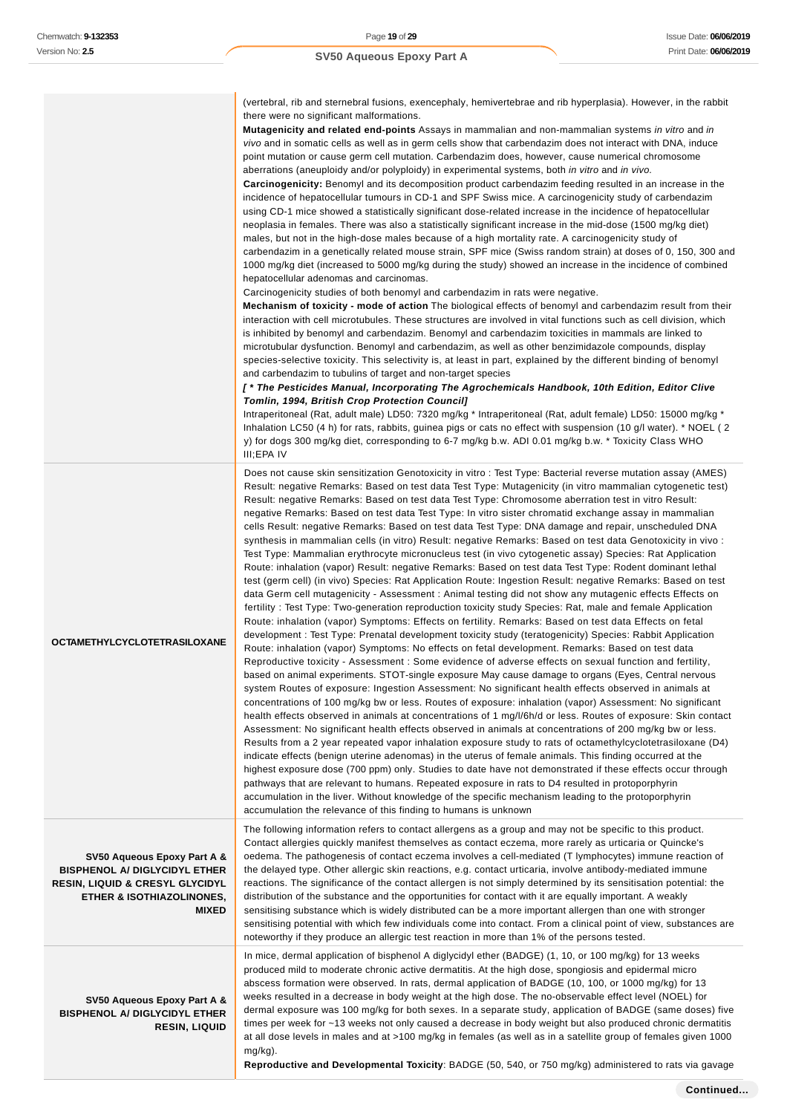|                                                                                                                                                                           | (vertebral, rib and sternebral fusions, exencephaly, hemivertebrae and rib hyperplasia). However, in the rabbit<br>there were no significant malformations.<br>Mutagenicity and related end-points Assays in mammalian and non-mammalian systems in vitro and in<br>vivo and in somatic cells as well as in germ cells show that carbendazim does not interact with DNA, induce<br>point mutation or cause germ cell mutation. Carbendazim does, however, cause numerical chromosome<br>aberrations (aneuploidy and/or polyploidy) in experimental systems, both in vitro and in vivo.<br>Carcinogenicity: Benomyl and its decomposition product carbendazim feeding resulted in an increase in the<br>incidence of hepatocellular tumours in CD-1 and SPF Swiss mice. A carcinogenicity study of carbendazim<br>using CD-1 mice showed a statistically significant dose-related increase in the incidence of hepatocellular<br>neoplasia in females. There was also a statistically significant increase in the mid-dose (1500 mg/kg diet)<br>males, but not in the high-dose males because of a high mortality rate. A carcinogenicity study of<br>carbendazim in a genetically related mouse strain, SPF mice (Swiss random strain) at doses of 0, 150, 300 and<br>1000 mg/kg diet (increased to 5000 mg/kg during the study) showed an increase in the incidence of combined<br>hepatocellular adenomas and carcinomas.<br>Carcinogenicity studies of both benomyl and carbendazim in rats were negative.<br><b>Mechanism of toxicity - mode of action</b> The biological effects of benomyl and carbendazim result from their<br>interaction with cell microtubules. These structures are involved in vital functions such as cell division, which<br>is inhibited by benomyl and carbendazim. Benomyl and carbendazim toxicities in mammals are linked to<br>microtubular dysfunction. Benomyl and carbendazim, as well as other benzimidazole compounds, display<br>species-selective toxicity. This selectivity is, at least in part, explained by the different binding of benomyl<br>and carbendazim to tubulins of target and non-target species<br>[* The Pesticides Manual, Incorporating The Agrochemicals Handbook, 10th Edition, Editor Clive<br>Tomlin, 1994, British Crop Protection Council]<br>Intraperitoneal (Rat, adult male) LD50: 7320 mg/kg * Intraperitoneal (Rat, adult female) LD50: 15000 mg/kg *<br>Inhalation LC50 (4 h) for rats, rabbits, guinea pigs or cats no effect with suspension (10 g/l water). * NOEL (2<br>y) for dogs 300 mg/kg diet, corresponding to 6-7 mg/kg b.w. ADI 0.01 mg/kg b.w. * Toxicity Class WHO<br>III;EPA IV                                                                                                                                                                                 |
|---------------------------------------------------------------------------------------------------------------------------------------------------------------------------|-----------------------------------------------------------------------------------------------------------------------------------------------------------------------------------------------------------------------------------------------------------------------------------------------------------------------------------------------------------------------------------------------------------------------------------------------------------------------------------------------------------------------------------------------------------------------------------------------------------------------------------------------------------------------------------------------------------------------------------------------------------------------------------------------------------------------------------------------------------------------------------------------------------------------------------------------------------------------------------------------------------------------------------------------------------------------------------------------------------------------------------------------------------------------------------------------------------------------------------------------------------------------------------------------------------------------------------------------------------------------------------------------------------------------------------------------------------------------------------------------------------------------------------------------------------------------------------------------------------------------------------------------------------------------------------------------------------------------------------------------------------------------------------------------------------------------------------------------------------------------------------------------------------------------------------------------------------------------------------------------------------------------------------------------------------------------------------------------------------------------------------------------------------------------------------------------------------------------------------------------------------------------------------------------------------------------------------------------------------------------------------------------------------------------------------------------------------------------------------------------------------------------------------------------------------------------------------------------------------------------------------------------------------------------------------------------------------------------------------------------------------------------------------------------------------------------------------------------------------|
| <b>OCTAMETHYLCYCLOTETRASILOXANE</b>                                                                                                                                       | Does not cause skin sensitization Genotoxicity in vitro : Test Type: Bacterial reverse mutation assay (AMES)<br>Result: negative Remarks: Based on test data Test Type: Mutagenicity (in vitro mammalian cytogenetic test)<br>Result: negative Remarks: Based on test data Test Type: Chromosome aberration test in vitro Result:<br>negative Remarks: Based on test data Test Type: In vitro sister chromatid exchange assay in mammalian<br>cells Result: negative Remarks: Based on test data Test Type: DNA damage and repair, unscheduled DNA<br>synthesis in mammalian cells (in vitro) Result: negative Remarks: Based on test data Genotoxicity in vivo :<br>Test Type: Mammalian erythrocyte micronucleus test (in vivo cytogenetic assay) Species: Rat Application<br>Route: inhalation (vapor) Result: negative Remarks: Based on test data Test Type: Rodent dominant lethal<br>test (germ cell) (in vivo) Species: Rat Application Route: Ingestion Result: negative Remarks: Based on test<br>data Germ cell mutagenicity - Assessment : Animal testing did not show any mutagenic effects Effects on<br>fertility: Test Type: Two-generation reproduction toxicity study Species: Rat, male and female Application<br>Route: inhalation (vapor) Symptoms: Effects on fertility. Remarks: Based on test data Effects on fetal<br>development : Test Type: Prenatal development toxicity study (teratogenicity) Species: Rabbit Application<br>Route: inhalation (vapor) Symptoms: No effects on fetal development. Remarks: Based on test data<br>Reproductive toxicity - Assessment : Some evidence of adverse effects on sexual function and fertility,<br>based on animal experiments. STOT-single exposure May cause damage to organs (Eyes, Central nervous<br>system Routes of exposure: Ingestion Assessment: No significant health effects observed in animals at<br>concentrations of 100 mg/kg bw or less. Routes of exposure: inhalation (vapor) Assessment: No significant<br>health effects observed in animals at concentrations of 1 mg/l/6h/d or less. Routes of exposure: Skin contact<br>Assessment: No significant health effects observed in animals at concentrations of 200 mg/kg bw or less.<br>Results from a 2 year repeated vapor inhalation exposure study to rats of octamethylcyclotetrasiloxane (D4)<br>indicate effects (benign uterine adenomas) in the uterus of female animals. This finding occurred at the<br>highest exposure dose (700 ppm) only. Studies to date have not demonstrated if these effects occur through<br>pathways that are relevant to humans. Repeated exposure in rats to D4 resulted in protoporphyrin<br>accumulation in the liver. Without knowledge of the specific mechanism leading to the protoporphyrin<br>accumulation the relevance of this finding to humans is unknown |
| SV50 Aqueous Epoxy Part A &<br><b>BISPHENOL A/ DIGLYCIDYL ETHER</b><br><b>RESIN, LIQUID &amp; CRESYL GLYCIDYL</b><br><b>ETHER &amp; ISOTHIAZOLINONES,</b><br><b>MIXED</b> | The following information refers to contact allergens as a group and may not be specific to this product.<br>Contact allergies quickly manifest themselves as contact eczema, more rarely as urticaria or Quincke's<br>oedema. The pathogenesis of contact eczema involves a cell-mediated (T lymphocytes) immune reaction of<br>the delayed type. Other allergic skin reactions, e.g. contact urticaria, involve antibody-mediated immune<br>reactions. The significance of the contact allergen is not simply determined by its sensitisation potential: the<br>distribution of the substance and the opportunities for contact with it are equally important. A weakly<br>sensitising substance which is widely distributed can be a more important allergen than one with stronger<br>sensitising potential with which few individuals come into contact. From a clinical point of view, substances are<br>noteworthy if they produce an allergic test reaction in more than 1% of the persons tested.                                                                                                                                                                                                                                                                                                                                                                                                                                                                                                                                                                                                                                                                                                                                                                                                                                                                                                                                                                                                                                                                                                                                                                                                                                                                                                                                                                                                                                                                                                                                                                                                                                                                                                                                                                                                                                                |
| SV50 Aqueous Epoxy Part A &<br><b>BISPHENOL A/ DIGLYCIDYL ETHER</b><br><b>RESIN, LIQUID</b>                                                                               | In mice, dermal application of bisphenol A diglycidyl ether (BADGE) (1, 10, or 100 mg/kg) for 13 weeks<br>produced mild to moderate chronic active dermatitis. At the high dose, spongiosis and epidermal micro<br>abscess formation were observed. In rats, dermal application of BADGE (10, 100, or 1000 mg/kg) for 13<br>weeks resulted in a decrease in body weight at the high dose. The no-observable effect level (NOEL) for<br>dermal exposure was 100 mg/kg for both sexes. In a separate study, application of BADGE (same doses) five<br>times per week for ~13 weeks not only caused a decrease in body weight but also produced chronic dermatitis<br>at all dose levels in males and at >100 mg/kg in females (as well as in a satellite group of females given 1000                                                                                                                                                                                                                                                                                                                                                                                                                                                                                                                                                                                                                                                                                                                                                                                                                                                                                                                                                                                                                                                                                                                                                                                                                                                                                                                                                                                                                                                                                                                                                                                                                                                                                                                                                                                                                                                                                                                                                                                                                                                                        |

mg/kg).

**Reproductive and Developmental Toxicity**: BADGE (50, 540, or 750 mg/kg) administered to rats via gavage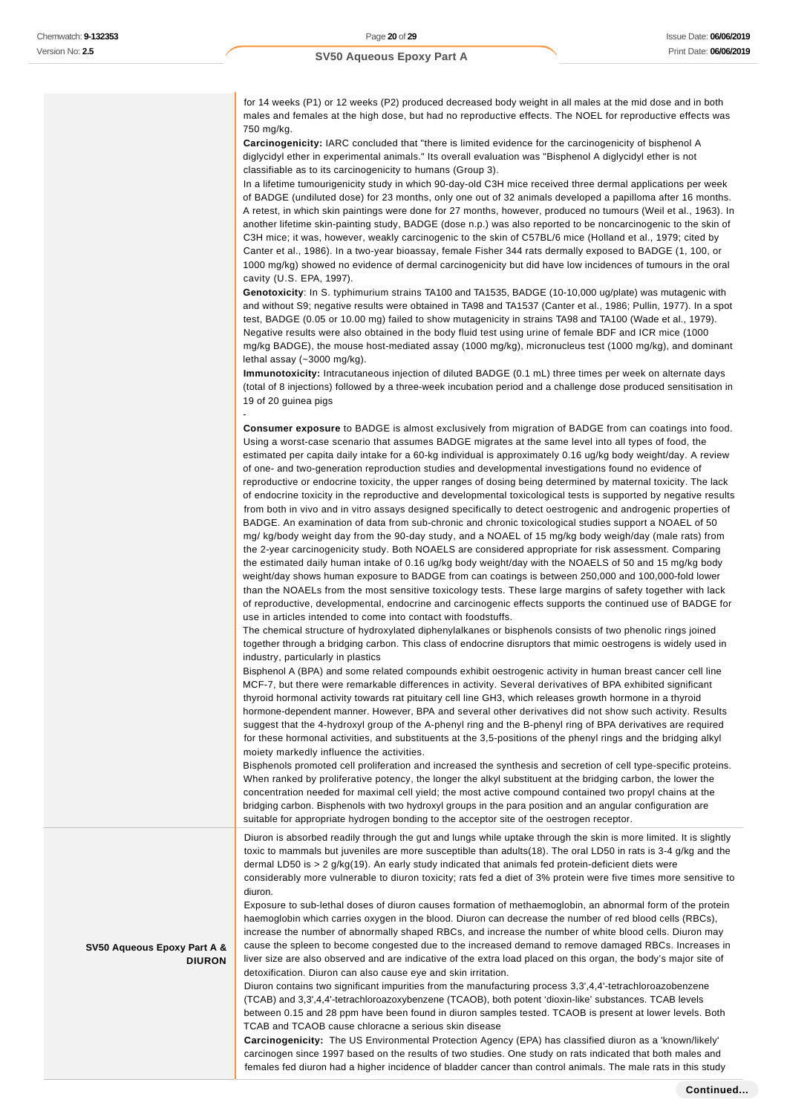-

**SV50 Aqueous Epoxy Part A &**

**DIURON**

for 14 weeks (P1) or 12 weeks (P2) produced decreased body weight in all males at the mid dose and in both males and females at the high dose, but had no reproductive effects. The NOEL for reproductive effects was 750 mg/kg.

**Carcinogenicity:** IARC concluded that "there is limited evidence for the carcinogenicity of bisphenol A diglycidyl ether in experimental animals." Its overall evaluation was "Bisphenol A diglycidyl ether is not classifiable as to its carcinogenicity to humans (Group 3).

In a lifetime tumourigenicity study in which 90-day-old C3H mice received three dermal applications per week of BADGE (undiluted dose) for 23 months, only one out of 32 animals developed a papilloma after 16 months. A retest, in which skin paintings were done for 27 months, however, produced no tumours (Weil et al., 1963). In another lifetime skin-painting study, BADGE (dose n.p.) was also reported to be noncarcinogenic to the skin of C3H mice; it was, however, weakly carcinogenic to the skin of C57BL/6 mice (Holland et al., 1979; cited by Canter et al., 1986). In a two-year bioassay, female Fisher 344 rats dermally exposed to BADGE (1, 100, or 1000 mg/kg) showed no evidence of dermal carcinogenicity but did have low incidences of tumours in the oral cavity (U.S. EPA, 1997).

**Genotoxicity**: In S. typhimurium strains TA100 and TA1535, BADGE (10-10,000 ug/plate) was mutagenic with and without S9; negative results were obtained in TA98 and TA1537 (Canter et al., 1986; Pullin, 1977). In a spot test, BADGE (0.05 or 10.00 mg) failed to show mutagenicity in strains TA98 and TA100 (Wade et al., 1979). Negative results were also obtained in the body fluid test using urine of female BDF and ICR mice (1000 mg/kg BADGE), the mouse host-mediated assay (1000 mg/kg), micronucleus test (1000 mg/kg), and dominant lethal assay (~3000 mg/kg).

**Immunotoxicity:** Intracutaneous injection of diluted BADGE (0.1 mL) three times per week on alternate days (total of 8 injections) followed by a three-week incubation period and a challenge dose produced sensitisation in 19 of 20 guinea pigs

**Consumer exposure** to BADGE is almost exclusively from migration of BADGE from can coatings into food. Using a worst-case scenario that assumes BADGE migrates at the same level into all types of food, the estimated per capita daily intake for a 60-kg individual is approximately 0.16 ug/kg body weight/day. A review of one- and two-generation reproduction studies and developmental investigations found no evidence of reproductive or endocrine toxicity, the upper ranges of dosing being determined by maternal toxicity. The lack of endocrine toxicity in the reproductive and developmental toxicological tests is supported by negative results from both in vivo and in vitro assays designed specifically to detect oestrogenic and androgenic properties of BADGE. An examination of data from sub-chronic and chronic toxicological studies support a NOAEL of 50 mg/ kg/body weight day from the 90-day study, and a NOAEL of 15 mg/kg body weigh/day (male rats) from the 2-year carcinogenicity study. Both NOAELS are considered appropriate for risk assessment. Comparing the estimated daily human intake of 0.16 ug/kg body weight/day with the NOAELS of 50 and 15 mg/kg body weight/day shows human exposure to BADGE from can coatings is between 250,000 and 100,000-fold lower than the NOAELs from the most sensitive toxicology tests. These large margins of safety together with lack of reproductive, developmental, endocrine and carcinogenic effects supports the continued use of BADGE for use in articles intended to come into contact with foodstuffs.

The chemical structure of hydroxylated diphenylalkanes or bisphenols consists of two phenolic rings joined together through a bridging carbon. This class of endocrine disruptors that mimic oestrogens is widely used in industry, particularly in plastics

Bisphenol A (BPA) and some related compounds exhibit oestrogenic activity in human breast cancer cell line MCF-7, but there were remarkable differences in activity. Several derivatives of BPA exhibited significant thyroid hormonal activity towards rat pituitary cell line GH3, which releases growth hormone in a thyroid hormone-dependent manner. However, BPA and several other derivatives did not show such activity. Results suggest that the 4-hydroxyl group of the A-phenyl ring and the B-phenyl ring of BPA derivatives are required for these hormonal activities, and substituents at the 3,5-positions of the phenyl rings and the bridging alkyl moiety markedly influence the activities.

Bisphenols promoted cell proliferation and increased the synthesis and secretion of cell type-specific proteins. When ranked by proliferative potency, the longer the alkyl substituent at the bridging carbon, the lower the concentration needed for maximal cell yield; the most active compound contained two propyl chains at the bridging carbon. Bisphenols with two hydroxyl groups in the para position and an angular configuration are suitable for appropriate hydrogen bonding to the acceptor site of the oestrogen receptor.

Diuron is absorbed readily through the gut and lungs while uptake through the skin is more limited. It is slightly toxic to mammals but juveniles are more susceptible than adults(18). The oral LD50 in rats is 3-4 g/kg and the dermal LD50 is > 2 g/kg(19). An early study indicated that animals fed protein-deficient diets were considerably more vulnerable to diuron toxicity; rats fed a diet of 3% protein were five times more sensitive to diuron.

Exposure to sub-lethal doses of diuron causes formation of methaemoglobin, an abnormal form of the protein haemoglobin which carries oxygen in the blood. Diuron can decrease the number of red blood cells (RBCs). increase the number of abnormally shaped RBCs, and increase the number of white blood cells. Diuron may cause the spleen to become congested due to the increased demand to remove damaged RBCs. Increases in liver size are also observed and are indicative of the extra load placed on this organ, the body's major site of detoxification. Diuron can also cause eye and skin irritation.

Diuron contains two significant impurities from the manufacturing process 3,3',4,4'-tetrachloroazobenzene (TCAB) and 3,3',4,4'-tetrachloroazoxybenzene (TCAOB), both potent 'dioxin-like' substances. TCAB levels between 0.15 and 28 ppm have been found in diuron samples tested. TCAOB is present at lower levels. Both TCAB and TCAOB cause chloracne a serious skin disease

**Carcinogenicity:** The US Environmental Protection Agency (EPA) has classified diuron as a 'known/likely' carcinogen since 1997 based on the results of two studies. One study on rats indicated that both males and females fed diuron had a higher incidence of bladder cancer than control animals. The male rats in this study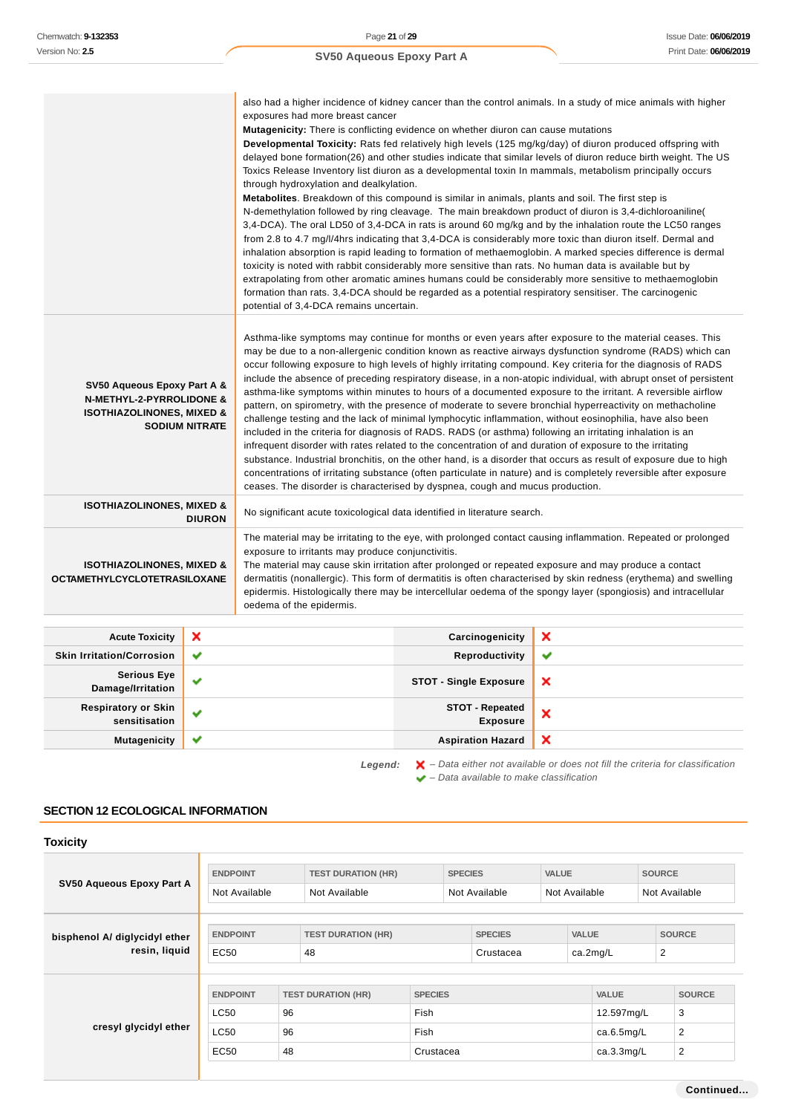|                                                                                                            |                       | also had a higher incidence of kidney cancer than the control animals. In a study of mice animals with higher<br>exposures had more breast cancer<br>Mutagenicity: There is conflicting evidence on whether diuron can cause mutations<br>Developmental Toxicity: Rats fed relatively high levels (125 mg/kg/day) of diuron produced offspring with<br>delayed bone formation(26) and other studies indicate that similar levels of diuron reduce birth weight. The US<br>Toxics Release Inventory list diuron as a developmental toxin In mammals, metabolism principally occurs<br>through hydroxylation and dealkylation.<br><b>Metabolites.</b> Breakdown of this compound is similar in animals, plants and soil. The first step is<br>N-demethylation followed by ring cleavage. The main breakdown product of diuron is 3,4-dichloroaniline (<br>3,4-DCA). The oral LD50 of 3,4-DCA in rats is around 60 mg/kg and by the inhalation route the LC50 ranges<br>from 2.8 to 4.7 mg/l/4hrs indicating that 3,4-DCA is considerably more toxic than diuron itself. Dermal and<br>inhalation absorption is rapid leading to formation of methaemoglobin. A marked species difference is dermal<br>toxicity is noted with rabbit considerably more sensitive than rats. No human data is available but by<br>extrapolating from other aromatic amines humans could be considerably more sensitive to methaemoglobin<br>formation than rats. 3,4-DCA should be regarded as a potential respiratory sensitiser. The carcinogenic<br>potential of 3,4-DCA remains uncertain. |                 |                                                                                                                                                                                                                                                                                                                                                                                                                                                              |  |  |  |
|------------------------------------------------------------------------------------------------------------|-----------------------|----------------------------------------------------------------------------------------------------------------------------------------------------------------------------------------------------------------------------------------------------------------------------------------------------------------------------------------------------------------------------------------------------------------------------------------------------------------------------------------------------------------------------------------------------------------------------------------------------------------------------------------------------------------------------------------------------------------------------------------------------------------------------------------------------------------------------------------------------------------------------------------------------------------------------------------------------------------------------------------------------------------------------------------------------------------------------------------------------------------------------------------------------------------------------------------------------------------------------------------------------------------------------------------------------------------------------------------------------------------------------------------------------------------------------------------------------------------------------------------------------------------------------------------------------------------------------|-----------------|--------------------------------------------------------------------------------------------------------------------------------------------------------------------------------------------------------------------------------------------------------------------------------------------------------------------------------------------------------------------------------------------------------------------------------------------------------------|--|--|--|
| SV50 Aqueous Epoxy Part A &<br><b>N-METHYL-2-PYRROLIDONE &amp;</b><br><b>ISOTHIAZOLINONES, MIXED &amp;</b> | <b>SODIUM NITRATE</b> | Asthma-like symptoms may continue for months or even years after exposure to the material ceases. This<br>may be due to a non-allergenic condition known as reactive airways dysfunction syndrome (RADS) which can<br>occur following exposure to high levels of highly irritating compound. Key criteria for the diagnosis of RADS<br>include the absence of preceding respiratory disease, in a non-atopic individual, with abrupt onset of persistent<br>asthma-like symptoms within minutes to hours of a documented exposure to the irritant. A reversible airflow<br>pattern, on spirometry, with the presence of moderate to severe bronchial hyperreactivity on methacholine<br>challenge testing and the lack of minimal lymphocytic inflammation, without eosinophilia, have also been<br>included in the criteria for diagnosis of RADS. RADS (or asthma) following an irritating inhalation is an<br>infrequent disorder with rates related to the concentration of and duration of exposure to the irritating<br>substance. Industrial bronchitis, on the other hand, is a disorder that occurs as result of exposure due to high<br>concentrations of irritating substance (often particulate in nature) and is completely reversible after exposure<br>ceases. The disorder is characterised by dyspnea, cough and mucus production.                                                                                                                                                                                                                        |                 |                                                                                                                                                                                                                                                                                                                                                                                                                                                              |  |  |  |
| <b>ISOTHIAZOLINONES, MIXED &amp;</b>                                                                       | <b>DIURON</b>         | No significant acute toxicological data identified in literature search.                                                                                                                                                                                                                                                                                                                                                                                                                                                                                                                                                                                                                                                                                                                                                                                                                                                                                                                                                                                                                                                                                                                                                                                                                                                                                                                                                                                                                                                                                                   |                 |                                                                                                                                                                                                                                                                                                                                                                                                                                                              |  |  |  |
| <b>ISOTHIAZOLINONES, MIXED &amp;</b><br><b>OCTAMETHYLCYCLOTETRASILOXANE</b>                                |                       | exposure to irritants may produce conjunctivitis.<br>oedema of the epidermis.                                                                                                                                                                                                                                                                                                                                                                                                                                                                                                                                                                                                                                                                                                                                                                                                                                                                                                                                                                                                                                                                                                                                                                                                                                                                                                                                                                                                                                                                                              |                 | The material may be irritating to the eye, with prolonged contact causing inflammation. Repeated or prolonged<br>The material may cause skin irritation after prolonged or repeated exposure and may produce a contact<br>dermatitis (nonallergic). This form of dermatitis is often characterised by skin redness (erythema) and swelling<br>epidermis. Histologically there may be intercellular oedema of the spongy layer (spongiosis) and intracellular |  |  |  |
| <b>Acute Toxicity</b>                                                                                      | ×                     |                                                                                                                                                                                                                                                                                                                                                                                                                                                                                                                                                                                                                                                                                                                                                                                                                                                                                                                                                                                                                                                                                                                                                                                                                                                                                                                                                                                                                                                                                                                                                                            | Carcinogenicity | ×                                                                                                                                                                                                                                                                                                                                                                                                                                                            |  |  |  |

| <b>ACULC IVAIGILY</b>                | $\sim$                | <b>Carcillogenicity</b>       | $\sim$       |
|--------------------------------------|-----------------------|-------------------------------|--------------|
| <b>Skin Irritation/Corrosion</b>     | $\checkmark$          | Reproductivity                | $\checkmark$ |
| Serious Eye<br>Damage/Irritation     | $\tilde{\phantom{a}}$ | <b>STOT - Single Exposure</b> | ×            |
| Respiratory or Skin<br>sensitisation | $\checkmark$          | STOT - Repeated<br>Exposure   | ×            |
| <b>Mutagenicity</b>                  | $\checkmark$          | <b>Aspiration Hazard</b>      | ×            |
|                                      |                       |                               |              |

Legend:  $\mathbf{X}$  – Data either not available or does not fill the criteria for classification – Data available to make classification

## **SECTION 12 ECOLOGICAL INFORMATION**

| <b>Toxicity</b>                                |                                                       |                |                                            |                                             |                |                             |              |               |                                                        |               |                                                        |
|------------------------------------------------|-------------------------------------------------------|----------------|--------------------------------------------|---------------------------------------------|----------------|-----------------------------|--------------|---------------|--------------------------------------------------------|---------------|--------------------------------------------------------|
| SV50 Aqueous Epoxy Part A                      | <b>ENDPOINT</b><br>Not Available                      |                | <b>TEST DURATION (HR)</b><br>Not Available |                                             | <b>SPECIES</b> | Not Available               | <b>VALUE</b> | Not Available |                                                        | <b>SOURCE</b> | Not Available                                          |
| bisphenol A/ diglycidyl ether<br>resin, liquid | <b>ENDPOINT</b><br>EC50                               |                | <b>TEST DURATION (HR)</b><br>48            |                                             |                | <b>SPECIES</b><br>Crustacea |              |               | <b>VALUE</b><br>$\overline{2}$<br>ca.2mg/L             |               | <b>SOURCE</b>                                          |
| cresyl glycidyl ether                          | <b>ENDPOINT</b><br><b>LC50</b><br><b>LC50</b><br>EC50 | 96<br>96<br>48 | <b>TEST DURATION (HR)</b>                  | <b>SPECIES</b><br>Fish<br>Fish<br>Crustacea |                |                             |              |               | <b>VALUE</b><br>12.597mg/L<br>ca.6.5mg/L<br>ca.3.3mg/L |               | <b>SOURCE</b><br>3<br>$\overline{2}$<br>$\overline{2}$ |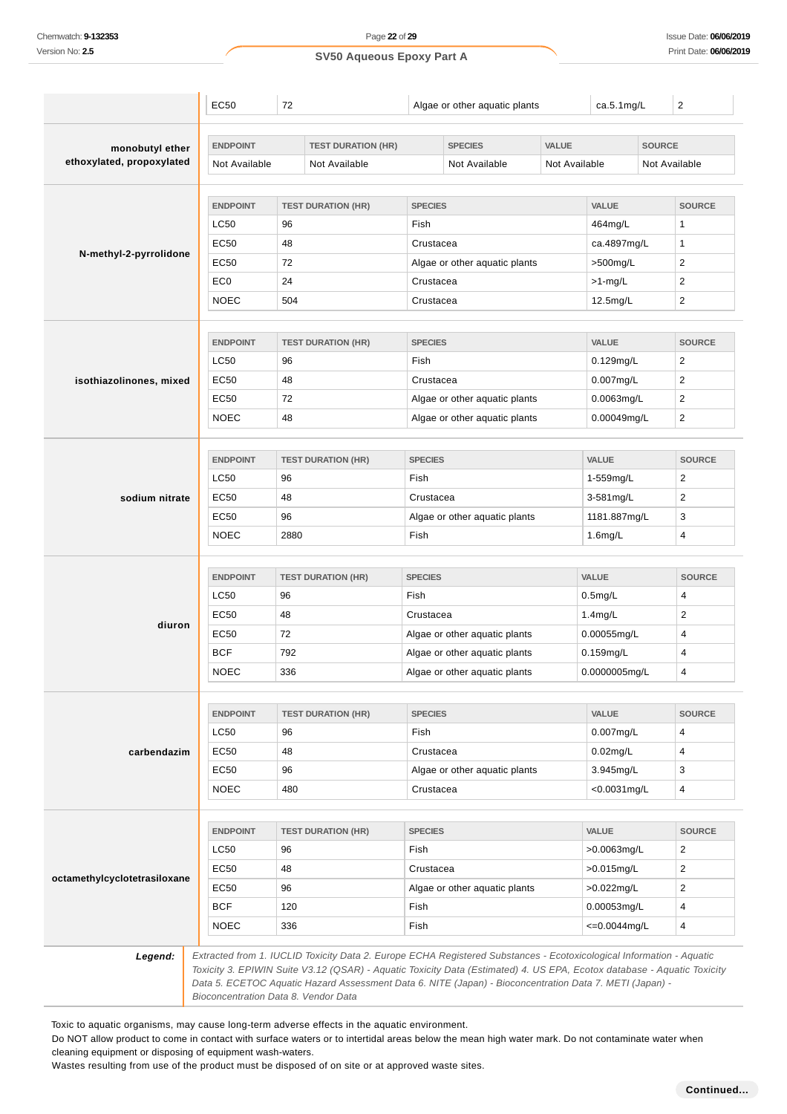| SV50 Aqueous Epoxy Part A |  |
|---------------------------|--|
|---------------------------|--|

|                                              | EC50            | 72   |                           |                | Algae or other aquatic plants                                                                                        |               | ca.5.1mg/L                    |               | $\overline{2}$          |
|----------------------------------------------|-----------------|------|---------------------------|----------------|----------------------------------------------------------------------------------------------------------------------|---------------|-------------------------------|---------------|-------------------------|
|                                              | <b>ENDPOINT</b> |      | <b>TEST DURATION (HR)</b> |                | <b>SPECIES</b>                                                                                                       | <b>VALUE</b>  |                               | <b>SOURCE</b> |                         |
| monobutyl ether<br>ethoxylated, propoxylated | Not Available   |      | Not Available             |                | Not Available                                                                                                        | Not Available |                               |               | Not Available           |
|                                              |                 |      |                           |                |                                                                                                                      |               |                               |               |                         |
|                                              | <b>ENDPOINT</b> |      | <b>TEST DURATION (HR)</b> | <b>SPECIES</b> |                                                                                                                      |               | VALUE                         |               | <b>SOURCE</b>           |
|                                              | LC50            | 96   |                           | Fish           |                                                                                                                      |               | 464mg/L                       |               | 1                       |
|                                              | EC50            | 48   |                           | Crustacea      |                                                                                                                      |               | ca.4897mg/L                   |               | 1                       |
| N-methyl-2-pyrrolidone                       | EC50            | 72   |                           |                | Algae or other aquatic plants                                                                                        |               | >500mg/L                      |               | $\overline{c}$          |
|                                              | EC <sub>0</sub> | 24   |                           | Crustacea      |                                                                                                                      |               | $>1$ -mg/L                    |               | 2                       |
|                                              | <b>NOEC</b>     | 504  |                           | Crustacea      |                                                                                                                      |               | 12.5mg/L                      |               | $\overline{2}$          |
|                                              | <b>ENDPOINT</b> |      | <b>TEST DURATION (HR)</b> | <b>SPECIES</b> |                                                                                                                      |               | VALUE                         |               | <b>SOURCE</b>           |
|                                              | LC50            | 96   |                           | Fish           |                                                                                                                      |               | $0.129$ mg/L                  |               | 2                       |
| isothiazolinones, mixed                      | EC50            | 48   |                           | Crustacea      |                                                                                                                      |               | $0.007$ mg/L                  |               | 2                       |
|                                              | EC50            | 72   |                           |                | Algae or other aquatic plants                                                                                        |               | 0.0063mg/L                    |               | 2                       |
|                                              | <b>NOEC</b>     | 48   |                           |                | Algae or other aquatic plants                                                                                        |               | 0.00049mg/L                   |               | $\overline{2}$          |
|                                              | <b>ENDPOINT</b> |      | <b>TEST DURATION (HR)</b> | <b>SPECIES</b> |                                                                                                                      |               | <b>VALUE</b>                  |               | <b>SOURCE</b>           |
|                                              | <b>LC50</b>     | 96   |                           | Fish           |                                                                                                                      |               | 1-559mg/L                     |               | $\overline{\mathbf{c}}$ |
| sodium nitrate                               | EC50            | 48   |                           |                | Crustacea                                                                                                            |               | 3-581mg/L                     |               | 2                       |
|                                              | EC50            | 96   |                           |                | Algae or other aquatic plants                                                                                        |               | 1181.887mg/L                  |               | 3                       |
|                                              | <b>NOEC</b>     | 2880 |                           | Fish           |                                                                                                                      |               | $1.6$ mg/L                    |               | 4                       |
|                                              | <b>ENDPOINT</b> |      | <b>TEST DURATION (HR)</b> | <b>SPECIES</b> |                                                                                                                      |               | VALUE                         |               | <b>SOURCE</b>           |
|                                              | <b>LC50</b>     | 96   |                           |                | Fish                                                                                                                 |               |                               |               | 4                       |
|                                              | EC50            | 48   |                           |                | Crustacea                                                                                                            |               |                               |               | 2                       |
| diuron                                       | EC50            | 72   |                           |                | Algae or other aquatic plants                                                                                        |               | $1.4$ mg/L<br>0.00055mg/L     |               | 4                       |
|                                              | <b>BCF</b>      | 792  |                           |                | Algae or other aquatic plants                                                                                        |               |                               |               | 4                       |
|                                              | <b>NOEC</b>     | 336  |                           |                | Algae or other aquatic plants                                                                                        |               | $0.159$ mg/L<br>0.0000005mg/L |               | 4                       |
|                                              | <b>ENDPOINT</b> |      | <b>TEST DURATION (HR)</b> | <b>SPECIES</b> |                                                                                                                      |               | VALUE                         |               | <b>SOURCE</b>           |
|                                              | <b>LC50</b>     | 96   |                           | Fish           |                                                                                                                      |               | 0.007mg/L                     |               | 4                       |
| carbendazim                                  | EC50            | 48   |                           | Crustacea      |                                                                                                                      |               | $0.02$ mg/L                   |               | 4                       |
|                                              | EC50            | 96   |                           |                | Algae or other aquatic plants                                                                                        |               | 3.945mg/L                     |               | 3                       |
|                                              | NOEC            | 480  |                           | Crustacea      |                                                                                                                      |               | <0.0031mg/L                   |               | 4                       |
|                                              |                 |      |                           |                |                                                                                                                      |               |                               |               |                         |
|                                              | <b>ENDPOINT</b> |      | <b>TEST DURATION (HR)</b> |                | <b>SPECIES</b>                                                                                                       |               | VALUE                         |               | <b>SOURCE</b>           |
|                                              | LC50            | 96   |                           | Fish           |                                                                                                                      |               | >0.0063mg/L                   |               | 2                       |
|                                              | EC50            | 48   |                           | Crustacea      |                                                                                                                      |               | $>0.015$ mg/L                 |               | $\overline{2}$          |
| octamethylcyclotetrasiloxane                 | EC50            | 96   |                           |                | Algae or other aquatic plants                                                                                        |               | $>0.022$ mg/L                 |               | $\overline{2}$          |
|                                              | <b>BCF</b>      | 120  |                           | Fish           |                                                                                                                      |               | 0.00053mg/L                   |               | 4                       |
|                                              | <b>NOEC</b>     | 336  |                           | Fish           |                                                                                                                      |               | $\epsilon = 0.0044$ mg/L      |               | 4                       |
| Legend:                                      |                 |      |                           |                | Extracted from 1. IUCLID Toxicity Data 2. Europe ECHA Registered Substances - Ecotoxicological Information - Aquatic |               |                               |               |                         |

Toxic to aquatic organisms, may cause long-term adverse effects in the aquatic environment.

Do NOT allow product to come in contact with surface waters or to intertidal areas below the mean high water mark. Do not contaminate water when cleaning equipment or disposing of equipment wash-waters.

Wastes resulting from use of the product must be disposed of on site or at approved waste sites.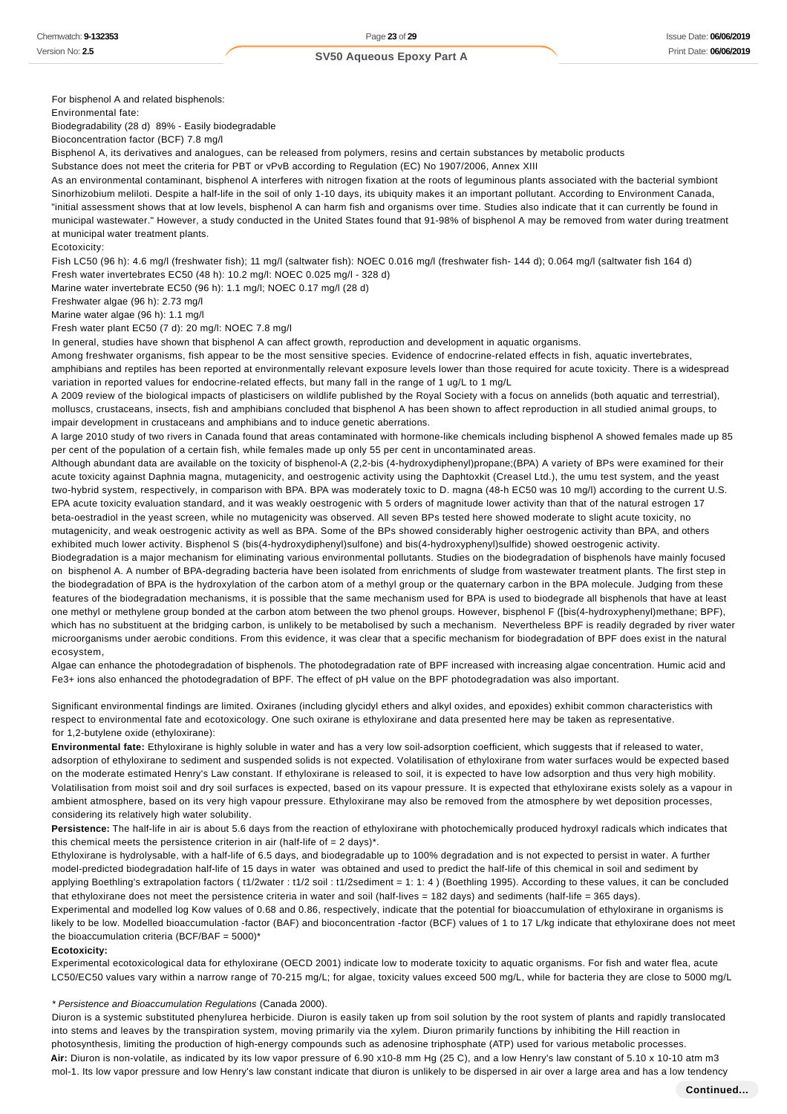For bisphenol A and related bisphenols:

Environmental fate:

Biodegradability (28 d) 89% - Easily biodegradable

Bioconcentration factor (BCF) 7.8 mg/l

Bisphenol A, its derivatives and analogues, can be released from polymers, resins and certain substances by metabolic products

Substance does not meet the criteria for PBT or vPvB according to Regulation (EC) No 1907/2006, Annex XIII

As an environmental contaminant, bisphenol A interferes with nitrogen fixation at the roots of leguminous plants associated with the bacterial symbiont Sinorhizobium meliloti. Despite a half-life in the soil of only 1-10 days, its ubiquity makes it an important pollutant. According to Environment Canada, "initial assessment shows that at low levels, bisphenol A can harm fish and organisms over time. Studies also indicate that it can currently be found in municipal wastewater." However, a study conducted in the United States found that 91-98% of bisphenol A may be removed from water during treatment at municipal water treatment plants.

Ecotoxicity:

Fish LC50 (96 h): 4.6 mg/l (freshwater fish); 11 mg/l (saltwater fish): NOEC 0.016 mg/l (freshwater fish- 144 d); 0.064 mg/l (saltwater fish 164 d) Fresh water invertebrates EC50 (48 h): 10.2 mg/l: NOEC 0.025 mg/l - 328 d)

Marine water invertebrate EC50 (96 h): 1.1 mg/l; NOEC 0.17 mg/l (28 d)

Freshwater algae (96 h): 2.73 mg/l

Marine water algae (96 h): 1.1 mg/l

Fresh water plant EC50 (7 d): 20 mg/l: NOEC 7.8 mg/l

In general, studies have shown that bisphenol A can affect growth, reproduction and development in aquatic organisms.

Among freshwater organisms, fish appear to be the most sensitive species. Evidence of endocrine-related effects in fish, aquatic invertebrates, amphibians and reptiles has been reported at environmentally relevant exposure levels lower than those required for acute toxicity. There is a widespread variation in reported values for endocrine-related effects, but many fall in the range of 1 ug/L to 1 mg/L

A 2009 review of the biological impacts of plasticisers on wildlife published by the Royal Society with a focus on annelids (both aquatic and terrestrial), molluscs, crustaceans, insects, fish and amphibians concluded that bisphenol A has been shown to affect reproduction in all studied animal groups, to impair development in crustaceans and amphibians and to induce genetic aberrations.

A large 2010 study of two rivers in Canada found that areas contaminated with hormone-like chemicals including bisphenol A showed females made up 85 per cent of the population of a certain fish, while females made up only 55 per cent in uncontaminated areas.

Although abundant data are available on the toxicity of bisphenol-A (2,2-bis (4-hydroxydiphenyl)propane;(BPA) A variety of BPs were examined for their acute toxicity against Daphnia magna, mutagenicity, and oestrogenic activity using the Daphtoxkit (Creasel Ltd.), the umu test system, and the yeast two-hybrid system, respectively, in comparison with BPA. BPA was moderately toxic to D. magna (48-h EC50 was 10 mg/l) according to the current U.S. EPA acute toxicity evaluation standard, and it was weakly oestrogenic with 5 orders of magnitude lower activity than that of the natural estrogen 17 beta-oestradiol in the yeast screen, while no mutagenicity was observed. All seven BPs tested here showed moderate to slight acute toxicity, no mutagenicity, and weak oestrogenic activity as well as BPA. Some of the BPs showed considerably higher oestrogenic activity than BPA, and others exhibited much lower activity. Bisphenol S (bis(4-hydroxydiphenyl)sulfone) and bis(4-hydroxyphenyl)sulfide) showed oestrogenic activity.

Biodegradation is a major mechanism for eliminating various environmental pollutants. Studies on the biodegradation of bisphenols have mainly focused on bisphenol A. A number of BPA-degrading bacteria have been isolated from enrichments of sludge from wastewater treatment plants. The first step in the biodegradation of BPA is the hydroxylation of the carbon atom of a methyl group or the quaternary carbon in the BPA molecule. Judging from these features of the biodegradation mechanisms, it is possible that the same mechanism used for BPA is used to biodegrade all bisphenols that have at least one methyl or methylene group bonded at the carbon atom between the two phenol groups. However, bisphenol F ([bis(4-hydroxyphenyl)methane; BPF), which has no substituent at the bridging carbon, is unlikely to be metabolised by such a mechanism. Nevertheless BPF is readily degraded by river water microorganisms under aerobic conditions. From this evidence, it was clear that a specific mechanism for biodegradation of BPF does exist in the natural ecosystem,

Algae can enhance the photodegradation of bisphenols. The photodegradation rate of BPF increased with increasing algae concentration. Humic acid and Fe3+ ions also enhanced the photodegradation of BPF. The effect of pH value on the BPF photodegradation was also important.

Significant environmental findings are limited. Oxiranes (including glycidyl ethers and alkyl oxides, and epoxides) exhibit common characteristics with respect to environmental fate and ecotoxicology. One such oxirane is ethyloxirane and data presented here may be taken as representative. for 1,2-butylene oxide (ethyloxirane):

**Environmental fate:** Ethyloxirane is highly soluble in water and has a very low soil-adsorption coefficient, which suggests that if released to water, adsorption of ethyloxirane to sediment and suspended solids is not expected. Volatilisation of ethyloxirane from water surfaces would be expected based on the moderate estimated Henry's Law constant. If ethyloxirane is released to soil, it is expected to have low adsorption and thus very high mobility. Volatilisation from moist soil and dry soil surfaces is expected, based on its vapour pressure. It is expected that ethyloxirane exists solely as a vapour in ambient atmosphere, based on its very high vapour pressure. Ethyloxirane may also be removed from the atmosphere by wet deposition processes, considering its relatively high water solubility.

**Persistence:** The half-life in air is about 5.6 days from the reaction of ethyloxirane with photochemically produced hydroxyl radicals which indicates that this chemical meets the persistence criterion in air (half-life of  $= 2 \text{ days}$ )\*.

Ethyloxirane is hydrolysable, with a half-life of 6.5 days, and biodegradable up to 100% degradation and is not expected to persist in water. A further model-predicted biodegradation half-life of 15 days in water was obtained and used to predict the half-life of this chemical in soil and sediment by applying Boethling's extrapolation factors ( t1/2water : t1/2 soil : t1/2sediment = 1: 1: 4 ) (Boethling 1995). According to these values, it can be concluded that ethyloxirane does not meet the persistence criteria in water and soil (half-lives = 182 days) and sediments (half-life = 365 days).

Experimental and modelled log Kow values of 0.68 and 0.86, respectively, indicate that the potential for bioaccumulation of ethyloxirane in organisms is likely to be low. Modelled bioaccumulation -factor (BAF) and bioconcentration -factor (BCF) values of 1 to 17 L/kg indicate that ethyloxirane does not meet the bioaccumulation criteria (BCF/BAF =  $5000$ )\*

#### **Ecotoxicity:**

Experimental ecotoxicological data for ethyloxirane (OECD 2001) indicate low to moderate toxicity to aquatic organisms. For fish and water flea, acute LC50/EC50 values vary within a narrow range of 70-215 mg/L; for algae, toxicity values exceed 500 mg/L, while for bacteria they are close to 5000 mg/L

#### \* Persistence and Bioaccumulation Regulations (Canada 2000).

Diuron is a systemic substituted phenylurea herbicide. Diuron is easily taken up from soil solution by the root system of plants and rapidly translocated into stems and leaves by the transpiration system, moving primarily via the xylem. Diuron primarily functions by inhibiting the Hill reaction in photosynthesis, limiting the production of high-energy compounds such as adenosine triphosphate (ATP) used for various metabolic processes. **Air:** Diuron is non-volatile, as indicated by its low vapor pressure of 6.90 x10-8 mm Hg (25 C), and a low Henry's law constant of 5.10 x 10-10 atm m3 mol-1. Its low vapor pressure and low Henry's law constant indicate that diuron is unlikely to be dispersed in air over a large area and has a low tendency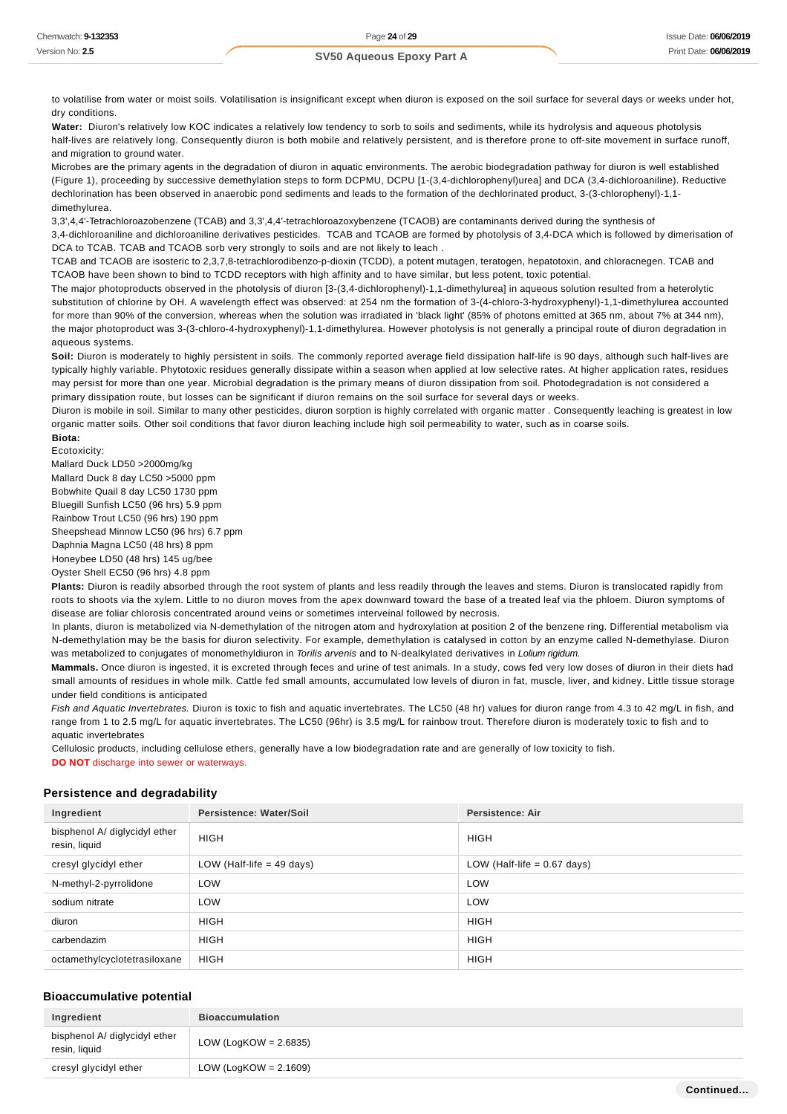to volatilise from water or moist soils. Volatilisation is insignificant except when diuron is exposed on the soil surface for several days or weeks under hot, dry conditions.

Water: Diuron's relatively low KOC indicates a relatively low tendency to sorb to soils and sediments, while its hydrolysis and aqueous photolysis half-lives are relatively long. Consequently diuron is both mobile and relatively persistent, and is therefore prone to off-site movement in surface runoff, and migration to ground water.

Microbes are the primary agents in the degradation of diuron in aquatic environments. The aerobic biodegradation pathway for diuron is well established (Figure 1), proceeding by successive demethylation steps to form DCPMU, DCPU [1-(3,4-dichlorophenyl)urea] and DCA (3,4-dichloroaniline). Reductive dechlorination has been observed in anaerobic pond sediments and leads to the formation of the dechlorinated product, 3-(3-chlorophenyl)-1,1 dimethylurea.

3,3',4,4'-Tetrachloroazobenzene (TCAB) and 3,3',4,4'-tetrachloroazoxybenzene (TCAOB) are contaminants derived during the synthesis of 3,4-dichloroaniline and dichloroaniline derivatives pesticides. TCAB and TCAOB are formed by photolysis of 3,4-DCA which is followed by dimerisation of DCA to TCAB. TCAB and TCAOB sorb very strongly to soils and are not likely to leach.

TCAB and TCAOB are isosteric to 2,3,7,8-tetrachlorodibenzo-p-dioxin (TCDD), a potent mutagen, teratogen, hepatotoxin, and chloracnegen. TCAB and TCAOB have been shown to bind to TCDD receptors with high affinity and to have similar, but less potent, toxic potential.

The major photoproducts observed in the photolysis of diuron [3-(3,4-dichlorophenyl)-1,1-dimethylurea] in aqueous solution resulted from a heterolytic substitution of chlorine by OH. A wavelength effect was observed: at 254 nm the formation of 3-(4-chloro-3-hydroxyphenyl)-1,1-dimethylurea accounted for more than 90% of the conversion, whereas when the solution was irradiated in 'black light' (85% of photons emitted at 365 nm, about 7% at 344 nm), the major photoproduct was 3-(3-chloro-4-hydroxyphenyl)-1,1-dimethylurea. However photolysis is not generally a principal route of diuron degradation in aqueous systems.

Soil: Diuron is moderately to highly persistent in soils. The commonly reported average field dissipation half-life is 90 days, although such half-lives are typically highly variable. Phytotoxic residues generally dissipate within a season when applied at low selective rates. At higher application rates, residues may persist for more than one year. Microbial degradation is the primary means of diuron dissipation from soil. Photodegradation is not considered a primary dissipation route, but losses can be significant if diuron remains on the soil surface for several days or weeks.

Diuron is mobile in soil. Similar to many other pesticides, diuron sorption is highly correlated with organic matter . Consequently leaching is greatest in low organic matter soils. Other soil conditions that favor diuron leaching include high soil permeability to water, such as in coarse soils.

**Biota:**

Ecotoxicity:

Mallard Duck LD50 >2000mg/kg

Mallard Duck 8 day LC50 >5000 ppm Bobwhite Quail 8 day LC50 1730 ppm

Bluegill Sunfish LC50 (96 hrs) 5.9 ppm

Rainbow Trout LC50 (96 hrs) 190 ppm

Sheepshead Minnow LC50 (96 hrs) 6.7 ppm

Daphnia Magna LC50 (48 hrs) 8 ppm

Honeybee LD50 (48 hrs) 145 ug/bee

Oyster Shell EC50 (96 hrs) 4.8 ppm

**Plants:** Diuron is readily absorbed through the root system of plants and less readily through the leaves and stems. Diuron is translocated rapidly from roots to shoots via the xylem. Little to no diuron moves from the apex downward toward the base of a treated leaf via the phloem. Diuron symptoms of disease are foliar chlorosis concentrated around veins or sometimes interveinal followed by necrosis.

In plants, diuron is metabolized via N-demethylation of the nitrogen atom and hydroxylation at position 2 of the benzene ring. Differential metabolism via N-demethylation may be the basis for diuron selectivity. For example, demethylation is catalysed in cotton by an enzyme called N-demethylase. Diuron was metabolized to conjugates of monomethyldiuron in Torilis arvenis and to N-dealkylated derivatives in Lolium rigidum.

**Mammals.** Once diuron is ingested, it is excreted through feces and urine of test animals. In a study, cows fed very low doses of diuron in their diets had small amounts of residues in whole milk. Cattle fed small amounts, accumulated low levels of diuron in fat, muscle, liver, and kidney. Little tissue storage under field conditions is anticipated

Fish and Aquatic Invertebrates. Diuron is toxic to fish and aquatic invertebrates. The LC50 (48 hr) values for diuron range from 4.3 to 42 mg/L in fish, and range from 1 to 2.5 mg/L for aquatic invertebrates. The LC50 (96hr) is 3.5 mg/L for rainbow trout. Therefore diuron is moderately toxic to fish and to aquatic invertebrates

Cellulosic products, including cellulose ethers, generally have a low biodegradation rate and are generally of low toxicity to fish. **DO NOT** discharge into sewer or waterways.

#### **Persistence and degradability**

| Ingredient                                     | Persistence: Water/Soil     | <b>Persistence: Air</b>       |
|------------------------------------------------|-----------------------------|-------------------------------|
| bisphenol A/ diglycidyl ether<br>resin, liquid | <b>HIGH</b>                 | <b>HIGH</b>                   |
| cresyl glycidyl ether                          | LOW (Half-life $=$ 49 days) | LOW (Half-life $= 0.67$ days) |
| N-methyl-2-pyrrolidone                         | LOW                         | <b>LOW</b>                    |
| sodium nitrate                                 | LOW                         | LOW                           |
| diuron                                         | <b>HIGH</b>                 | <b>HIGH</b>                   |
| carbendazim                                    | <b>HIGH</b>                 | <b>HIGH</b>                   |
| octamethylcyclotetrasiloxane                   | <b>HIGH</b>                 | <b>HIGH</b>                   |

#### **Bioaccumulative potential**

| Ingredient                                     | <b>Bioaccumulation</b>   |
|------------------------------------------------|--------------------------|
| bisphenol A/ diglycidyl ether<br>resin, liquid | LOW (LogKOW = $2.6835$ ) |
| cresyl glycidyl ether                          | LOW (LogKOW = $2.1609$ ) |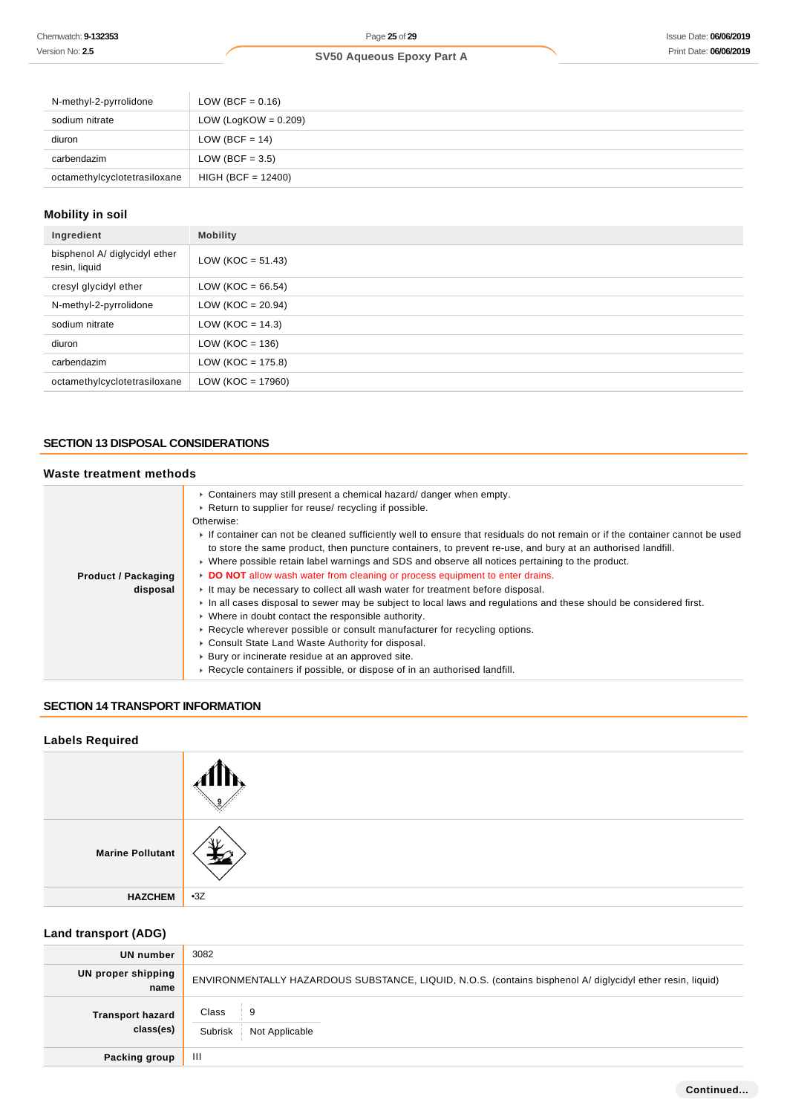| N-methyl-2-pyrrolidone       | LOW (BCF = $0.16$ )     |
|------------------------------|-------------------------|
| sodium nitrate               | LOW (LogKOW = $0.209$ ) |
| diuron                       | LOW (BCF = $14$ )       |
| carbendazim                  | LOW (BCF = $3.5$ )      |
| octamethylcyclotetrasiloxane | $HIGH (BCF = 12400)$    |

## **Mobility in soil**

| Ingredient                                     | <b>Mobility</b>       |
|------------------------------------------------|-----------------------|
| bisphenol A/ diglycidyl ether<br>resin, liquid | $LOW (KOC = 51.43)$   |
| cresyl glycidyl ether                          | LOW (KOC = $66.54$ )  |
| N-methyl-2-pyrrolidone                         | LOW ( $KOC = 20.94$ ) |
| sodium nitrate                                 | LOW ( $KOC = 14.3$ )  |
| diuron                                         | LOW ( $KOC = 136$ )   |
| carbendazim                                    | LOW ( $KOC = 175.8$ ) |
| octamethylcyclotetrasiloxane                   | LOW ( $KOC = 17960$ ) |

## **SECTION 13 DISPOSAL CONSIDERATIONS**

## **Waste treatment methods**

|                            | $\triangleright$ Containers may still present a chemical hazard/ danger when empty.                                         |
|----------------------------|-----------------------------------------------------------------------------------------------------------------------------|
|                            | ► Return to supplier for reuse/ recycling if possible.                                                                      |
|                            | Otherwise:                                                                                                                  |
|                            | If container can not be cleaned sufficiently well to ensure that residuals do not remain or if the container cannot be used |
|                            | to store the same product, then puncture containers, to prevent re-use, and bury at an authorised landfill.                 |
|                            | $\triangleright$ Where possible retain label warnings and SDS and observe all notices pertaining to the product.            |
| <b>Product / Packaging</b> | DO NOT allow wash water from cleaning or process equipment to enter drains.                                                 |
| disposal                   | It may be necessary to collect all wash water for treatment before disposal.                                                |
|                            | In all cases disposal to sewer may be subject to local laws and regulations and these should be considered first.           |
|                            | • Where in doubt contact the responsible authority.                                                                         |
|                            | ► Recycle wherever possible or consult manufacturer for recycling options.                                                  |
|                            | • Consult State Land Waste Authority for disposal.                                                                          |
|                            | ▶ Bury or incinerate residue at an approved site.                                                                           |
|                            | ► Recycle containers if possible, or dispose of in an authorised landfill.                                                  |

## **SECTION 14 TRANSPORT INFORMATION**

# **Labels Required Marine Pollutant HAZCHEM** •3Z

## **Land transport (ADG)**

| UN number                            | 3082                                                                                                       |
|--------------------------------------|------------------------------------------------------------------------------------------------------------|
| UN proper shipping<br>name           | ENVIRONMENTALLY HAZARDOUS SUBSTANCE, LIQUID, N.O.S. (contains bisphenol A/ diglycidyl ether resin, liquid) |
| <b>Transport hazard</b><br>class(es) | Class<br>⊹ 9<br>Subrisk<br>Not Applicable                                                                  |
| Packing group                        | Ш                                                                                                          |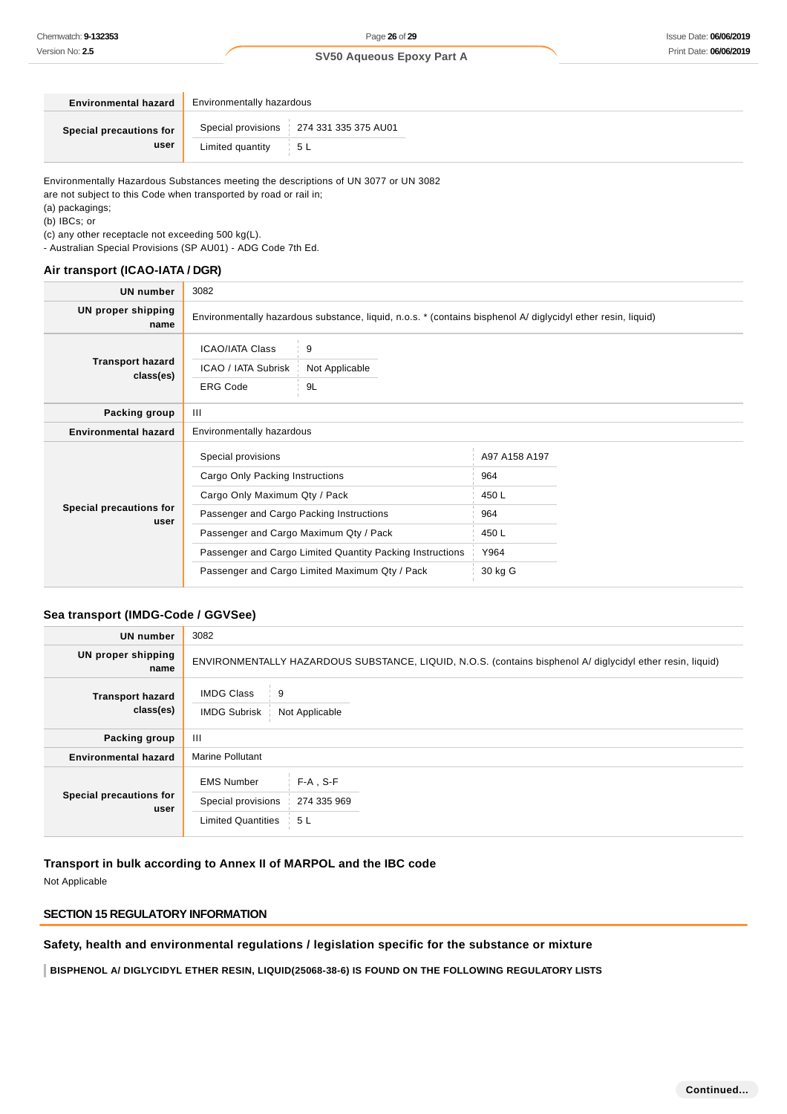| <b>Environmental hazard</b>     | Environmentally hazardous |                                           |  |  |  |
|---------------------------------|---------------------------|-------------------------------------------|--|--|--|
| Special precautions for<br>user |                           | Special provisions   274 331 335 375 AU01 |  |  |  |
|                                 | Limited quantity $5L$     |                                           |  |  |  |

Environmentally Hazardous Substances meeting the descriptions of UN 3077 or UN 3082

are not subject to this Code when transported by road or rail in;

(a) packagings;

(b) IBCs; or

(c) any other receptacle not exceeding 500 kg(L).

- Australian Special Provisions (SP AU01) - ADG Code 7th Ed.

#### **Air transport (ICAO-IATA / DGR)**

| UN number                            | 3082                                                                                                                                                                         |                                                                                                             |                                                                 |  |
|--------------------------------------|------------------------------------------------------------------------------------------------------------------------------------------------------------------------------|-------------------------------------------------------------------------------------------------------------|-----------------------------------------------------------------|--|
| UN proper shipping<br>name           | Environmentally hazardous substance, liquid, n.o.s. * (contains bisphenol A/ diglycidyl ether resin, liquid)                                                                 |                                                                                                             |                                                                 |  |
| <b>Transport hazard</b><br>class(es) | <b>ICAO/IATA Class</b><br>ICAO / IATA Subrisk<br><b>ERG Code</b>                                                                                                             | 9<br>Not Applicable<br>9L                                                                                   |                                                                 |  |
| Packing group                        | $\mathbf{III}$                                                                                                                                                               |                                                                                                             |                                                                 |  |
| <b>Environmental hazard</b>          | Environmentally hazardous                                                                                                                                                    |                                                                                                             |                                                                 |  |
| Special precautions for<br>user      | Special provisions<br>Cargo Only Packing Instructions<br>Cargo Only Maximum Qty / Pack<br>Passenger and Cargo Packing Instructions<br>Passenger and Cargo Maximum Qty / Pack | Passenger and Cargo Limited Quantity Packing Instructions<br>Passenger and Cargo Limited Maximum Qty / Pack | A97 A158 A197<br>964<br>450 L<br>964<br>450L<br>Y964<br>30 kg G |  |

## **Sea transport (IMDG-Code / GGVSee)**

| <b>UN number</b>                     | 3082                                                                                                       |                                   |  |
|--------------------------------------|------------------------------------------------------------------------------------------------------------|-----------------------------------|--|
| UN proper shipping<br>name           | ENVIRONMENTALLY HAZARDOUS SUBSTANCE, LIQUID, N.O.S. (contains bisphenol A/ diglycidyl ether resin, liquid) |                                   |  |
| <b>Transport hazard</b><br>class(es) | <b>IMDG Class</b><br>9<br><b>IMDG Subrisk</b><br>Not Applicable                                            |                                   |  |
| Packing group                        | Ш                                                                                                          |                                   |  |
| <b>Environmental hazard</b>          | <b>Marine Pollutant</b>                                                                                    |                                   |  |
| Special precautions for<br>user      | <b>EMS Number</b><br>Special provisions<br><b>Limited Quantities</b>                                       | $F-A$ , S-F<br>274 335 969<br>5 L |  |

## **Transport in bulk according to Annex II of MARPOL and the IBC code**

Not Applicable

## **SECTION 15 REGULATORY INFORMATION**

**Safety, health and environmental regulations / legislation specific for the substance or mixture**

**BISPHENOL A/ DIGLYCIDYL ETHER RESIN, LIQUID(25068-38-6) IS FOUND ON THE FOLLOWING REGULATORY LISTS**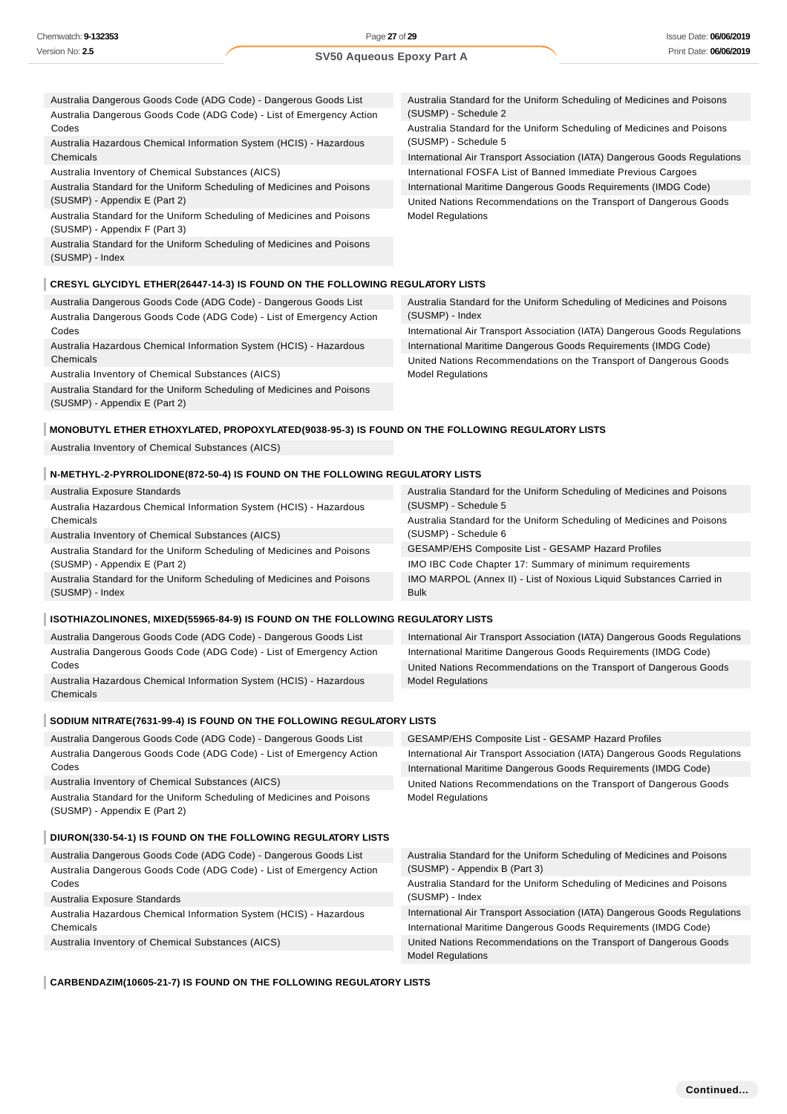| Australia Dangerous Goods Code (ADG Code) - Dangerous Goods List                    | Australia Standard for the Uniform Scheduling of Medicines and Poisons     |
|-------------------------------------------------------------------------------------|----------------------------------------------------------------------------|
| Australia Dangerous Goods Code (ADG Code) - List of Emergency Action                | (SUSMP) - Schedule 2                                                       |
| Codes                                                                               | Australia Standard for the Uniform Scheduling of Medicines and Poisons     |
| Australia Hazardous Chemical Information System (HCIS) - Hazardous                  | (SUSMP) - Schedule 5                                                       |
| Chemicals                                                                           | International Air Transport Association (IATA) Dangerous Goods Regulations |
| Australia Inventory of Chemical Substances (AICS)                                   | International FOSFA List of Banned Immediate Previous Cargoes              |
| Australia Standard for the Uniform Scheduling of Medicines and Poisons              | International Maritime Dangerous Goods Requirements (IMDG Code)            |
| (SUSMP) - Appendix E (Part 2)                                                       | United Nations Recommendations on the Transport of Dangerous Goods         |
| Australia Standard for the Uniform Scheduling of Medicines and Poisons              | <b>Model Regulations</b>                                                   |
| (SUSMP) - Appendix F (Part 3)                                                       |                                                                            |
| Australia Standard for the Uniform Scheduling of Medicines and Poisons              |                                                                            |
| (SUSMP) - Index                                                                     |                                                                            |
|                                                                                     |                                                                            |
| <b>CRESYL GLYCIDYL ETHER(26447-14-3) IS FOUND ON THE FOLLOWING REGULATORY LISTS</b> |                                                                            |

Australia Dangerous Goods Code (ADG Code) - Dangerous Goods List Australia Dangerous Goods Code (ADG Code) - List of Emergency Action Codes

Australia Hazardous Chemical Information System (HCIS) - Hazardous Chemicals

Australia Inventory of Chemical Substances (AICS)

Australia Standard for the Uniform Scheduling of Medicines and Poisons (SUSMP) - Appendix E (Part 2)

Australia Standard for the Uniform Scheduling of Medicines and Poisons (SUSMP) - Index

International Air Transport Association (IATA) Dangerous Goods Regulations International Maritime Dangerous Goods Requirements (IMDG Code) United Nations Recommendations on the Transport of Dangerous Goods Model Regulations

#### **MONOBUTYL ETHER ETHOXYLATED, PROPOXYLATED(9038-95-3) IS FOUND ON THE FOLLOWING REGULATORY LISTS**

Australia Inventory of Chemical Substances (AICS)

## **N-METHYL-2-PYRROLIDONE(872-50-4) IS FOUND ON THE FOLLOWING REGULATORY LISTS**

| Australia Exposure Standards                                           | Australia Standard for the Uniform Scheduling of Medicines and Poisons |
|------------------------------------------------------------------------|------------------------------------------------------------------------|
| Australia Hazardous Chemical Information System (HCIS) - Hazardous     | (SUSMP) - Schedule 5                                                   |
| Chemicals                                                              | Australia Standard for the Uniform Scheduling of Medicines and Poisons |
| Australia Inventory of Chemical Substances (AICS)                      | (SUSMP) - Schedule 6                                                   |
| Australia Standard for the Uniform Scheduling of Medicines and Poisons | <b>GESAMP/EHS Composite List - GESAMP Hazard Profiles</b>              |
| (SUSMP) - Appendix E (Part 2)                                          | IMO IBC Code Chapter 17: Summary of minimum requirements               |
| Australia Standard for the Uniform Scheduling of Medicines and Poisons | IMO MARPOL (Annex II) - List of Noxious Liquid Substances Carried in   |
| (SUSMP) - Index                                                        | <b>Bulk</b>                                                            |
|                                                                        |                                                                        |

#### ISOTHIAZOLINONES, MIXED(55965-84-9) IS FOUND ON THE FOLLOWING REGULATORY LISTS

| Australia Dangerous Goods Code (ADG Code) - Dangerous Goods List     | International Air Transport Association (IATA) Dangerous Goods Regulations |
|----------------------------------------------------------------------|----------------------------------------------------------------------------|
| Australia Dangerous Goods Code (ADG Code) - List of Emergency Action | International Maritime Dangerous Goods Requirements (IMDG Code)            |
| Codes                                                                | United Nations Recommendations on the Transport of Dangerous Goods         |
| Australia Hazardous Chemical Information System (HCIS) - Hazardous   | <b>Model Regulations</b>                                                   |
| Chemicals                                                            |                                                                            |

#### **SODIUM NITRATE(7631-99-4) IS FOUND ON THE FOLLOWING REGULATORY LISTS**

| Australia Dangerous Goods Code (ADG Code) - Dangerous Goods List       | GESAMP/EHS Composite List - GESAMP Hazard Profiles                         |
|------------------------------------------------------------------------|----------------------------------------------------------------------------|
| Australia Dangerous Goods Code (ADG Code) - List of Emergency Action   | International Air Transport Association (IATA) Dangerous Goods Regulations |
| Codes                                                                  | International Maritime Dangerous Goods Requirements (IMDG Code)            |
| Australia Inventory of Chemical Substances (AICS)                      | United Nations Recommendations on the Transport of Dangerous Goods         |
| Australia Standard for the Uniform Scheduling of Medicines and Poisons | <b>Model Regulations</b>                                                   |
| (SUSMP) - Appendix E (Part 2)                                          |                                                                            |
|                                                                        |                                                                            |
| DIURON(330-54-1) IS FOUND ON THE FOLLOWING REGULATORY LISTS            |                                                                            |
| Australia Dangerous Goods Code (ADG Code) - Dangerous Goods List       | Australia Standard for the Uniform Scheduling of Medicines and Poisons     |
| Australia Dangerous Goods Code (ADG Code) - List of Emergency Action   | (SUSMP) - Appendix B (Part 3)                                              |
| Codes                                                                  | Australia Standard for the Uniform Scheduling of Medicines and Poisons     |
| Australia Exposure Standards                                           | (SUSMP) - Index                                                            |
| Australia Hazardous Chemical Information System (HCIS) - Hazardous     | International Air Transport Association (IATA) Dangerous Goods Regulations |
| Chemicals                                                              | International Maritime Dangerous Goods Requirements (IMDG Code)            |
| Australia Inventory of Chemical Substances (AICS)                      | United Nations Recommendations on the Transport of Dangerous Goods         |
|                                                                        | <b>Model Regulations</b>                                                   |

#### **CARBENDAZIM(10605-21-7) IS FOUND ON THE FOLLOWING REGULATORY LISTS**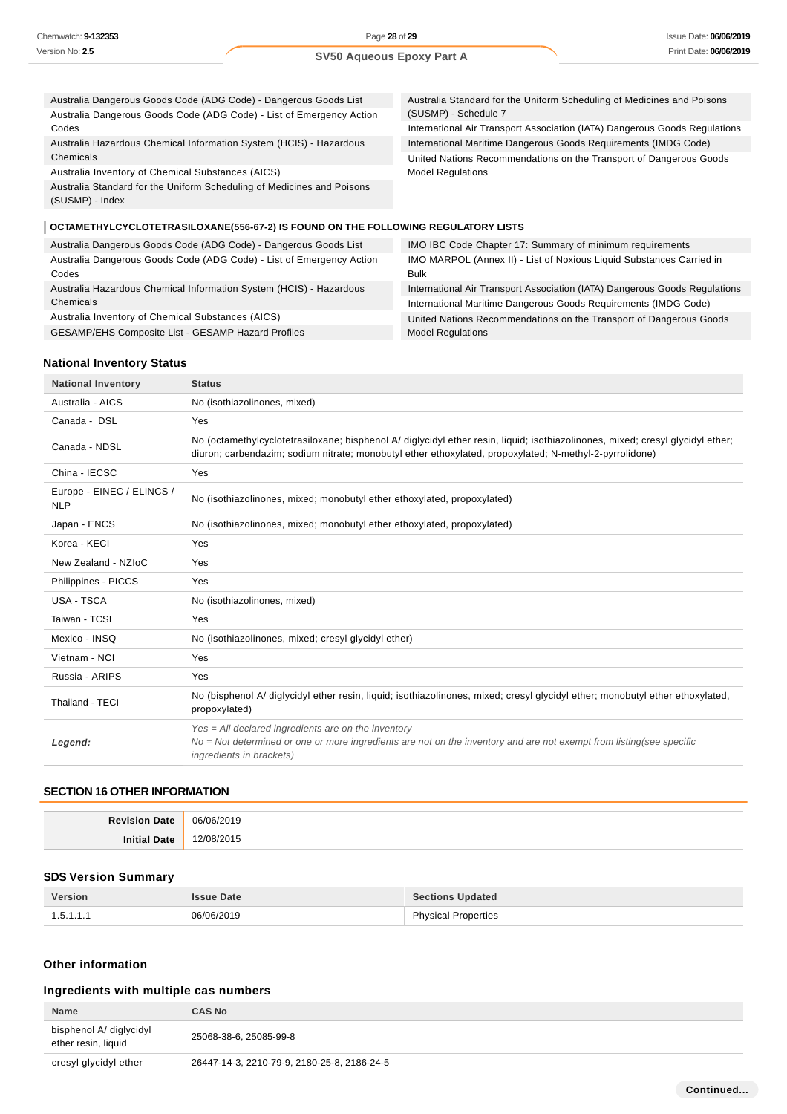Codes

| Australia Dangerous Goods Code (ADG Code) - Dangerous Goods List     | Australia Standard for the Uniform Scheduling of Medicines and Poisons |
|----------------------------------------------------------------------|------------------------------------------------------------------------|
| Australia Dangerous Goods Code (ADG Code) - List of Emergency Action | (SUSMP) - Schedule 7                                                   |
|                                                                      |                                                                        |

Australia Hazardous Chemical Information System (HCIS) - Hazardous Chemicals

Australia Inventory of Chemical Substances (AICS)

Australia Standard for the Uniform Scheduling of Medicines and Poisons (SUSMP) - Index

International Air Transport Association (IATA) Dangerous Goods Regulations International Maritime Dangerous Goods Requirements (IMDG Code) United Nations Recommendations on the Transport of Dangerous Goods Model Regulations

## **OCTAMETHYLCYCLOTETRASILOXANE(556-67-2) IS FOUND ON THE FOLLOWING REGULATORY LISTS**

| Australia Dangerous Goods Code (ADG Code) - Dangerous Goods List     | IMO IBC Code Chapter 17: Summary of minimum requirements                   |
|----------------------------------------------------------------------|----------------------------------------------------------------------------|
| Australia Dangerous Goods Code (ADG Code) - List of Emergency Action | IMO MARPOL (Annex II) - List of Noxious Liquid Substances Carried in       |
| Codes                                                                | Bulk                                                                       |
| Australia Hazardous Chemical Information System (HCIS) - Hazardous   | International Air Transport Association (IATA) Dangerous Goods Regulations |
| Chemicals                                                            | International Maritime Dangerous Goods Requirements (IMDG Code)            |
| Australia Inventory of Chemical Substances (AICS)                    | United Nations Recommendations on the Transport of Dangerous Goods         |
| GESAMP/EHS Composite List - GESAMP Hazard Profiles                   | <b>Model Requlations</b>                                                   |

## **National Inventory Status**

| <b>National Inventory</b>               | <b>Status</b>                                                                                                                                                                                                                             |
|-----------------------------------------|-------------------------------------------------------------------------------------------------------------------------------------------------------------------------------------------------------------------------------------------|
| Australia - AICS                        | No (isothiazolinones, mixed)                                                                                                                                                                                                              |
| Canada - DSL                            | Yes                                                                                                                                                                                                                                       |
| Canada - NDSL                           | No (octamethylcyclotetrasiloxane; bisphenol A/ diglycidyl ether resin, liquid; isothiazolinones, mixed; cresyl glycidyl ether;<br>diuron; carbendazim; sodium nitrate; monobutyl ether ethoxylated, propoxylated; N-methyl-2-pyrrolidone) |
| China - IECSC                           | Yes                                                                                                                                                                                                                                       |
| Europe - EINEC / ELINCS /<br><b>NLP</b> | No (isothiazolinones, mixed; monobutyl ether ethoxylated, propoxylated)                                                                                                                                                                   |
| Japan - ENCS                            | No (isothiazolinones, mixed; monobutyl ether ethoxylated, propoxylated)                                                                                                                                                                   |
| Korea - KECI                            | Yes                                                                                                                                                                                                                                       |
| New Zealand - NZIoC                     | Yes                                                                                                                                                                                                                                       |
| Philippines - PICCS                     | Yes                                                                                                                                                                                                                                       |
| USA - TSCA                              | No (isothiazolinones, mixed)                                                                                                                                                                                                              |
| Taiwan - TCSI                           | Yes                                                                                                                                                                                                                                       |
| Mexico - INSQ                           | No (isothiazolinones, mixed; cresyl glycidyl ether)                                                                                                                                                                                       |
| Vietnam - NCI                           | Yes                                                                                                                                                                                                                                       |
| Russia - ARIPS                          | Yes                                                                                                                                                                                                                                       |
| Thailand - TECI                         | No (bisphenol A/ diglycidyl ether resin, liquid; isothiazolinones, mixed; cresyl glycidyl ether; monobutyl ether ethoxylated,<br>propoxylated)                                                                                            |
| Legend:                                 | $Yes = All declared ingredients are on the inventory$<br>No = Not determined or one or more ingredients are not on the inventory and are not exempt from listing(see specific<br>ingredients in brackets)                                 |

#### **SECTION 16 OTHER INFORMATION**

| <b>Revision Date</b> | 06/06/2019 |
|----------------------|------------|
| <b>Initial Date</b>  | /2015      |

## **SDS Version Summary**

| Version   | 'ssue Date | <b>Sections Updated</b>    |
|-----------|------------|----------------------------|
| 1.5.1.1.1 | 06/06/2019 | <b>Physical Properties</b> |

## **Other information**

## **Ingredients with multiple cas numbers**

| <b>Name</b>                                    | <b>CAS No</b>                               |
|------------------------------------------------|---------------------------------------------|
| bisphenol A/ diglycidyl<br>ether resin, liquid | 25068-38-6, 25085-99-8                      |
| cresyl glycidyl ether                          | 26447-14-3, 2210-79-9, 2180-25-8, 2186-24-5 |